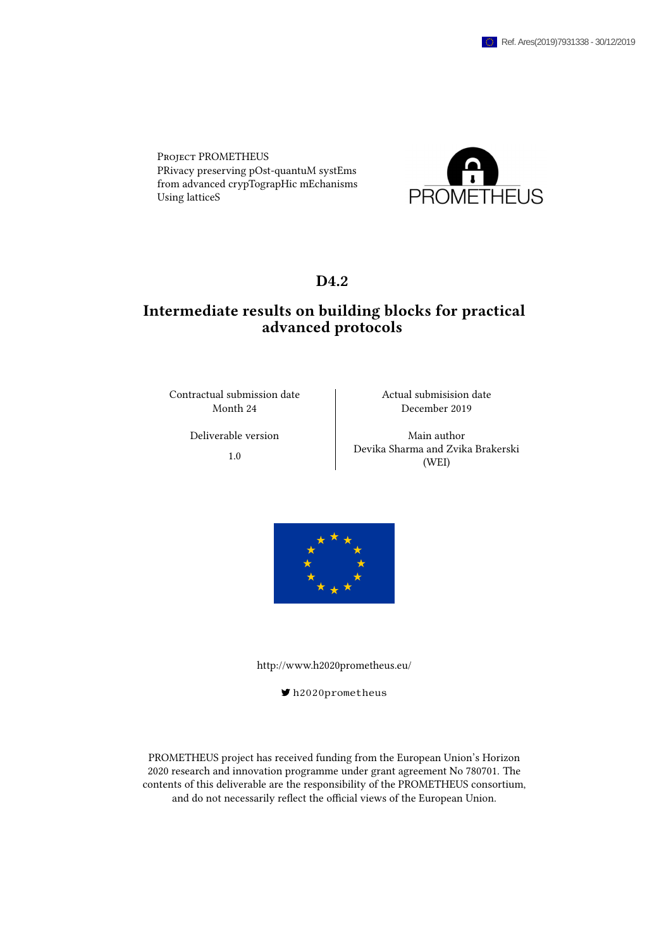Project PROMETHEUS PRivacy preserving pOst-quantuM systEms from advanced crypTograpHic mEchanisms Using latticeS



## D<sub>4.2</sub>

## Intermediate results on building blocks for practical advanced protocols

Contractual submission date and Actual submisision date

Month 24 December 2019

Deliverable version Main author 1.0 Devika Sharma and Zvika Brakerski (WEI)



<http://www.h2020prometheus.eu/>

[h2020prometheus](https://twitter.com/h2020prometheus)

PROMETHEUS project has received funding from the European Union's Horizon 2020 research and innovation programme under grant agreement No 780701. The contents of this deliverable are the responsibility of the PROMETHEUS consortium, and do not necessarily reflect the official views of the European Union.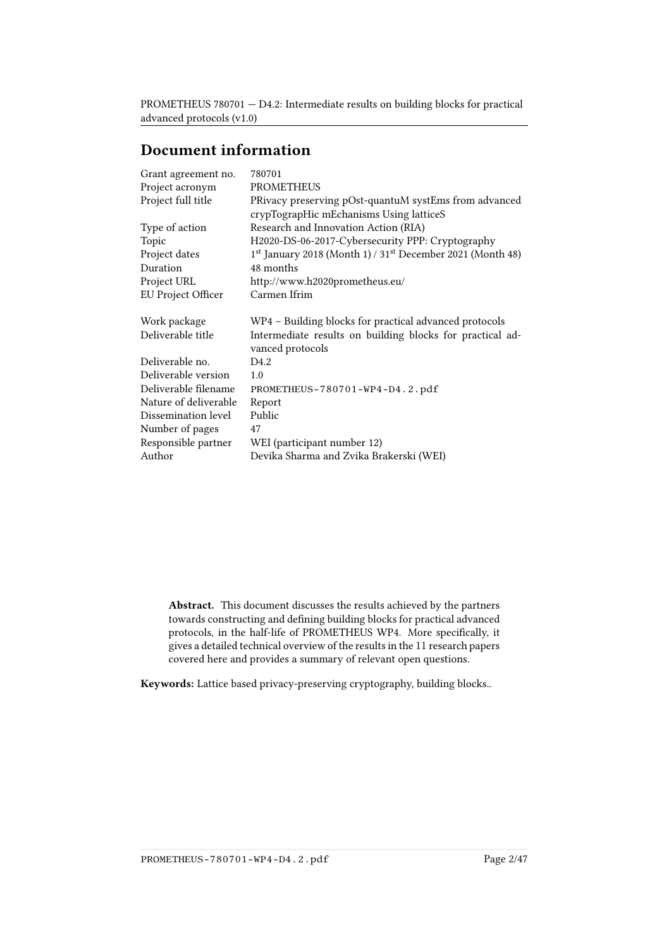# Document information

| Grant agreement no.   | 780701                                                                        |
|-----------------------|-------------------------------------------------------------------------------|
| Project acronym       | PROMETHEUS                                                                    |
| Project full title    | PRivacy preserving pOst-quantuM systEms from advanced                         |
|                       | crypTograpHic mEchanisms Using latticeS                                       |
| Type of action        | Research and Innovation Action (RIA)                                          |
| Topic                 | H2020-DS-06-2017-Cybersecurity PPP: Cryptography                              |
| Project dates         | $1st$ January 2018 (Month 1) / 31 <sup>st</sup> December 2021 (Month 48)      |
| Duration              | 48 months                                                                     |
| Project URL           | http://www.h2020prometheus.eu/                                                |
| EU Project Officer    | Carmen Ifrim                                                                  |
| Work package          | WP4 - Building blocks for practical advanced protocols                        |
| Deliverable title     | Intermediate results on building blocks for practical ad-<br>vanced protocols |
| Deliverable no.       | D4.2                                                                          |
| Deliverable version   | 1.0                                                                           |
| Deliverable filename  | PROMETHEUS-780701-WP4-D4.2.pdf                                                |
| Nature of deliverable | Report                                                                        |
| Dissemination level   | Public                                                                        |
| Number of pages       | 47                                                                            |
| Responsible partner   | WEI (participant number 12)                                                   |
| Author                | Devika Sharma and Zvika Brakerski (WEI)                                       |
|                       |                                                                               |

Abstract. This document discusses the results achieved by the partners towards constructing and defining building blocks for practical advanced protocols, in the half-life of PROMETHEUS WP4. More specifically, it gives a detailed technical overview of the results in the 11 research papers covered here and provides a summary of relevant open questions.

Keywords: Lattice based privacy-preserving cryptography, building blocks..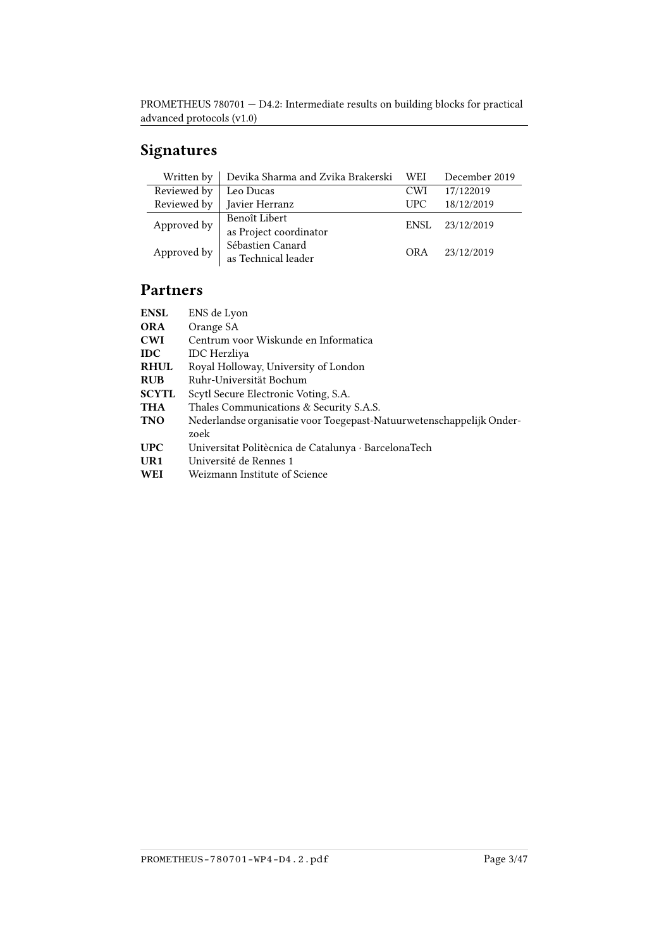# Signatures

| Written by  | Devika Sharma and Zvika Brakerski WEI   |            | December 2019 |
|-------------|-----------------------------------------|------------|---------------|
| Reviewed by | Leo Ducas                               | <b>CWI</b> | 17/122019     |
| Reviewed by | Javier Herranz                          | <b>UPC</b> | 18/12/2019    |
| Approved by | Benoît Libert<br>as Project coordinator | ENSL       | 23/12/2019    |
| Approved by | Sébastien Canard<br>as Technical leader | OR A       | 23/12/2019    |

# Partners

| <b>ENSL</b>     | ENS de Lyon                                                          |
|-----------------|----------------------------------------------------------------------|
| <b>ORA</b>      | Orange SA                                                            |
| <b>CWI</b>      | Centrum voor Wiskunde en Informatica                                 |
| <b>IDC</b>      | <b>IDC</b> Herzliya                                                  |
| <b>RHUL</b>     | Royal Holloway, University of London                                 |
| <b>RUB</b>      | Ruhr-Universität Bochum                                              |
| <b>SCYTL</b>    | Scytl Secure Electronic Voting, S.A.                                 |
| THA             | Thales Communications & Security S.A.S.                              |
| <b>TNO</b>      | Nederlandse organisatie voor Toegepast-Natuurwetenschappelijk Onder- |
|                 | zoek                                                                 |
| <b>UPC</b>      | Universitat Politècnica de Catalunya · BarcelonaTech                 |
| UR <sub>1</sub> | Université de Rennes 1                                               |
| WEI             | Weizmann Institute of Science                                        |
|                 |                                                                      |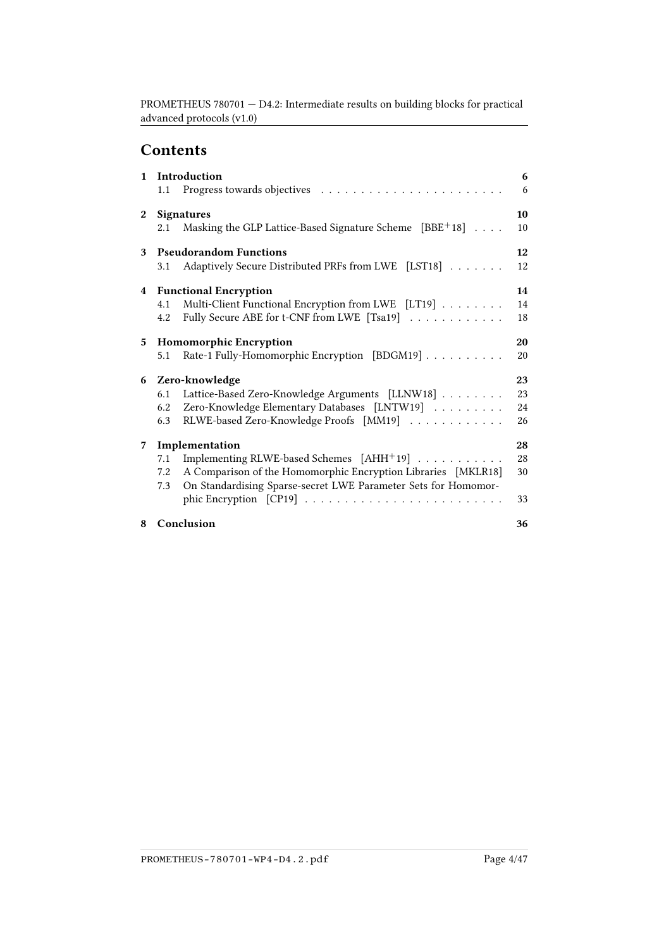# **Contents**

| $\mathbf{1}$     | Introduction<br>1.1 |                                                                                           |          |  |
|------------------|---------------------|-------------------------------------------------------------------------------------------|----------|--|
| $\boldsymbol{2}$ | 2.1                 | <b>Signatures</b><br>Masking the GLP Lattice-Based Signature Scheme [BBE <sup>+</sup> 18] | 10<br>10 |  |
|                  |                     |                                                                                           |          |  |
| 3                |                     | <b>Pseudorandom Functions</b>                                                             | 12       |  |
|                  | 3.1                 | Adaptively Secure Distributed PRFs from LWE [LST18]                                       | 12       |  |
| $4^{\circ}$      |                     | <b>Functional Encryption</b>                                                              | 14       |  |
|                  | 4.1                 | Multi-Client Functional Encryption from LWE [LT19]                                        | 14       |  |
|                  | 4.2                 | Fully Secure ABE for t-CNF from LWE [Tsa19]                                               | 18       |  |
| 5                |                     | 20<br><b>Homomorphic Encryption</b>                                                       |          |  |
|                  | 5.1                 | Rate-1 Fully-Homomorphic Encryption [BDGM19]                                              | 20       |  |
| 6                |                     | Zero-knowledge                                                                            | 23       |  |
|                  | 6.1                 | Lattice-Based Zero-Knowledge Arguments [LLNW18]                                           | 23       |  |
|                  | 6.2                 | Zero-Knowledge Elementary Databases [LNTW19]                                              | 24       |  |
|                  | 6.3                 | RLWE-based Zero-Knowledge Proofs [MM19]                                                   | 26       |  |
| 7                |                     | Implementation                                                                            | 28       |  |
|                  | 7.1                 | Implementing RLWE-based Schemes [AHH <sup>+</sup> 19]                                     | 28       |  |
|                  | 7.2                 | A Comparison of the Homomorphic Encryption Libraries [MKLR18]                             | 30       |  |
|                  | 7.3                 | On Standardising Sparse-secret LWE Parameter Sets for Homomor-                            |          |  |
|                  |                     |                                                                                           | 33       |  |
| 8                |                     | Conclusion                                                                                | 36       |  |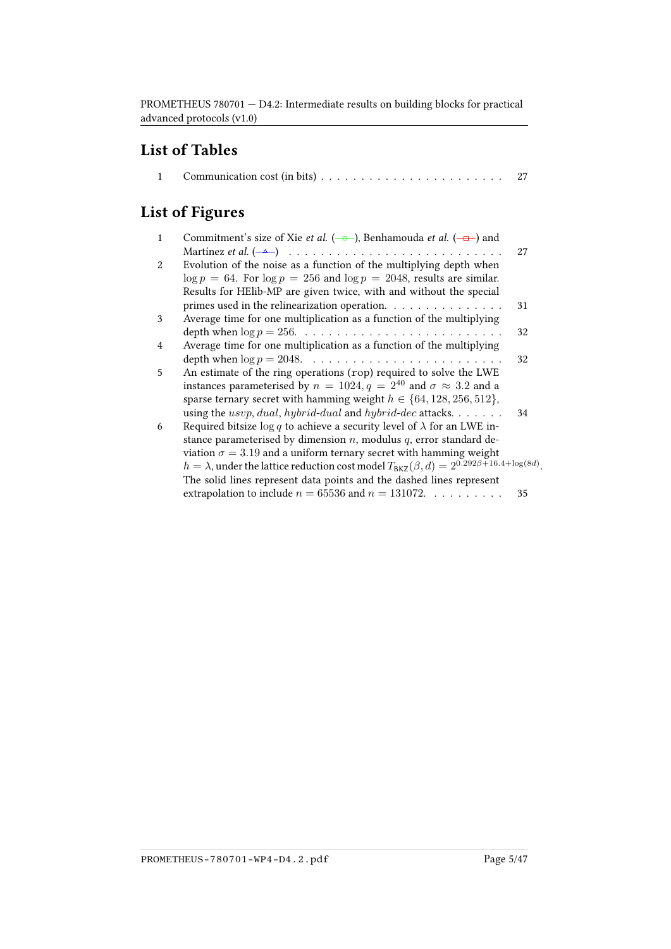# List of Tables

|--|--|--|

# List of Figures

| $\mathbf{1}$ | Commitment's size of Xie <i>et al.</i> ( $\rightarrow$ ), Benhamouda <i>et al.</i> ( $\rightarrow$ ) and        |    |
|--------------|-----------------------------------------------------------------------------------------------------------------|----|
|              |                                                                                                                 | 27 |
| 2            | Evolution of the noise as a function of the multiplying depth when                                              |    |
|              |                                                                                                                 |    |
|              | $\log p = 64$ . For $\log p = 256$ and $\log p = 2048$ , results are similar.                                   |    |
|              | Results for HElib-MP are given twice, with and without the special                                              |    |
|              | primes used in the relinearization operation. $\ldots \ldots \ldots \ldots$                                     | 31 |
| 3            | Average time for one multiplication as a function of the multiplying                                            |    |
|              |                                                                                                                 | 32 |
| 4            | Average time for one multiplication as a function of the multiplying                                            |    |
|              |                                                                                                                 | 32 |
| 5            | An estimate of the ring operations (rop) required to solve the LWE                                              |    |
|              | instances parameterised by $n = 1024, q = 2^{40}$ and $\sigma \approx 3.2$ and a                                |    |
|              | sparse ternary secret with hamming weight $h \in \{64, 128, 256, 512\},\$                                       |    |
|              | using the <i>usvp</i> , <i>dual</i> , <i>hybrid-dual</i> and <i>hybrid-dec</i> attacks. $\ldots \ldots$         | 34 |
| 6            | Required bitsize $\log q$ to achieve a security level of $\lambda$ for an LWE in-                               |    |
|              | stance parameterised by dimension $n$ , modulus $q$ , error standard de-                                        |    |
|              | viation $\sigma = 3.19$ and a uniform ternary secret with hamming weight                                        |    |
|              | $h = \lambda$ , under the lattice reduction cost model $T_{BKZ}(\beta, d) = 2^{0.292\beta + 16.4 + \log(8d)}$ . |    |
|              | The solid lines represent data points and the dashed lines represent                                            |    |
|              | extrapolation to include $n = 65536$ and $n = 131072$ .                                                         | 35 |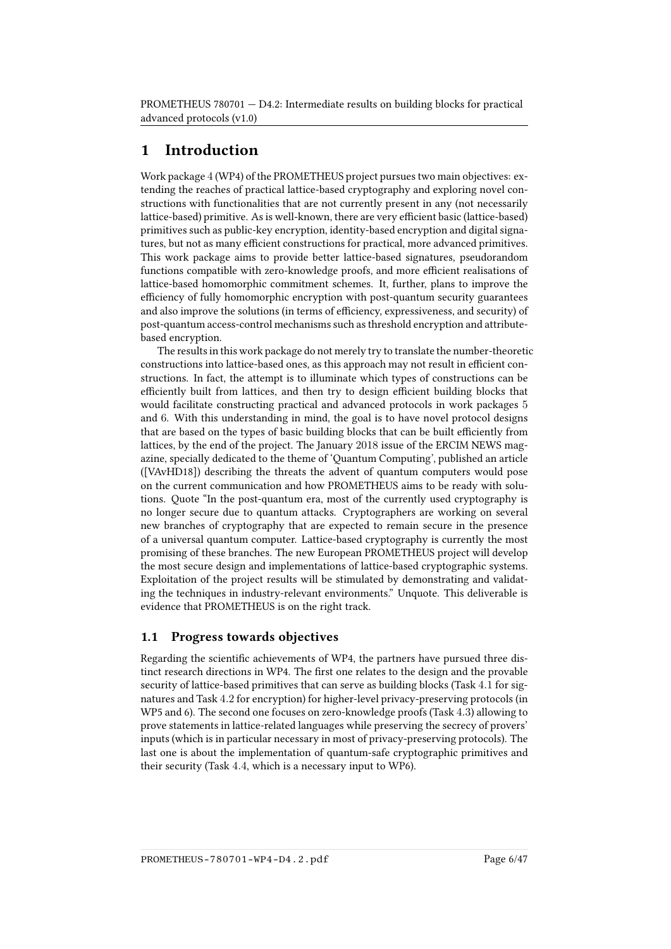## <span id="page-5-0"></span>1 Introduction

Work package 4 (WP4) of the PROMETHEUS project pursues two main objectives: extending the reaches of practical lattice-based cryptography and exploring novel constructions with functionalities that are not currently present in any (not necessarily lattice-based) primitive. As is well-known, there are very efficient basic (lattice-based) primitives such as public-key encryption, identity-based encryption and digital signatures, but not as many efficient constructions for practical, more advanced primitives. This work package aims to provide better lattice-based signatures, pseudorandom functions compatible with zero-knowledge proofs, and more efficient realisations of lattice-based homomorphic commitment schemes. It, further, plans to improve the efficiency of fully homomorphic encryption with post-quantum security guarantees and also improve the solutions (in terms of efficiency, expressiveness, and security) of post-quantum access-control mechanisms such as threshold encryption and attributebased encryption.

The results in this work package do not merely try to translate the number-theoretic constructions into lattice-based ones, as this approach may not result in efficient constructions. In fact, the attempt is to illuminate which types of constructions can be efficiently built from lattices, and then try to design efficient building blocks that would facilitate constructing practical and advanced protocols in work packages 5 and 6. With this understanding in mind, the goal is to have novel protocol designs that are based on the types of basic building blocks that can be built efficiently from lattices, by the end of the project. The January 2018 issue of the ERCIM NEWS magazine, specially dedicated to the theme of 'Quantum Computing', published an article ([\[VAvHD18\]](#page-46-1)) describing the threats the advent of quantum computers would pose on the current communication and how PROMETHEUS aims to be ready with solutions. Quote "In the post-quantum era, most of the currently used cryptography is no longer secure due to quantum attacks. Cryptographers are working on several new branches of cryptography that are expected to remain secure in the presence of a universal quantum computer. Lattice-based cryptography is currently the most promising of these branches. The new European PROMETHEUS project will develop the most secure design and implementations of lattice-based cryptographic systems. Exploitation of the project results will be stimulated by demonstrating and validating the techniques in industry-relevant environments." Unquote. This deliverable is evidence that PROMETHEUS is on the right track.

## <span id="page-5-1"></span>1.1 Progress towards objectives

Regarding the scientific achievements of WP4, the partners have pursued three distinct research directions in WP4. The first one relates to the design and the provable security of lattice-based primitives that can serve as building blocks (Task 4.1 for signatures and Task 4.2 for encryption) for higher-level privacy-preserving protocols (in WP5 and 6). The second one focuses on zero-knowledge proofs (Task 4.3) allowing to prove statements in lattice-related languages while preserving the secrecy of provers' inputs (which is in particular necessary in most of privacy-preserving protocols). The last one is about the implementation of quantum-safe cryptographic primitives and their security (Task 4.4, which is a necessary input to WP6).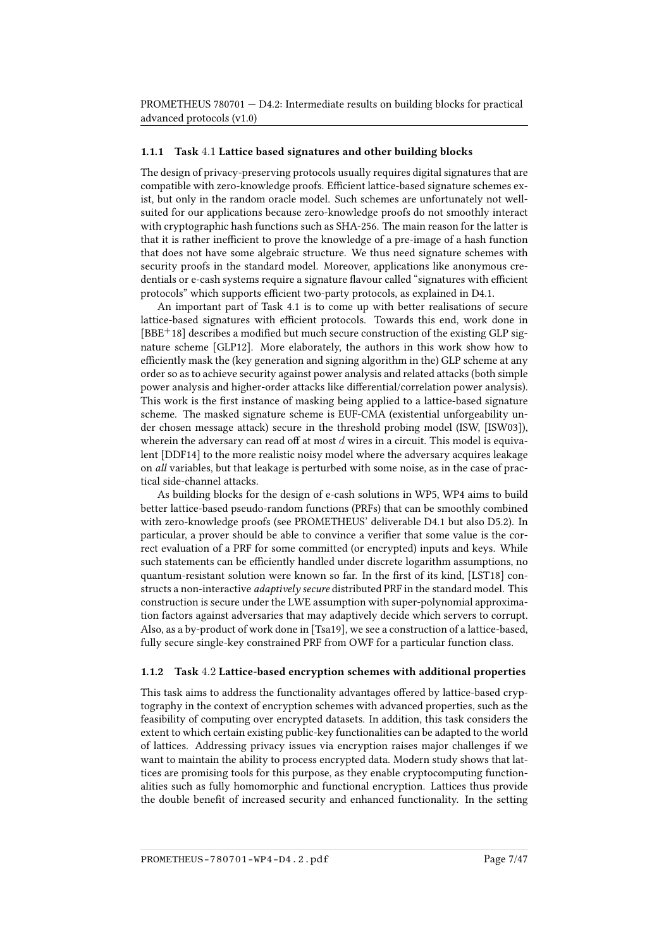#### 1.1.1 Task 4.1 Lattice based signatures and other building blocks

The design of privacy-preserving protocols usually requires digital signatures that are compatible with zero-knowledge proofs. Efficient lattice-based signature schemes exist, but only in the random oracle model. Such schemes are unfortunately not wellsuited for our applications because zero-knowledge proofs do not smoothly interact with cryptographic hash functions such as SHA-256. The main reason for the latter is that it is rather inefficient to prove the knowledge of a pre-image of a hash function that does not have some algebraic structure. We thus need signature schemes with security proofs in the standard model. Moreover, applications like anonymous credentials or e-cash systems require a signature flavour called "signatures with efficient protocols" which supports efficient two-party protocols, as explained in D4.1.

An important part of Task 4.1 is to come up with better realisations of secure lattice-based signatures with efficient protocols. Towards this end, work done in  $[BBE<sup>+</sup>18]$  $[BBE<sup>+</sup>18]$  describes a modified but much secure construction of the existing GLP signature scheme [\[GLP12\]](#page-41-0). More elaborately, the authors in this work show how to efficiently mask the (key generation and signing algorithm in the) GLP scheme at any order so as to achieve security against power analysis and related attacks (both simple power analysis and higher-order attacks like differential/correlation power analysis). This work is the first instance of masking being applied to a lattice-based signature scheme. The masked signature scheme is EUF-CMA (existential unforgeability under chosen message attack) secure in the threshold probing model (ISW, [\[ISW03\]](#page-43-2)), wherein the adversary can read off at most  $d$  wires in a circuit. This model is equivalent [\[DDF14\]](#page-40-0) to the more realistic noisy model where the adversary acquires leakage on all variables, but that leakage is perturbed with some noise, as in the case of practical side-channel attacks.

As building blocks for the design of e-cash solutions in WP5, WP4 aims to build better lattice-based pseudo-random functions (PRFs) that can be smoothly combined with zero-knowledge proofs (see PROMETHEUS' deliverable D4.1 but also D5.2). In particular, a prover should be able to convince a verifier that some value is the correct evaluation of a PRF for some committed (or encrypted) inputs and keys. While such statements can be efficiently handled under discrete logarithm assumptions, no quantum-resistant solution were known so far. In the first of its kind, [\[LST18\]](#page-44-0) constructs a non-interactive *adaptively secure* distributed PRF in the standard model. This construction is secure under the LWE assumption with super-polynomial approximation factors against adversaries that may adaptively decide which servers to corrupt. Also, as a by-product of work done in [\[Tsa19\]](#page-46-0), we see a construction of a lattice-based, fully secure single-key constrained PRF from OWF for a particular function class.

#### 1.1.2 Task 4.2 Lattice-based encryption schemes with additional properties

This task aims to address the functionality advantages offered by lattice-based cryptography in the context of encryption schemes with advanced properties, such as the feasibility of computing over encrypted datasets. In addition, this task considers the extent to which certain existing public-key functionalities can be adapted to the world of lattices. Addressing privacy issues via encryption raises major challenges if we want to maintain the ability to process encrypted data. Modern study shows that lattices are promising tools for this purpose, as they enable cryptocomputing functionalities such as fully homomorphic and functional encryption. Lattices thus provide the double benefit of increased security and enhanced functionality. In the setting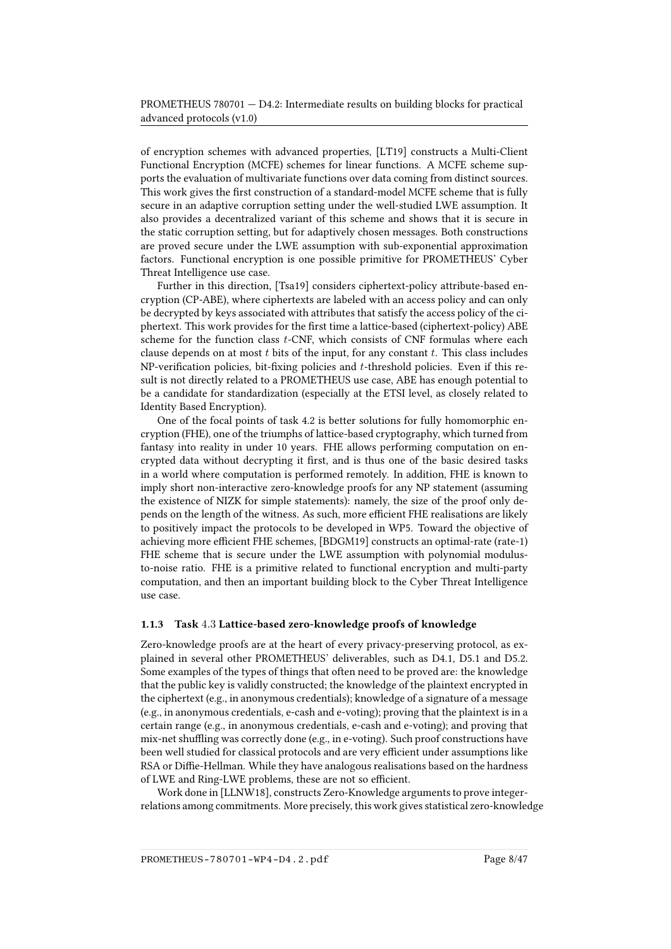of encryption schemes with advanced properties, [\[LT19\]](#page-44-1) constructs a Multi-Client Functional Encryption (MCFE) schemes for linear functions. A MCFE scheme supports the evaluation of multivariate functions over data coming from distinct sources. This work gives the first construction of a standard-model MCFE scheme that is fully secure in an adaptive corruption setting under the well-studied LWE assumption. It also provides a decentralized variant of this scheme and shows that it is secure in the static corruption setting, but for adaptively chosen messages. Both constructions are proved secure under the LWE assumption with sub-exponential approximation factors. Functional encryption is one possible primitive for PROMETHEUS' Cyber Threat Intelligence use case.

Further in this direction, [\[Tsa19\]](#page-46-0) considers ciphertext-policy attribute-based encryption (CP-ABE), where ciphertexts are labeled with an access policy and can only be decrypted by keys associated with attributes that satisfy the access policy of the ciphertext. This work provides for the first time a lattice-based (ciphertext-policy) ABE scheme for the function class *t*-CNF, which consists of CNF formulas where each clause depends on at most  $t$  bits of the input, for any constant  $t$ . This class includes NP-verification policies, bit-fixing policies and t-threshold policies. Even if this result is not directly related to a PROMETHEUS use case, ABE has enough potential to be a candidate for standardization (especially at the ETSI level, as closely related to Identity Based Encryption).

One of the focal points of task 4.2 is better solutions for fully homomorphic encryption (FHE), one of the triumphs of lattice-based cryptography, which turned from fantasy into reality in under 10 years. FHE allows performing computation on encrypted data without decrypting it first, and is thus one of the basic desired tasks in a world where computation is performed remotely. In addition, FHE is known to imply short non-interactive zero-knowledge proofs for any NP statement (assuming the existence of NIZK for simple statements): namely, the size of the proof only depends on the length of the witness. As such, more efficient FHE realisations are likely to positively impact the protocols to be developed in WP5. Toward the objective of achieving more efficient FHE schemes, [\[BDGM19\]](#page-37-0) constructs an optimal-rate (rate-1) FHE scheme that is secure under the LWE assumption with polynomial modulusto-noise ratio. FHE is a primitive related to functional encryption and multi-party computation, and then an important building block to the Cyber Threat Intelligence use case.

#### 1.1.3 Task 4.3 Lattice-based zero-knowledge proofs of knowledge

Zero-knowledge proofs are at the heart of every privacy-preserving protocol, as explained in several other PROMETHEUS' deliverables, such as D4.1, D5.1 and D5.2. Some examples of the types of things that often need to be proved are: the knowledge that the public key is validly constructed; the knowledge of the plaintext encrypted in the ciphertext (e.g., in anonymous credentials); knowledge of a signature of a message (e.g., in anonymous credentials, e-cash and e-voting); proving that the plaintext is in a certain range (e.g., in anonymous credentials, e-cash and e-voting); and proving that mix-net shuffling was correctly done (e.g., in e-voting). Such proof constructions have been well studied for classical protocols and are very efficient under assumptions like RSA or Diffie-Hellman. While they have analogous realisations based on the hardness of LWE and Ring-LWE problems, these are not so efficient.

Work done in [\[LLNW18\]](#page-43-0), constructs Zero-Knowledge arguments to prove integerrelations among commitments. More precisely, this work gives statistical zero-knowledge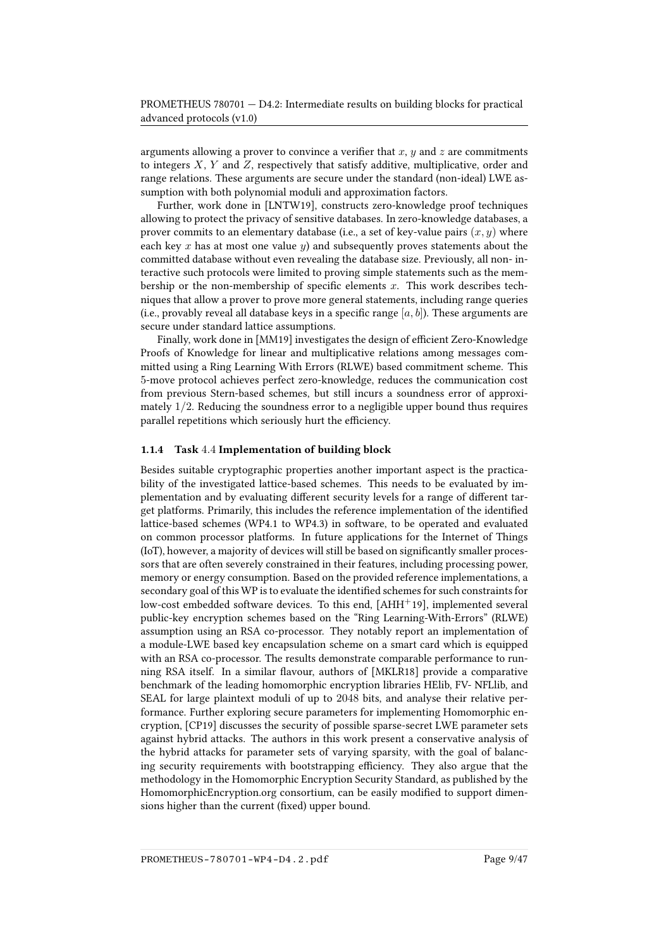arguments allowing a prover to convince a verifier that  $x, y$  and  $z$  are commitments to integers  $X$ ,  $Y$  and  $Z$ , respectively that satisfy additive, multiplicative, order and range relations. These arguments are secure under the standard (non-ideal) LWE assumption with both polynomial moduli and approximation factors.

Further, work done in [\[LNTW19\]](#page-43-1), constructs zero-knowledge proof techniques allowing to protect the privacy of sensitive databases. In zero-knowledge databases, a prover commits to an elementary database (i.e., a set of key-value pairs  $(x, y)$  where each key x has at most one value y) and subsequently proves statements about the committed database without even revealing the database size. Previously, all non- interactive such protocols were limited to proving simple statements such as the membership or the non-membership of specific elements  $x$ . This work describes techniques that allow a prover to prove more general statements, including range queries (i.e., provably reveal all database keys in a specific range  $[a, b]$ ). These arguments are secure under standard lattice assumptions.

Finally, work done in [\[MM19\]](#page-45-0) investigates the design of efficient Zero-Knowledge Proofs of Knowledge for linear and multiplicative relations among messages committed using a Ring Learning With Errors (RLWE) based commitment scheme. This 5-move protocol achieves perfect zero-knowledge, reduces the communication cost from previous Stern-based schemes, but still incurs a soundness error of approximately  $1/2$ . Reducing the soundness error to a negligible upper bound thus requires parallel repetitions which seriously hurt the efficiency.

#### 1.1.4 Task 4.4 Implementation of building block

Besides suitable cryptographic properties another important aspect is the practicability of the investigated lattice-based schemes. This needs to be evaluated by implementation and by evaluating different security levels for a range of different target platforms. Primarily, this includes the reference implementation of the identified lattice-based schemes (WP4.1 to WP4.3) in software, to be operated and evaluated on common processor platforms. In future applications for the Internet of Things (IoT), however, a majority of devices will still be based on significantly smaller processors that are often severely constrained in their features, including processing power, memory or energy consumption. Based on the provided reference implementations, a secondary goal of this WP is to evaluate the identified schemes for such constraints for low-cost embedded software devices. To this end, [\[AHH](#page-36-1)<sup>+</sup>19], implemented several public-key encryption schemes based on the "Ring Learning-With-Errors" (RLWE) assumption using an RSA co-processor. They notably report an implementation of a module-LWE based key encapsulation scheme on a smart card which is equipped with an RSA co-processor. The results demonstrate comparable performance to run-ning RSA itself. In a similar flavour, authors of [\[MKLR18\]](#page-44-2) provide a comparative benchmark of the leading homomorphic encryption libraries HElib, FV- NFLlib, and SEAL for large plaintext moduli of up to 2048 bits, and analyse their relative performance. Further exploring secure parameters for implementing Homomorphic encryption, [\[CP19\]](#page-39-0) discusses the security of possible sparse-secret LWE parameter sets against hybrid attacks. The authors in this work present a conservative analysis of the hybrid attacks for parameter sets of varying sparsity, with the goal of balancing security requirements with bootstrapping efficiency. They also argue that the methodology in the Homomorphic Encryption Security Standard, as published by the HomomorphicEncryption.org consortium, can be easily modified to support dimensions higher than the current (fixed) upper bound.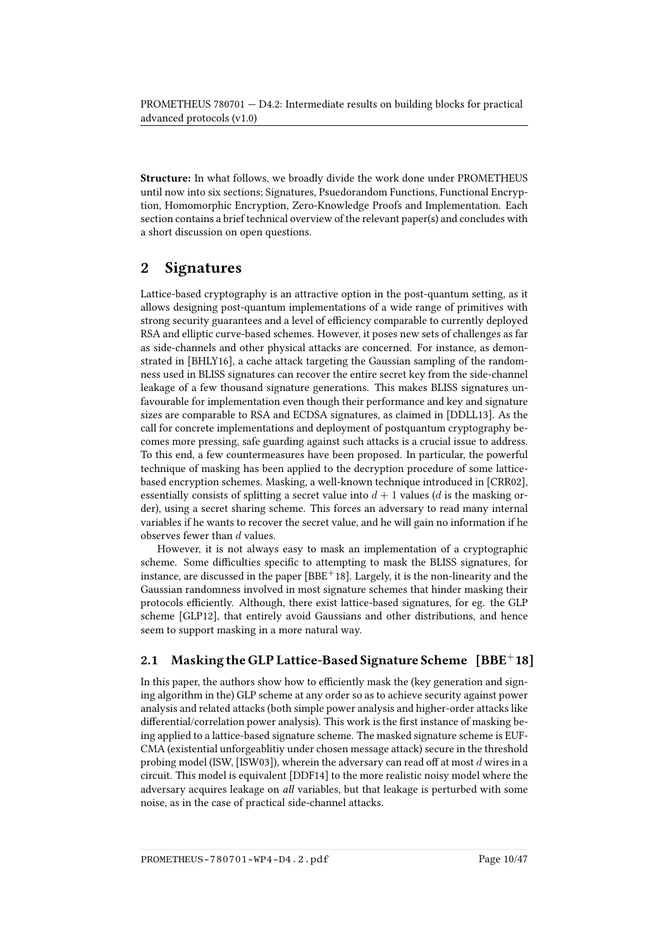Structure: In what follows, we broadly divide the work done under PROMETHEUS until now into six sections; Signatures, Psuedorandom Functions, Functional Encryption, Homomorphic Encryption, Zero-Knowledge Proofs and Implementation. Each section contains a brief technical overview of the relevant paper(s) and concludes with a short discussion on open questions.

# <span id="page-9-0"></span>2 Signatures

Lattice-based cryptography is an attractive option in the post-quantum setting, as it allows designing post-quantum implementations of a wide range of primitives with strong security guarantees and a level of efficiency comparable to currently deployed RSA and elliptic curve-based schemes. However, it poses new sets of challenges as far as side-channels and other physical attacks are concerned. For instance, as demonstrated in [\[BHLY16\]](#page-37-1), a cache attack targeting the Gaussian sampling of the randomness used in BLISS signatures can recover the entire secret key from the side-channel leakage of a few thousand signature generations. This makes BLISS signatures unfavourable for implementation even though their performance and key and signature sizes are comparable to RSA and ECDSA signatures, as claimed in [\[DDLL13\]](#page-40-1). As the call for concrete implementations and deployment of postquantum cryptography becomes more pressing, safe guarding against such attacks is a crucial issue to address. To this end, a few countermeasures have been proposed. In particular, the powerful technique of masking has been applied to the decryption procedure of some latticebased encryption schemes. Masking, a well-known technique introduced in [\[CRR02\]](#page-39-1), essentially consists of splitting a secret value into  $d+1$  values (d is the masking order), using a secret sharing scheme. This forces an adversary to read many internal variables if he wants to recover the secret value, and he will gain no information if he observes fewer than  $d$  values.

However, it is not always easy to mask an implementation of a cryptographic scheme. Some difficulties specific to attempting to mask the BLISS signatures, for instance, are discussed in the paper  $[BBE<sup>+</sup>18]$  $[BBE<sup>+</sup>18]$ . Largely, it is the non-linearity and the Gaussian randomness involved in most signature schemes that hinder masking their protocols efficiently. Although, there exist lattice-based signatures, for eg. the GLP scheme [\[GLP12\]](#page-41-0), that entirely avoid Gaussians and other distributions, and hence seem to support masking in a more natural way.

## <span id="page-9-1"></span>2.1 Masking the GLP Lattice-Based Signature Scheme  $[BBE^+18]$  $[BBE^+18]$

In this paper, the authors show how to efficiently mask the (key generation and signing algorithm in the) GLP scheme at any order so as to achieve security against power analysis and related attacks (both simple power analysis and higher-order attacks like differential/correlation power analysis). This work is the first instance of masking being applied to a lattice-based signature scheme. The masked signature scheme is EUF-CMA (existential unforgeablitiy under chosen message attack) secure in the threshold probing model (ISW, [\[ISW03\]](#page-43-2)), wherein the adversary can read off at most d wires in a circuit. This model is equivalent [\[DDF14\]](#page-40-0) to the more realistic noisy model where the adversary acquires leakage on all variables, but that leakage is perturbed with some noise, as in the case of practical side-channel attacks.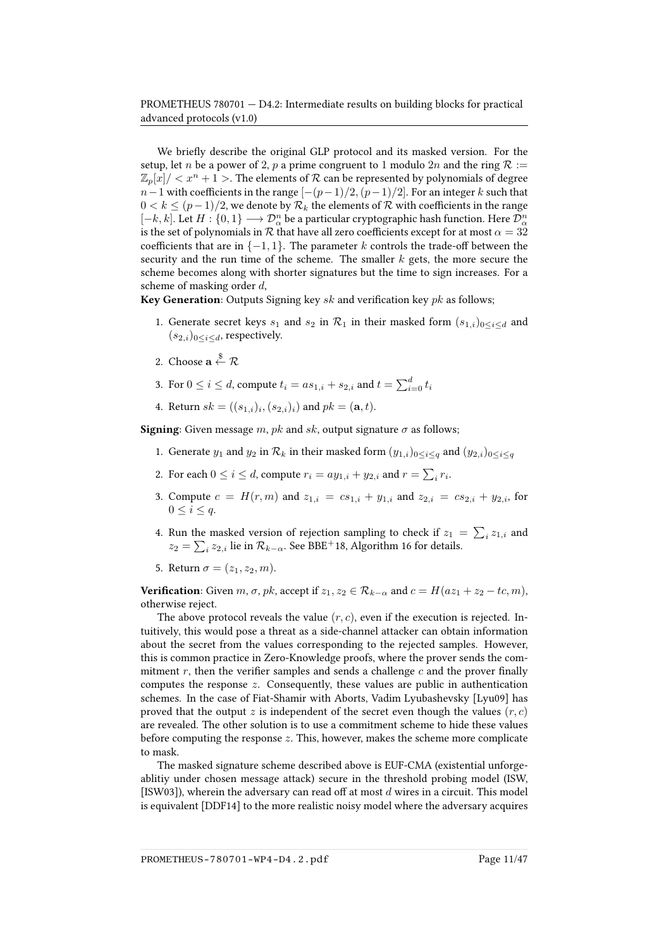We briefly describe the original GLP protocol and its masked version. For the setup, let *n* be a power of 2, *p* a prime congruent to 1 modulo 2*n* and the ring  $R :=$  $\mathbb{Z}_p[x]/\langle x^n+1\rangle$ . The elements of  $\mathcal R$  can be represented by polynomials of degree  $n-1$  with coefficients in the range  $[-(p-1)/2,(p-1)/2]$ . For an integer k such that  $0 < k < (p-1)/2$ , we denote by  $\mathcal{R}_k$  the elements of  $\mathcal R$  with coefficients in the range  $[-k,k].$  Let  $H:\{0,1\}\longrightarrow \mathcal{D}_\alpha^n$  be a particular cryptographic hash function. Here  $\mathcal{D}_\alpha^n$ is the set of polynomials in  $R$  that have all zero coefficients except for at most  $\alpha = 32$ coefficients that are in  $\{-1, 1\}$ . The parameter k controls the trade-off between the security and the run time of the scheme. The smaller  $k$  gets, the more secure the scheme becomes along with shorter signatures but the time to sign increases. For a scheme of masking order d,

**Key Generation**: Outputs Signing key  $sk$  and verification key  $pk$  as follows;

- 1. Generate secret keys  $s_1$  and  $s_2$  in  $\mathcal{R}_1$  in their masked form  $(s_{1,i})_{0 \leq i \leq d}$  and  $(s_{2,i})_{0\leq i\leq d}$ , respectively.
- 2. Choose  $\mathbf{a} \overset{\$}{\leftarrow} \mathcal{R}$
- 3. For  $0 \leq i \leq d$ , compute  $t_i = as_{1,i} + s_{2,i}$  and  $t = \sum_{i=0}^d t_i$
- 4. Return  $sk = ((s_{1,i})_i, (s_{2,i})_i)$  and  $pk = (\mathbf{a}, t)$ .

**Signing:** Given message m, pk and sk, output signature  $\sigma$  as follows;

- 1. Generate  $y_1$  and  $y_2$  in  $\mathcal{R}_k$  in their masked form  $(y_{1,i})_{0\leq i\leq q}$  and  $(y_{2,i})_{0\leq i\leq q}$
- 2. For each  $0 \le i \le d$ , compute  $r_i = ay_{1,i} + y_{2,i}$  and  $r = \sum_i r_i$ .
- 3. Compute  $c = H(r, m)$  and  $z_{1,i} = cs_{1,i} + y_{1,i}$  and  $z_{2,i} = cs_{2,i} + y_{2,i}$ , for  $0 \leq i \leq q$ .
- 4. Run the masked version of rejection sampling to check if  $z_1 = \sum_i z_{1,i}$  and  $z_2=\sum_i z_{2,i}$ lie in $\mathcal{R}_{k-\alpha}.$  See [BBE](#page-36-0)<sup>+</sup>18, Algorithm 16 for details.
- 5. Return  $\sigma = (z_1, z_2, m)$ .

**Verification:** Given  $m, \sigma, pk$ , accept if  $z_1, z_2 \in \mathcal{R}_{k-\alpha}$  and  $c = H(az_1 + z_2 - tc, m)$ , otherwise reject.

The above protocol reveals the value  $(r, c)$ , even if the execution is rejected. Intuitively, this would pose a threat as a side-channel attacker can obtain information about the secret from the values corresponding to the rejected samples. However, this is common practice in Zero-Knowledge proofs, where the prover sends the commitment  $r$ , then the verifier samples and sends a challenge  $c$  and the prover finally computes the response  $z$ . Consequently, these values are public in authentication schemes. In the case of Fiat-Shamir with Aborts, Vadim Lyubashevsky [\[Lyu09\]](#page-44-3) has proved that the output z is independent of the secret even though the values  $(r, c)$ are revealed. The other solution is to use a commitment scheme to hide these values before computing the response  $z$ . This, however, makes the scheme more complicate to mask.

The masked signature scheme described above is EUF-CMA (existential unforgeablitiy under chosen message attack) secure in the threshold probing model (ISW, [\[ISW03\]](#page-43-2)), wherein the adversary can read off at most  $d$  wires in a circuit. This model is equivalent [\[DDF14\]](#page-40-0) to the more realistic noisy model where the adversary acquires

PROMETHEUS-780701-WP4-D4.2.pdf Page 11/47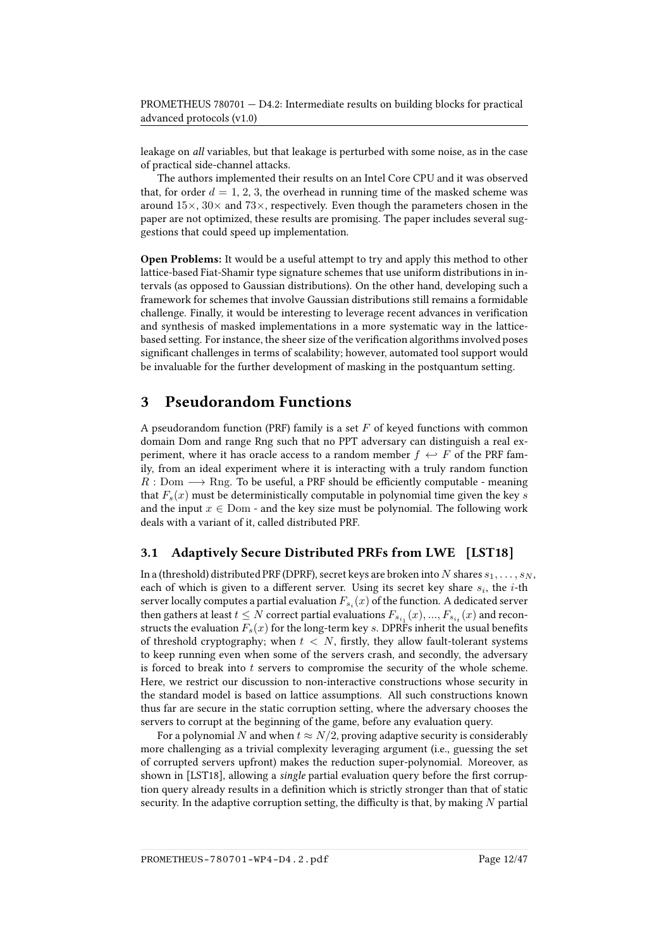leakage on all variables, but that leakage is perturbed with some noise, as in the case of practical side-channel attacks.

The authors implemented their results on an Intel Core CPU and it was observed that, for order  $d = 1, 2, 3$ , the overhead in running time of the masked scheme was around  $15\times$ ,  $30\times$  and  $73\times$ , respectively. Even though the parameters chosen in the paper are not optimized, these results are promising. The paper includes several suggestions that could speed up implementation.

Open Problems: It would be a useful attempt to try and apply this method to other lattice-based Fiat-Shamir type signature schemes that use uniform distributions in intervals (as opposed to Gaussian distributions). On the other hand, developing such a framework for schemes that involve Gaussian distributions still remains a formidable challenge. Finally, it would be interesting to leverage recent advances in verification and synthesis of masked implementations in a more systematic way in the latticebased setting. For instance, the sheer size of the verification algorithms involved poses significant challenges in terms of scalability; however, automated tool support would be invaluable for the further development of masking in the postquantum setting.

## <span id="page-11-0"></span>3 Pseudorandom Functions

A pseudorandom function (PRF) family is a set  $F$  of keyed functions with common domain Dom and range Rng such that no PPT adversary can distinguish a real experiment, where it has oracle access to a random member  $f \leftrightarrow F$  of the PRF family, from an ideal experiment where it is interacting with a truly random function  $R:$  Dom  $\longrightarrow$  Rng. To be useful, a PRF should be efficiently computable - meaning that  $F_s(x)$  must be deterministically computable in polynomial time given the key s and the input  $x \in \text{Dom}$  - and the key size must be polynomial. The following work deals with a variant of it, called distributed PRF.

#### <span id="page-11-1"></span>3.1 Adaptively Secure Distributed PRFs from LWE [\[LST18\]](#page-44-0)

In a (threshold) distributed PRF (DPRF), secret keys are broken into N shares  $s_1, \ldots, s_N$ , each of which is given to a different server. Using its secret key share  $s_i$ , the *i*-th server locally computes a partial evaluation  $F_{s_i}(x)$  of the function. A dedicated server then gathers at least  $t\leq N$  correct partial evaluations  $F_{s_{i_1}}(x),...,F_{s_{i_t}}(x)$  and reconstructs the evaluation  $F_s(x)$  for the long-term key s. DPRFs inherit the usual benefits of threshold cryptography; when  $t < N$ , firstly, they allow fault-tolerant systems to keep running even when some of the servers crash, and secondly, the adversary is forced to break into  $t$  servers to compromise the security of the whole scheme. Here, we restrict our discussion to non-interactive constructions whose security in the standard model is based on lattice assumptions. All such constructions known thus far are secure in the static corruption setting, where the adversary chooses the servers to corrupt at the beginning of the game, before any evaluation query.

For a polynomial N and when  $t \approx N/2$ , proving adaptive security is considerably more challenging as a trivial complexity leveraging argument (i.e., guessing the set of corrupted servers upfront) makes the reduction super-polynomial. Moreover, as shown in [\[LST18\]](#page-44-0), allowing a *single* partial evaluation query before the first corruption query already results in a definition which is strictly stronger than that of static security. In the adaptive corruption setting, the difficulty is that, by making  $N$  partial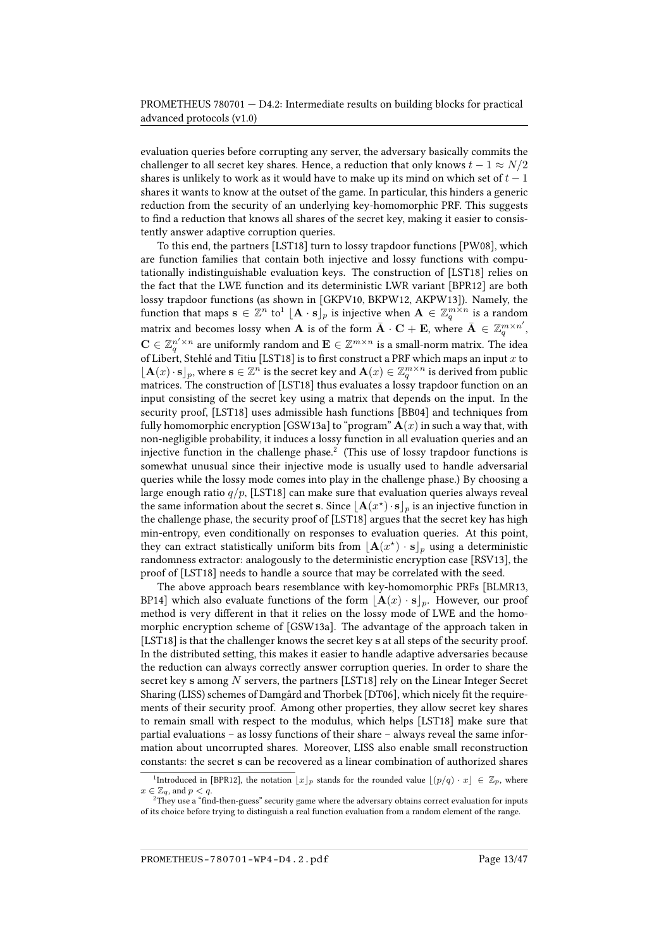evaluation queries before corrupting any server, the adversary basically commits the challenger to all secret key shares. Hence, a reduction that only knows  $t - 1 \approx N/2$ shares is unlikely to work as it would have to make up its mind on which set of  $t-1$ shares it wants to know at the outset of the game. In particular, this hinders a generic reduction from the security of an underlying key-homomorphic PRF. This suggests to find a reduction that knows all shares of the secret key, making it easier to consistently answer adaptive corruption queries.

To this end, the partners [\[LST18\]](#page-44-0) turn to lossy trapdoor functions [\[PW08\]](#page-45-1), which are function families that contain both injective and lossy functions with computationally indistinguishable evaluation keys. The construction of [\[LST18\]](#page-44-0) relies on the fact that the LWE function and its deterministic LWR variant [\[BPR12\]](#page-38-0) are both lossy trapdoor functions (as shown in [\[GKPV10,](#page-41-1) [BKPW12,](#page-37-2) [AKPW13\]](#page-36-2)). Namely, the function that maps  $\mathbf{s} \in \mathbb{Z}^n$  to  $^1 \lfloor \mathbf{A} \cdot \mathbf{s} \rfloor_p$  $^1 \lfloor \mathbf{A} \cdot \mathbf{s} \rfloor_p$  $^1 \lfloor \mathbf{A} \cdot \mathbf{s} \rfloor_p$  is injective when  $\mathbf{A} \in \mathbb{Z}_q^{m \times n}$  is a random matrix and becomes lossy when  ${\bf A}$  is of the form  $\bar{\bf A}\cdot{\bf C}+{\bf E},$  where  $\bar{\bf A}\,\in\,\mathbb{Z}_q^{m\times n'},$  $\mathbf{C}\in \mathbb{Z}_q^{n'\times n}$  are uniformly random and  $\mathbf{E}\in \mathbb{Z}^{m\times n}$  is a small-norm matrix. The idea of Libert, Stehlé and Titiu [\[LST18\]](#page-44-0) is to first construct a PRF which maps an input x to  $\lfloor \mathbf{A}(x) \cdot \mathbf{s} \rfloor_p$ , where  $\mathbf{s} \in \mathbb{Z}^n$  is the secret key and  $\mathbf{A}(x) \in \mathbb{Z}_q^{m \times n}$  is derived from public matrices. The construction of [\[LST18\]](#page-44-0) thus evaluates a lossy trapdoor function on an input consisting of the secret key using a matrix that depends on the input. In the security proof, [\[LST18\]](#page-44-0) uses admissible hash functions [\[BB04\]](#page-36-3) and techniques from fully homomorphic encryption [\[GSW13a\]](#page-42-0) to "program"  $\mathbf{A}(x)$  in such a way that, with non-negligible probability, it induces a lossy function in all evaluation queries and an injective function in the challenge phase.<sup>[2](#page-12-1)</sup> (This use of lossy trapdoor functions is somewhat unusual since their injective mode is usually used to handle adversarial queries while the lossy mode comes into play in the challenge phase.) By choosing a large enough ratio  $q/p$ , [\[LST18\]](#page-44-0) can make sure that evaluation queries always reveal the same information about the secret s. Since  $\lfloor \mathbf{A}(x^{\star}) \cdot \mathbf{s} \rfloor_p$  is an injective function in the challenge phase, the security proof of [\[LST18\]](#page-44-0) argues that the secret key has high min-entropy, even conditionally on responses to evaluation queries. At this point, they can extract statistically uniform bits from  $\lfloor \mathbf{A}(x^{\star}) \cdot \mathbf{s}\rfloor_p$  using a deterministic randomness extractor: analogously to the deterministic encryption case [\[RSV13\]](#page-46-2), the proof of [\[LST18\]](#page-44-0) needs to handle a source that may be correlated with the seed.

The above approach bears resemblance with key-homomorphic PRFs [\[BLMR13,](#page-37-3) [BP14\]](#page-38-1) which also evaluate functions of the form  $\mathbf{A}(x) \cdot \mathbf{s}|_p$ . However, our proof method is very different in that it relies on the lossy mode of LWE and the homomorphic encryption scheme of [\[GSW13a\]](#page-42-0). The advantage of the approach taken in [\[LST18\]](#page-44-0) is that the challenger knows the secret key s at all steps of the security proof. In the distributed setting, this makes it easier to handle adaptive adversaries because the reduction can always correctly answer corruption queries. In order to share the secret key  $s$  among  $N$  servers, the partners [\[LST18\]](#page-44-0) rely on the Linear Integer Secret Sharing (LISS) schemes of Damgård and Thorbek [\[DT06\]](#page-40-2), which nicely fit the requirements of their security proof. Among other properties, they allow secret key shares to remain small with respect to the modulus, which helps [\[LST18\]](#page-44-0) make sure that partial evaluations – as lossy functions of their share – always reveal the same information about uncorrupted shares. Moreover, LISS also enable small reconstruction constants: the secret s can be recovered as a linear combination of authorized shares

<span id="page-12-0"></span><sup>&</sup>lt;sup>1</sup>Introduced in [\[BPR12\]](#page-38-0), the notation  $\lfloor x \rfloor_p$  stands for the rounded value  $\lfloor (p/q) \cdot x \rfloor \in \mathbb{Z}_p$ , where  $x\in\mathbb{Z}_q$ , and  $p < q$ .

<span id="page-12-1"></span> $^2$ They use a "find-then-guess" security game where the adversary obtains correct evaluation for inputs of its choice before trying to distinguish a real function evaluation from a random element of the range.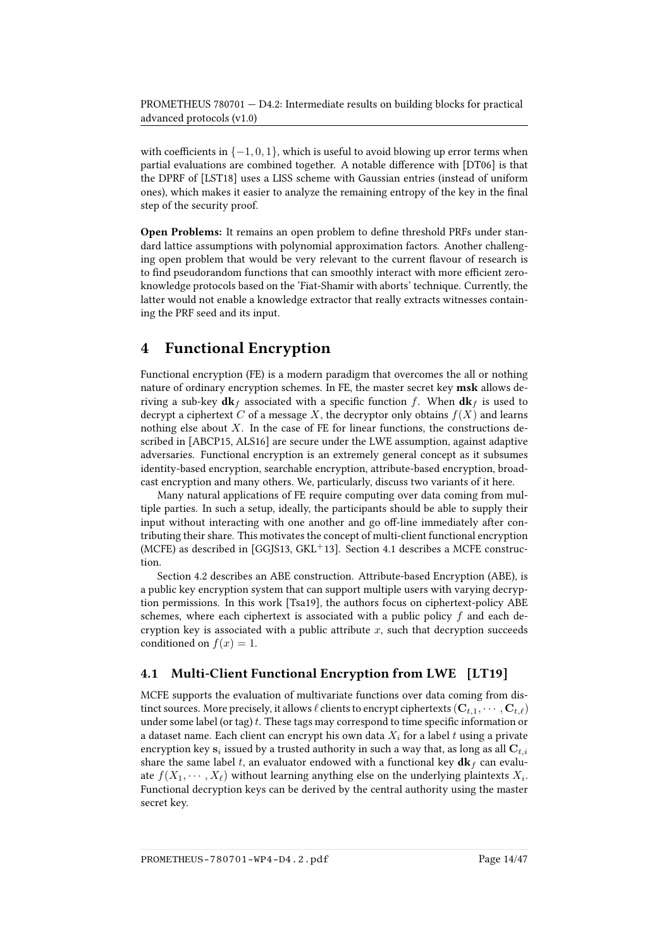with coefficients in  $\{-1, 0, 1\}$ , which is useful to avoid blowing up error terms when partial evaluations are combined together. A notable difference with [\[DT06\]](#page-40-2) is that the DPRF of [\[LST18\]](#page-44-0) uses a LISS scheme with Gaussian entries (instead of uniform ones), which makes it easier to analyze the remaining entropy of the key in the final step of the security proof.

Open Problems: It remains an open problem to define threshold PRFs under standard lattice assumptions with polynomial approximation factors. Another challenging open problem that would be very relevant to the current flavour of research is to find pseudorandom functions that can smoothly interact with more efficient zeroknowledge protocols based on the 'Fiat-Shamir with aborts' technique. Currently, the latter would not enable a knowledge extractor that really extracts witnesses containing the PRF seed and its input.

## <span id="page-13-0"></span>4 Functional Encryption

Functional encryption (FE) is a modern paradigm that overcomes the all or nothing nature of ordinary encryption schemes. In FE, the master secret key msk allows deriving a sub-key  $d\mathbf{k}_f$  associated with a specific function f. When  $d\mathbf{k}_f$  is used to decrypt a ciphertext C of a message X, the decryptor only obtains  $f(X)$  and learns nothing else about  $X$ . In the case of FE for linear functions, the constructions described in [\[ABCP15,](#page-36-4) [ALS16\]](#page-36-5) are secure under the LWE assumption, against adaptive adversaries. Functional encryption is an extremely general concept as it subsumes identity-based encryption, searchable encryption, attribute-based encryption, broadcast encryption and many others. We, particularly, discuss two variants of it here.

Many natural applications of FE require computing over data coming from multiple parties. In such a setup, ideally, the participants should be able to supply their input without interacting with one another and go off-line immediately after contributing their share. This motivates the concept of multi-client functional encryption (MCFE) as described in [\[GGJS13,](#page-41-2)  $GKL+13$ ]. Section [4.1](#page-13-1) describes a MCFE construction.

Section [4.2](#page-17-0) describes an ABE construction. Attribute-based Encryption (ABE), is a public key encryption system that can support multiple users with varying decryption permissions. In this work [\[Tsa19\]](#page-46-0), the authors focus on ciphertext-policy ABE schemes, where each ciphertext is associated with a public policy  $f$  and each decryption key is associated with a public attribute  $x$ , such that decryption succeeds conditioned on  $f(x) = 1$ .

#### <span id="page-13-1"></span>4.1 Multi-Client Functional Encryption from LWE [\[LT19\]](#page-44-1)

MCFE supports the evaluation of multivariate functions over data coming from distinct sources. More precisely, it allows  $\ell$  clients to encrypt ciphertexts  $({\bf C}_{t,1}, \cdots, {\bf C}_{t,\ell})$ under some label (or tag)  $t$ . These tags may correspond to time specific information or a dataset name. Each client can encrypt his own data  $X_i$  for a label t using a private encryption key  $\mathbf{s}_i$  issued by a trusted authority in such a way that, as long as all  $\mathbf{C}_{t,i}$ share the same label t, an evaluator endowed with a functional key  $\mathbf{dk}_f$  can evaluate  $f(X_1, \cdots, X_\ell)$  without learning anything else on the underlying plaintexts  $X_i.$ Functional decryption keys can be derived by the central authority using the master secret key.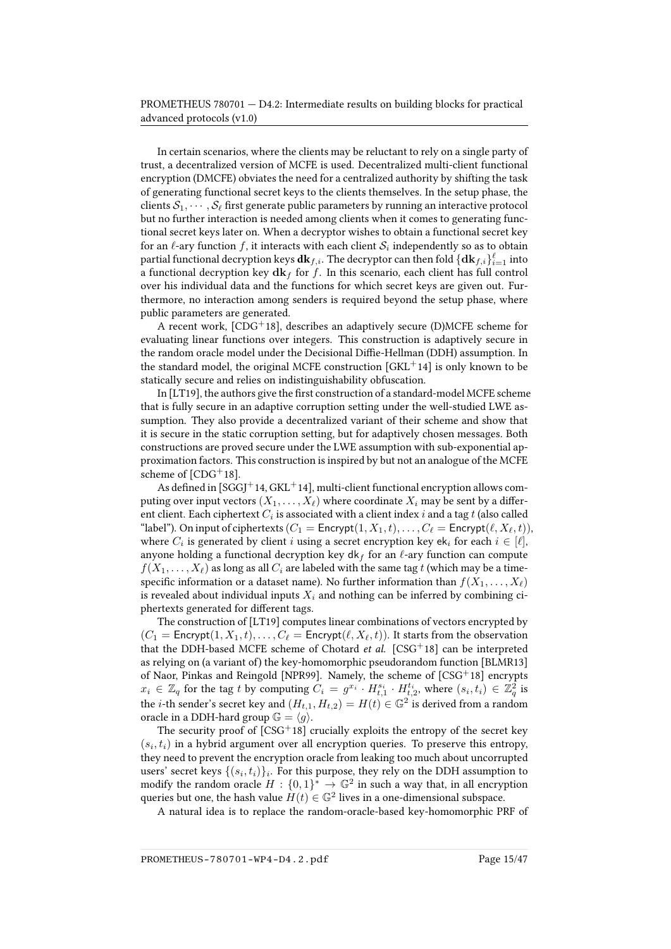In certain scenarios, where the clients may be reluctant to rely on a single party of trust, a decentralized version of MCFE is used. Decentralized multi-client functional encryption (DMCFE) obviates the need for a centralized authority by shifting the task of generating functional secret keys to the clients themselves. In the setup phase, the clients  $S_1, \cdots, S_\ell$  first generate public parameters by running an interactive protocol but no further interaction is needed among clients when it comes to generating functional secret keys later on. When a decryptor wishes to obtain a functional secret key for an  $\ell$ -ary function  $f$ , it interacts with each client  $\mathcal{S}_i$  independently so as to obtain partial functional decryption keys  $\mathbf{dk}_{f,i}.$  The decryptor can then fold  $\{\mathbf{dk}_{f,i}\}_{i=1}^\ell$  into a functional decryption key  $d\mathbf{k}_f$  for f. In this scenario, each client has full control over his individual data and the functions for which secret keys are given out. Furthermore, no interaction among senders is required beyond the setup phase, where public parameters are generated.

A recent work,  $[CDG<sup>+</sup>18]$  $[CDG<sup>+</sup>18]$ , describes an adaptively secure (D)MCFE scheme for evaluating linear functions over integers. This construction is adaptively secure in the random oracle model under the Decisional Diffie-Hellman (DDH) assumption. In the standard model, the original MCFE construction  $[GKL+14]$  $[GKL+14]$  is only known to be statically secure and relies on indistinguishability obfuscation.

In [\[LT19\]](#page-44-1), the authors give the first construction of a standard-model MCFE scheme that is fully secure in an adaptive corruption setting under the well-studied LWE assumption. They also provide a decentralized variant of their scheme and show that it is secure in the static corruption setting, but for adaptively chosen messages. Both constructions are proved secure under the LWE assumption with sub-exponential approximation factors. This construction is inspired by but not an analogue of the MCFE scheme of  $[CDG+18]$  $[CDG+18]$ .

As defined in [\[SGGJ](#page-46-3)+14, [GKL](#page-41-4)+14], multi-client functional encryption allows computing over input vectors  $(X_1, \ldots, X_\ell)$  where coordinate  $X_i$  may be sent by a different client. Each ciphertext  $C_i$  is associated with a client index  $i$  and a tag  $t$  (also called "label"). On input of ciphertexts  $(C_1 = \text{Encrypt}(1, X_1, t), \ldots, C_\ell = \text{Encrypt}(\ell, X_\ell, t)),$ where  $C_i$  is generated by client  $i$  using a secret encryption key ek $_i$  for each  $i \in [\ell],$ anyone holding a functional decryption key dk f for an  $\ell$ -ary function can compute  $f(X_1, \ldots, X_\ell)$  as long as all  $C_i$  are labeled with the same tag t (which may be a timespecific information or a dataset name). No further information than  $f(X_1, \ldots, X_\ell)$ is revealed about individual inputs  $X_i$  and nothing can be inferred by combining ciphertexts generated for different tags.

The construction of [\[LT19\]](#page-44-1) computes linear combinations of vectors encrypted by  $(C_1 =$  Encrypt $(1, X_1, t), \ldots, C_\ell$  = Encrypt $(\ell, X_\ell, t)$ ). It starts from the observation that the DDH-based MCFE scheme of Chotard et al.  $[CSG<sup>+</sup>18]$  $[CSG<sup>+</sup>18]$  can be interpreted as relying on (a variant of) the key-homomorphic pseudorandom function [\[BLMR13\]](#page-37-3) of Naor, Pinkas and Reingold [\[NPR99\]](#page-45-2). Namely, the scheme of [\[CSG](#page-39-2)<sup>+</sup>18] encrypts  $x_i \in \mathbb{Z}_q$  for the tag t by computing  $C_i = g^{x_i} \cdot H_{t,1}^{s_i} \cdot H_{t,2}^{t_i}$ , where  $(s_i, t_i) \in \mathbb{Z}_q^2$  is the *i*-th sender's secret key and  $(H_{t,1}, H_{t,2}) = H(t) \in \mathbb{G}^2$  is derived from a random oracle in a DDH-hard group  $\mathbb{G} = \langle g \rangle$ .

The security proof of  $[CSG<sup>+</sup>18]$  $[CSG<sup>+</sup>18]$  crucially exploits the entropy of the secret key  $(s_i, t_i)$  in a hybrid argument over all encryption queries. To preserve this entropy, they need to prevent the encryption oracle from leaking too much about uncorrupted users' secret keys  $\{(s_i, t_i)\}_i.$  For this purpose, they rely on the DDH assumption to modify the random oracle  $H: \{0,1\}^* \rightarrow \mathbb{G}^2$  in such a way that, in all encryption queries but one, the hash value  $H(t) \in \mathbb{G}^2$  lives in a one-dimensional subspace.

A natural idea is to replace the random-oracle-based key-homomorphic PRF of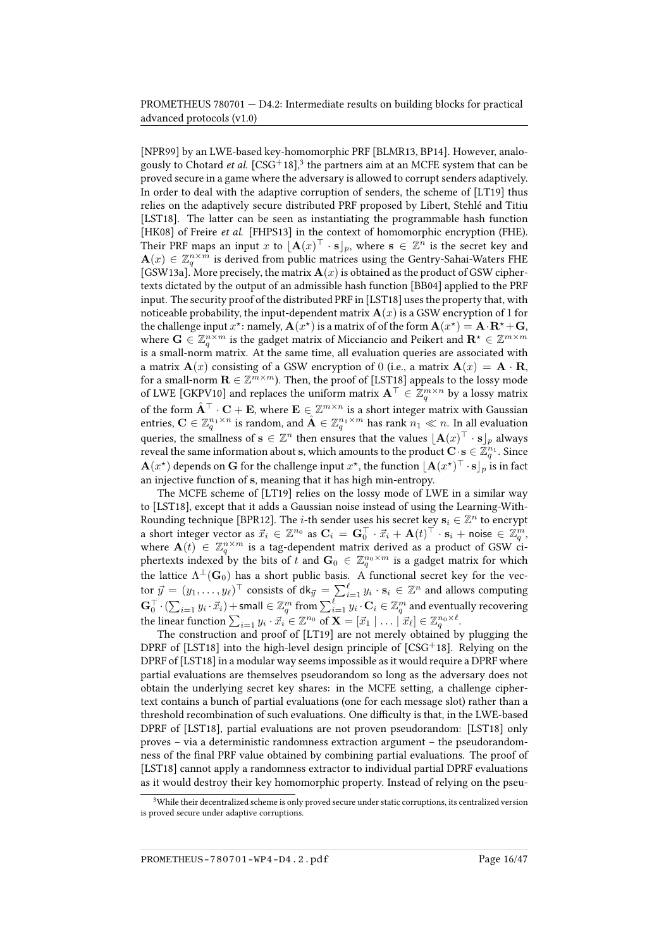[\[NPR99\]](#page-45-2) by an LWE-based key-homomorphic PRF [\[BLMR13,](#page-37-3) [BP14\]](#page-38-1). However, analo-gously to Chotard et al. [\[CSG](#page-39-2)<sup>+</sup>18],<sup>[3](#page-15-0)</sup> the partners aim at an MCFE system that can be proved secure in a game where the adversary is allowed to corrupt senders adaptively. In order to deal with the adaptive corruption of senders, the scheme of [\[LT19\]](#page-44-1) thus relies on the adaptively secure distributed PRF proposed by Libert, Stehlé and Titiu [\[LST18\]](#page-44-0). The latter can be seen as instantiating the programmable hash function [\[HK08\]](#page-42-1) of Freire et al. [\[FHPS13\]](#page-41-5) in the context of homomorphic encryption (FHE). Their PRF maps an input x to  $\lfloor \mathbf{A}(x)^\top \cdot \mathbf{s} \rfloor_p$ , where  $\mathbf{s} \in \mathbb{Z}^n$  is the secret key and  $\mathbf{A}(x) \in \mathbb{Z}_q^{n \times m}$  is derived from public matrices using the Gentry-Sahai-Waters FHE [\[GSW13a\]](#page-42-0). More precisely, the matrix  $\mathbf{A}(x)$  is obtained as the product of GSW ciphertexts dictated by the output of an admissible hash function [\[BB04\]](#page-36-3) applied to the PRF input. The security proof of the distributed PRF in [\[LST18\]](#page-44-0) uses the property that, with noticeable probability, the input-dependent matrix  $\mathbf{A}(x)$  is a GSW encryption of 1 for the challenge input  $x^\star$ : namely,  $\mathbf{A}(x^\star)$  is a matrix of of the form  $\mathbf{A}(x^\star) = \mathbf{A}\cdot\mathbf{R}^\star + \mathbf{G},$ where  $\mathbf{G}\in \mathbb{Z}_q^{n\times m}$  is the gadget matrix of Micciancio and Peikert and  $\mathbf{R}^\star\in \mathbb{Z}^{m\times m}$ is a small-norm matrix. At the same time, all evaluation queries are associated with a matrix  $\mathbf{A}(x)$  consisting of a GSW encryption of 0 (i.e., a matrix  $\mathbf{A}(x) = \mathbf{A} \cdot \mathbf{R}$ , for a small-norm  $\mathbf{R} \in \mathbb{Z}^{m \times m}$ ). Then, the proof of [\[LST18\]](#page-44-0) appeals to the lossy mode of LWE [\[GKPV10\]](#page-41-1) and replaces the uniform matrix  $\mathbf{A}^\top \in \mathbb{Z}_q^{m \times n}$  by a lossy matrix of the form  $\hat{\mathbf{A}}^\top\cdot\mathbf{C}+\mathbf{E},$  where  $\mathbf{E}\in\mathbb{Z}^{m\times n}$  is a short integer matrix with Gaussian entries,  $\mathbf{C}\in\mathbb{Z}_q^{n_1\times n}$  is random, and  $\hat{\mathbf{A}}\in\mathbb{Z}_q^{n_1\times m}$  has rank  $n_1\ll n.$  In all evaluation queries, the smallness of  $\mathbf{s} \in \mathbb{Z}^n$  then ensures that the values  $[\mathbf{A}(x)^\top \cdot \mathbf{s}]_p$  always reveal the same information about s, which amounts to the product  $\mathbf{C} \cdot \mathbf{s} \in \mathbb{Z}_q^{n_1}$ . Since  ${\bf A}(x^\star)$  depends on  ${\bf G}$  for the challenge input  $x^\star$ , the function  $\lfloor{\bf A}(x^\star)^\top\cdot{\bf s}\rfloor_p$  is in fact an injective function of s, meaning that it has high min-entropy.

The MCFE scheme of [\[LT19\]](#page-44-1) relies on the lossy mode of LWE in a similar way to [\[LST18\]](#page-44-0), except that it adds a Gaussian noise instead of using the Learning-With-Rounding technique [\[BPR12\]](#page-38-0). The *i*-th sender uses his secret key  $\mathbf{s}_i \in \mathbb{Z}^n$  to encrypt a short integer vector as  $\vec{x}_i \in \mathbb{Z}^{n_0}$  as  $\mathbf{C}_i = \mathbf{G}_0^{\top} \cdot \vec{x}_i + \mathbf{A}(t)^{\top} \cdot \mathbf{s}_i + \text{noise} \in \vec{\mathbb{Z}}_q^m$ , where  $\mathbf{A}(t) \in \mathbb{Z}_q^{n \times m}$  is a tag-dependent matrix derived as a product of GSW ciphertexts indexed by the bits of  $t$  and  $\mathbf{G}_0 \,\in\, \mathbb{Z}_q^{n_0\times m}$  is a gadget matrix for which the lattice  $\Lambda^\perp(\mathbf{G}_0)$  has a short public basis. A functional secret key for the vector  $\vec{y} = (y_1, \dots, y_\ell)^\top$  consists of dk $_{\vec{y}} = \sum_{i=1}^\ell y_i \cdot \mathbf{s}_i \in \mathbb{Z}^n$  and allows computing  $\mathbf{G}_{0}^{\top}\cdot(\sum_{i=1}y_i\cdot\vec{x}_i)+$  small  $\in\mathbb{Z}_q^m$  from  $\sum_{i=1}^{\ell}y_i\cdot\mathbf{C}_i\in\mathbb{Z}_q^m$  and eventually recovering the linear function  $\sum_{i=1} y_i \cdot \vec{x}_i \in \mathbb{Z}^{n_0}$  of  $\mathbf{X} = [\vec{x}_1 \mid \dots \mid \vec{x}_\ell] \in \mathbb{Z}_q^{n_0 \times \ell}.$ 

The construction and proof of [\[LT19\]](#page-44-1) are not merely obtained by plugging the DPRF of [\[LST18\]](#page-44-0) into the high-level design principle of  $[CSG^+18]$  $[CSG^+18]$ . Relying on the DPRF of [\[LST18\]](#page-44-0) in a modular way seems impossible as it would require a DPRF where partial evaluations are themselves pseudorandom so long as the adversary does not obtain the underlying secret key shares: in the MCFE setting, a challenge ciphertext contains a bunch of partial evaluations (one for each message slot) rather than a threshold recombination of such evaluations. One difficulty is that, in the LWE-based DPRF of [\[LST18\]](#page-44-0), partial evaluations are not proven pseudorandom: [\[LST18\]](#page-44-0) only proves – via a deterministic randomness extraction argument – the pseudorandomness of the final PRF value obtained by combining partial evaluations. The proof of [\[LST18\]](#page-44-0) cannot apply a randomness extractor to individual partial DPRF evaluations as it would destroy their key homomorphic property. Instead of relying on the pseu-

<span id="page-15-0"></span> $3$ While their decentralized scheme is only proved secure under static corruptions, its centralized version is proved secure under adaptive corruptions.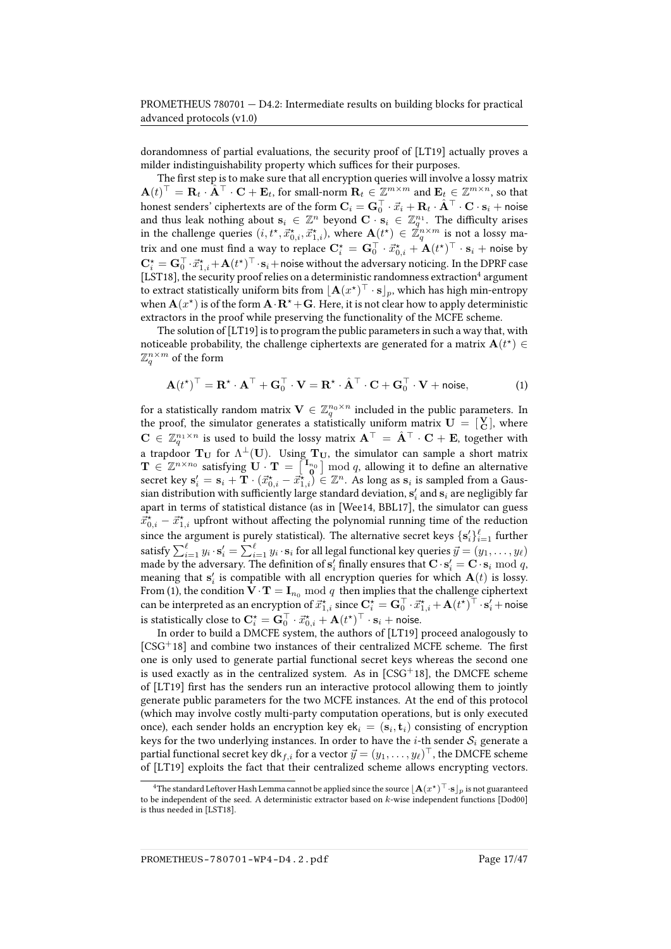dorandomness of partial evaluations, the security proof of [\[LT19\]](#page-44-1) actually proves a milder indistinguishability property which suffices for their purposes.

The first step is to make sure that all encryption queries will involve a lossy matrix  $\mathbf{A}(t)^{\top} = \mathbf{R}_t \cdot \mathbf{\hat{A}}^{\top} \cdot \mathbf{C} + \mathbf{E}_t$ , for small-norm  $\mathbf{R}_t \in \mathbb{Z}^{m \times m}$  and  $\mathbf{E}_t \in \mathbb{Z}^{m \times n}$ , so that honest senders' ciphertexts are of the form  ${\bf C}_i={\bf G}_0^\top\cdot\vec{x}_i+{\bf R}_t\cdot\hat{\bf A}^\top\cdot{\bf C}\cdot{\bf s}_i+$  noise and thus leak nothing about  $\mathbf{s}_i \in \mathbb{Z}^n$  beyond  $\mathbf{C} \cdot \mathbf{s}_i \in \mathbb{Z}_q^{n_1}$ . The difficulty arises in the challenge queries  $(i, t^*, \vec{x}^*_{0,i}, \vec{x}^*_{1,i})$ , where  $\mathbf{A}(t^*) \in \vec{\mathbb{Z}}_q^{n \times m}$  is not a lossy matrix and one must find a way to replace  $\mathbf{C}^\star_i = \mathbf{G}_0^\top \cdot \vec{x}^\star_{0,i} + \mathbf{A}(t^\star)^\top \cdot \mathbf{s}_i + \mathsf{noise}$  by  $\mathbf{C}_i^\star = \mathbf{G}_0^\top\cdot\vec{x}_{1,i}^\star + \mathbf{A}(t^\star)^\top\cdot\mathbf{s}_i +$  noise without the adversary noticing. In the DPRF case [\[LST18\]](#page-44-0), the security proof relies on a deterministic randomness extraction<sup>[4](#page-16-0)</sup> argument to extract statistically uniform bits from  $\lfloor \mathbf{A} (x^{\star})^{\top} \cdot \mathbf{s} \rfloor_p$ , which has high min-entropy when  ${\bf A}(x^\star)$  is of the form  ${\bf A}\cdot{\bf R}^\star+{\bf G}.$  Here, it is not clear how to apply deterministic extractors in the proof while preserving the functionality of the MCFE scheme.

The solution of [\[LT19\]](#page-44-1) is to program the public parameters in such a way that, with noticeable probability, the challenge ciphertexts are generated for a matrix  $\mathbf{A}(t^{\star}) \in$  $\mathbb{Z}_q^{n\times m}$  of the form

<span id="page-16-1"></span>
$$
\mathbf{A}(t^{\star})^{\top} = \mathbf{R}^{\star} \cdot \mathbf{A}^{\top} + \mathbf{G}_0^{\top} \cdot \mathbf{V} = \mathbf{R}^{\star} \cdot \hat{\mathbf{A}}^{\top} \cdot \mathbf{C} + \mathbf{G}_0^{\top} \cdot \mathbf{V} + \text{noise}, \tag{1}
$$

for a statistically random matrix  $\mathbf{V}\in\mathbb{Z}_q^{n_0\times n}$  included in the public parameters. In the proof, the simulator generates a statistically uniform matrix  $\mathbf{U} = \begin{bmatrix} \mathbf{V} \\ \mathbf{C} \end{bmatrix}$ , where  $\mathbf{C}\, \in\, \mathbb{Z}_q^{n_1\times n}$  is used to build the lossy matrix  $\mathbf{A}^\top\,=\, \hat{\mathbf{A}}^\top\cdot\mathbf{C}+\mathbf{E},$  together with a trapdoor  $\mathbf{T}_{\mathbf{U}}$  for  $\Lambda^{\perp}(\mathbf{U}).$  Using  $\mathbf{T}_{\mathbf{U}},$  the simulator can sample a short matrix  $\mathbf{T} \in \mathbb{Z}^{n \times n_0}$  satisfying  $\mathbf{U} \cdot \mathbf{T} = \begin{bmatrix} \mathbf{I}_{n_0} \\ \mathbf{0} \end{bmatrix} \bmod q$ , allowing it to define an alternative secret key  $\mathbf{s}'_i = \mathbf{s}_i + \mathbf{T} \cdot (\vec{x}^{\star}_{0,i} - \vec{x}^{\star}_{1,i}) \in \mathbb{Z}^n$ . As long as  $\mathbf{s}_i$  is sampled from a Gaussian distribution with sufficiently large standard deviation,  $\mathbf{s}'_i$  and  $\mathbf{s}_i$  are negligibly far apart in terms of statistical distance (as in [\[Wee14,](#page-46-4) [BBL17\]](#page-36-6), the simulator can guess  $\vec{x}^\star_{0,i} - \vec{x}^\star_{1,i}$  upfront without affecting the polynomial running time of the reduction since the argument is purely statistical). The alternative secret keys  $\{s_i'\}_{i=1}^{\ell}$  further satisfy  $\sum_{i=1}^\ell y_i\cdot\mathbf{s}'_i=\sum_{i=1}^\ell y_i\cdot\mathbf{s}_i$  for all legal functional key queries  $\vec{y}=(y_1,\ldots,y_\ell)$ made by the adversary. The definition of  $\mathbf{s}_i'$  finally ensures that  $\mathbf{C} \cdot \mathbf{s}_i' = \mathbf{C} \cdot \mathbf{s}_i \bmod q$ , meaning that  $\mathbf{s}'_i$  is compatible with all encryption queries for which  $\mathbf{A}(t)$  is lossy. From [\(1\)](#page-16-1), the condition  $\mathbf{V} \cdot \mathbf{T} = \mathbf{I}_{n_0} \bmod q$  then implies that the challenge ciphertext can be interpreted as an encryption of  $\vec{x}^\star_{1,i}$  since  $\mathbf{C}^\star_i = \mathbf{G}_0^\top \cdot \vec{x}^\star_{1,i} + \mathbf{A}(t^\star)^\top \cdot \mathbf{s}'_i +$  noise is statistically close to  $\mathbf{C}_i^\star = \mathbf{G}_0^\top \cdot \vec{x}_{0,i}^\star + \mathbf{A}(t^\star)^\top \cdot \mathbf{s}_i + \mathsf{noise}.$ 

In order to build a DMCFE system, the authors of [\[LT19\]](#page-44-1) proceed analogously to  $[CSG<sup>+</sup>18]$  $[CSG<sup>+</sup>18]$  and combine two instances of their centralized MCFE scheme. The first one is only used to generate partial functional secret keys whereas the second one is used exactly as in the centralized system. As in  $[CSG<sup>+</sup>18]$  $[CSG<sup>+</sup>18]$ , the DMCFE scheme of [\[LT19\]](#page-44-1) first has the senders run an interactive protocol allowing them to jointly generate public parameters for the two MCFE instances. At the end of this protocol (which may involve costly multi-party computation operations, but is only executed once), each sender holds an encryption key ek $_i = (\mathbf{s}_i, \mathbf{t}_i)$  consisting of encryption keys for the two underlying instances. In order to have the *i*-th sender  $S_i$  generate a partial functional secret key dk $_{f,i}$  for a vector  $\vec{y} = (y_1, \ldots, y_\ell)^\top$ , the DMCFE scheme of [\[LT19\]](#page-44-1) exploits the fact that their centralized scheme allows encrypting vectors.

<span id="page-16-0"></span> $^4$ The standard Leftover Hash Lemma cannot be applied since the source  $\lfloor{\bf A}(x^\star)^\top\!\cdot\!{\bf s}\rfloor_p$  is not guaranteed to be independent of the seed. A deterministic extractor based on  $k$ -wise independent functions [\[Dod00\]](#page-40-3) is thus needed in [\[LST18\]](#page-44-0).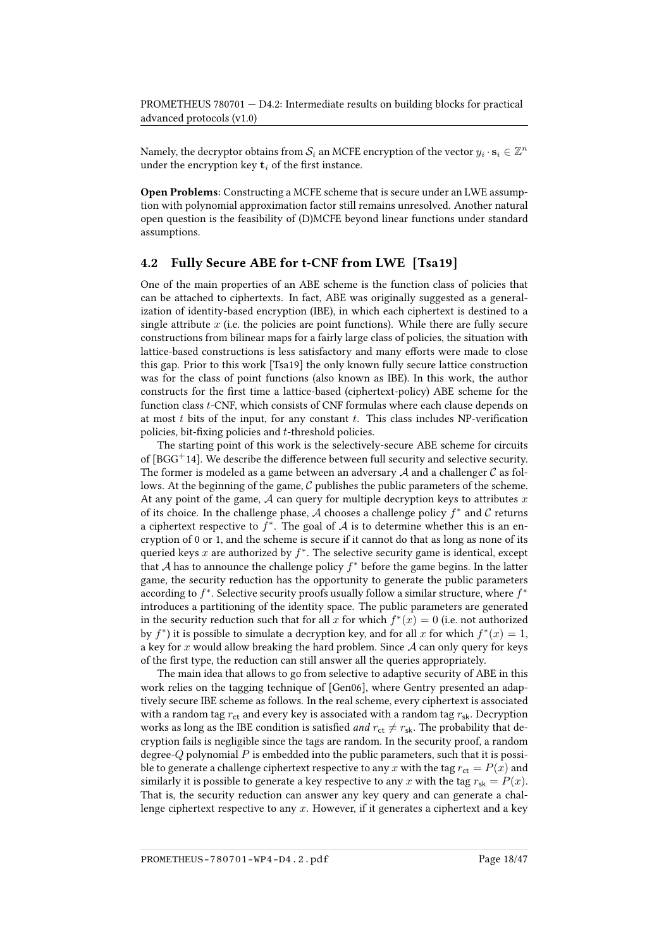Namely, the decryptor obtains from  $\mathcal{S}_i$  an MCFE encryption of the vector  $y_i\cdot\mathbf{s}_i\in\mathbb{Z}^n$ under the encryption key  $t_i$  of the first instance.

Open Problems: Constructing a MCFE scheme that is secure under an LWE assumption with polynomial approximation factor still remains unresolved. Another natural open question is the feasibility of (D)MCFE beyond linear functions under standard assumptions.

#### <span id="page-17-0"></span>4.2 Fully Secure ABE for t-CNF from LWE [\[Tsa19\]](#page-46-0)

One of the main properties of an ABE scheme is the function class of policies that can be attached to ciphertexts. In fact, ABE was originally suggested as a generalization of identity-based encryption (IBE), in which each ciphertext is destined to a single attribute  $x$  (i.e. the policies are point functions). While there are fully secure constructions from bilinear maps for a fairly large class of policies, the situation with lattice-based constructions is less satisfactory and many efforts were made to close this gap. Prior to this work [\[Tsa19\]](#page-46-0) the only known fully secure lattice construction was for the class of point functions (also known as IBE). In this work, the author constructs for the first time a lattice-based (ciphertext-policy) ABE scheme for the function class t-CNF, which consists of CNF formulas where each clause depends on at most  $t$  bits of the input, for any constant  $t$ . This class includes NP-verification policies, bit-fixing policies and  $t$ -threshold policies.

The starting point of this work is the selectively-secure ABE scheme for circuits of  $[BG<sup>+</sup>14]$ . We describe the difference between full security and selective security. The former is modeled as a game between an adversary  $A$  and a challenger  $C$  as follows. At the beginning of the game,  $C$  publishes the public parameters of the scheme. At any point of the game,  $A$  can query for multiple decryption keys to attributes  $x$ of its choice. In the challenge phase,  $A$  chooses a challenge policy  $f^*$  and  $C$  returns a ciphertext respective to  $f^*$ . The goal of  $A$  is to determine whether this is an encryption of 0 or 1, and the scheme is secure if it cannot do that as long as none of its queried keys  $x$  are authorized by  $f^*$ . The selective security game is identical, except that  $A$  has to announce the challenge policy  $f^*$  before the game begins. In the latter game, the security reduction has the opportunity to generate the public parameters according to  $f^*$ . Selective security proofs usually follow a similar structure, where  $f^*$ introduces a partitioning of the identity space. The public parameters are generated in the security reduction such that for all  $x$  for which  $f^*(x) = 0$  (i.e. not authorized by  $f^*$ ) it is possible to simulate a decryption key, and for all x for which  $f^*(x) = 1$ , a key for x would allow breaking the hard problem. Since  $A$  can only query for keys of the first type, the reduction can still answer all the queries appropriately.

The main idea that allows to go from selective to adaptive security of ABE in this work relies on the tagging technique of [\[Gen06\]](#page-41-6), where Gentry presented an adaptively secure IBE scheme as follows. In the real scheme, every ciphertext is associated with a random tag  $r_{\text{ct}}$  and every key is associated with a random tag  $r_{\text{sk}}$ . Decryption works as long as the IBE condition is satisfied *and*  $r_{ct} \neq r_{sk}$ . The probability that decryption fails is negligible since the tags are random. In the security proof, a random degree- $Q$  polynomial  $P$  is embedded into the public parameters, such that it is possible to generate a challenge ciphertext respective to any x with the tag  $r_{\rm ct} = P(x)$  and similarly it is possible to generate a key respective to any x with the tag  $r_{sk} = P(x)$ . That is, the security reduction can answer any key query and can generate a challenge ciphertext respective to any  $x$ . However, if it generates a ciphertext and a key

PROMETHEUS-780701-WP4-D4.2.pdf Page 18/47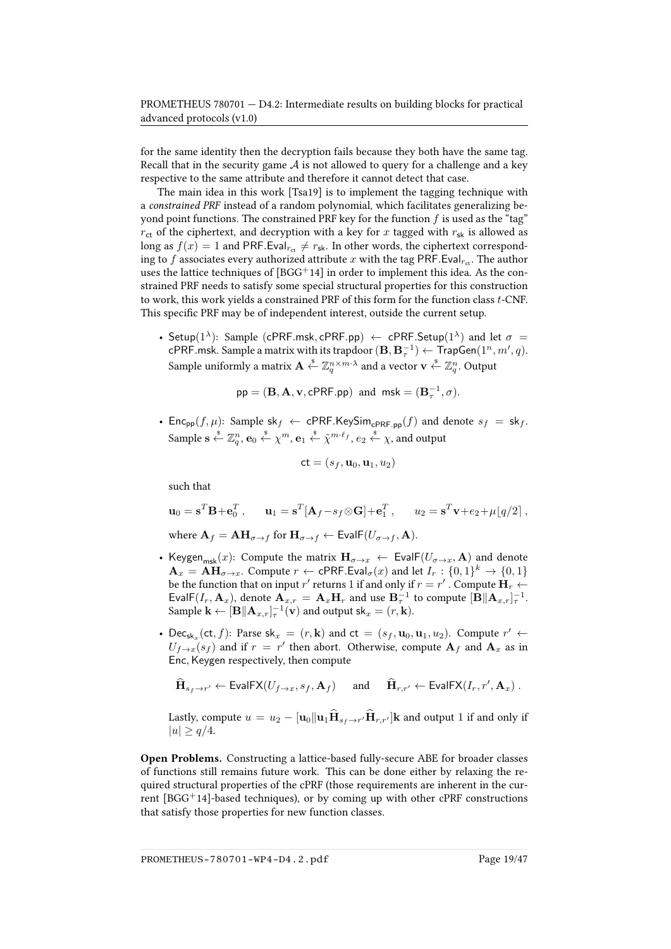for the same identity then the decryption fails because they both have the same tag. Recall that in the security game  $A$  is not allowed to query for a challenge and a key respective to the same attribute and therefore it cannot detect that case.

The main idea in this work [\[Tsa19\]](#page-46-0) is to implement the tagging technique with a constrained PRF instead of a random polynomial, which facilitates generalizing beyond point functions. The constrained PRF key for the function  $f$  is used as the "tag"  $r_{\text{ct}}$  of the ciphertext, and decryption with a key for x tagged with  $r_{\text{sk}}$  is allowed as long as  $f(x) = 1$  and PRF.Eval<sub>rct</sub>  $\neq r_{\rm sk}$ . In other words, the ciphertext corresponding to f associates every authorized attribute x with the tag PRF. Eval<sub>ret</sub>. The author uses the lattice techniques of  $[BGG^+14]$  $[BGG^+14]$  in order to implement this idea. As the constrained PRF needs to satisfy some special structural properties for this construction to work, this work yields a constrained PRF of this form for the function class  $t$ -CNF. This specific PRF may be of independent interest, outside the current setup.

• Setup( $1^{\lambda}$ ): Sample (cPRF.msk, cPRF.pp)  $\leftarrow$  cPRF.Setup( $1^{\lambda}$ ) and let  $\sigma =$ cPRF.msk. Sample a matrix with its trapdoor  $(\mathbf{B}, \mathbf{B}_{\tau}^{-1}) \leftarrow \mathsf{TrapGen}(1^n, m', q)$ . Sample uniformly a matrix  $\mathbf{A}\overset{\hspace{0.1em}\mathsf{\scriptscriptstyle\$}}{\leftarrow}\mathbb{Z}_q^{n\times m\cdot\lambda}$  and a vector  $\mathbf{v}\overset{\hspace{0.1em}\mathsf{\scriptscriptstyle\$}}{\leftarrow}\mathbb{Z}_q^n.$  Output

$$
pp = (\mathbf{B}, \mathbf{A}, \mathbf{v}, \mathsf{cPRF}.\mathsf{pp})
$$
 and  $msk = (\mathbf{B}_\tau^{-1}, \sigma)$ .

• Enc<sub>pp</sub> $(f, \mu)$ : Sample sk<sub>f</sub>  $\leftarrow$  cPRF.KeySim<sub>cPRF.pp</sub> $(f)$  and denote  $s_f =$  sk<sub>f</sub>. Sample  $\mathbf{s} \overset{\hspace{0.1em}\mathsf{\scriptscriptstyle\$}}{\leftarrow} \mathbb{Z}^n_q$ ,  $\mathbf{e}_0 \overset{\hspace{0.1em}\mathsf{\scriptscriptstyle\$}}{\leftarrow} \chi^m$ ,  $\mathbf{e}_1 \overset{\hspace{0.1em}\mathsf{\scriptscriptstyle\$}}{\leftarrow} \tilde\chi^{m \cdot \ell_f}$ ,  $e_2 \overset{\hspace{0.1em}\mathsf{\scriptscriptstyle\$}}{\leftarrow} \chi$ , and output

$$
\mathsf{ct} = (s_f, \mathbf{u}_0, \mathbf{u}_1, u_2)
$$

such that

$$
\mathbf{u}_0 = \mathbf{s}^T \mathbf{B} + \mathbf{e}_0^T, \qquad \mathbf{u}_1 = \mathbf{s}^T [\mathbf{A}_f - s_f \otimes \mathbf{G}] + \mathbf{e}_1^T, \qquad u_2 = \mathbf{s}^T \mathbf{v} + e_2 + \mu \lfloor q/2 \rfloor,
$$
  
where  $\mathbf{A}_f = \mathbf{A} \mathbf{H}_{\sigma \to f}$  for  $\mathbf{H}_{\sigma \to f} \leftarrow \text{EvalF}(U_{\sigma \to f}, \mathbf{A}).$ 

- Keygen<sub>msk</sub>(x): Compute the matrix  $\mathbf{H}_{\sigma\to x}$   $\leftarrow$  EvalF( $U_{\sigma\to x}$ , A) and denote  $\mathbf{A}_x = \mathbf{A}\mathbf{H}_{\sigma \to x}$ . Compute  $r \leftarrow \mathsf{cPRF}.\mathsf{Eval}_\sigma(x)$  and let  $I_r : \{0,1\}^k \to \{0,1\}$ be the function that on input  $r'$  returns 1 if and only if  $r = r'$  . Compute  $\mathbf{H}_r \leftarrow \mathbf{H}_r$ EvalF(I<sub>r</sub>, **A**<sub>x</sub>), denote  $\mathbf{A}_{x,r} = \mathbf{A}_x \mathbf{H}_r$  and use  $\mathbf{B}_\tau^{-1}$  to compute  $[\mathbf{B} || \mathbf{A}_{x,r}]_\tau^{-1}$ . Sample  $\mathbf{k} \leftarrow [\mathbf{B} || \mathbf{A}_{x,r}]_{\tau}^{-1}(\mathbf{v})$  and output  $\mathsf{sk}_x = (r, \mathbf{k})$ .
- Dec<sub>skx</sub> (ct, f): Parse sk<sub>x</sub> =  $(r, \mathbf{k})$  and ct =  $(s_f, \mathbf{u}_0, \mathbf{u}_1, u_2)$ . Compute  $r' \leftarrow$  $U_{f\rightarrow x}(s_f)$  and if  $r = r'$  then abort. Otherwise, compute  $A_f$  and  $A_x$  as in Enc, Keygen respectively, then compute

$$
\widehat{\mathbf{H}}_{s_f \to r'} \leftarrow \text{EvalFX}(U_{f \to x}, s_f, \mathbf{A}_f) \quad \text{ and } \quad \widehat{\mathbf{H}}_{r,r'} \leftarrow \text{EvalFX}(I_r, r', \mathbf{A}_x) .
$$

Lastly, compute  $u = u_2 - [$ **u**<sub>0</sub> $\|$ **u**<sub>1</sub> $\mathbf{H}_{s_f \to r'}$ **H**<sub>r,r'</sub> $\|$ **k** and output 1 if and only if  $|u| \geq q/4.$ 

Open Problems. Constructing a lattice-based fully-secure ABE for broader classes of functions still remains future work. This can be done either by relaxing the required structural properties of the cPRF (those requirements are inherent in the current  $[BGG<sup>+</sup>14]$  $[BGG<sup>+</sup>14]$ -based techniques), or by coming up with other cPRF constructions that satisfy those properties for new function classes.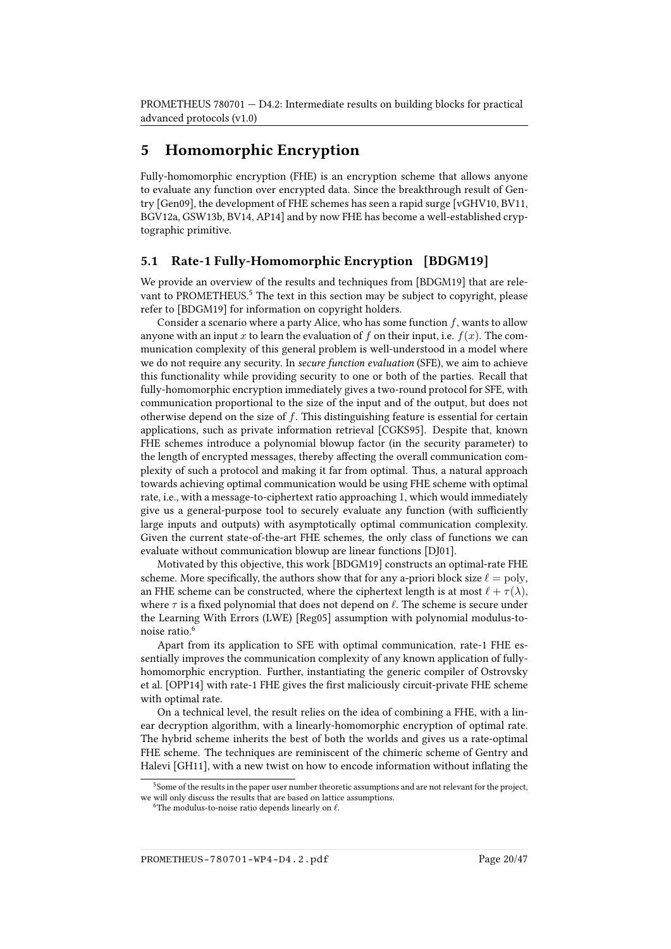## <span id="page-19-0"></span>5 Homomorphic Encryption

Fully-homomorphic encryption (FHE) is an encryption scheme that allows anyone to evaluate any function over encrypted data. Since the breakthrough result of Gentry [\[Gen09\]](#page-41-7), the development of FHE schemes has seen a rapid surge [\[vGHV10,](#page-46-5) [BV11,](#page-38-3) [BGV12a,](#page-37-5) [GSW13b,](#page-42-2) [BV14,](#page-38-4) [AP14\]](#page-36-7) and by now FHE has become a well-established cryptographic primitive.

#### <span id="page-19-1"></span>5.1 Rate-1 Fully-Homomorphic Encryption [\[BDGM19\]](#page-37-0)

We provide an overview of the results and techniques from [\[BDGM19\]](#page-37-0) that are rele-vant to PROMETHEUS.<sup>[5](#page-19-2)</sup> The text in this section may be subject to copyright, please refer to [\[BDGM19\]](#page-37-0) for information on copyright holders.

Consider a scenario where a party Alice, who has some function  $f$ , wants to allow anyone with an input x to learn the evaluation of f on their input, i.e.  $f(x)$ . The communication complexity of this general problem is well-understood in a model where we do not require any security. In secure function evaluation (SFE), we aim to achieve this functionality while providing security to one or both of the parties. Recall that fully-homomorphic encryption immediately gives a two-round protocol for SFE, with communication proportional to the size of the input and of the output, but does not otherwise depend on the size of f. This distinguishing feature is essential for certain applications, such as private information retrieval [\[CGKS95\]](#page-39-3). Despite that, known FHE schemes introduce a polynomial blowup factor (in the security parameter) to the length of encrypted messages, thereby affecting the overall communication complexity of such a protocol and making it far from optimal. Thus, a natural approach towards achieving optimal communication would be using FHE scheme with optimal rate, i.e., with a message-to-ciphertext ratio approaching 1, which would immediately give us a general-purpose tool to securely evaluate any function (with sufficiently large inputs and outputs) with asymptotically optimal communication complexity. Given the current state-of-the-art FHE schemes, the only class of functions we can evaluate without communication blowup are linear functions [\[DJ01\]](#page-40-4).

Motivated by this objective, this work [\[BDGM19\]](#page-37-0) constructs an optimal-rate FHE scheme. More specifically, the authors show that for any a-priori block size  $\ell = \text{poly}$ , an FHE scheme can be constructed, where the ciphertext length is at most  $\ell + \tau(\lambda)$ , where  $\tau$  is a fixed polynomial that does not depend on  $\ell$ . The scheme is secure under the Learning With Errors (LWE) [\[Reg05\]](#page-46-6) assumption with polynomial modulus-to-noise ratio.<sup>[6](#page-19-3)</sup>

Apart from its application to SFE with optimal communication, rate-1 FHE essentially improves the communication complexity of any known application of fullyhomomorphic encryption. Further, instantiating the generic compiler of Ostrovsky et al. [\[OPP14\]](#page-45-3) with rate-1 FHE gives the first maliciously circuit-private FHE scheme with optimal rate.

On a technical level, the result relies on the idea of combining a FHE, with a linear decryption algorithm, with a linearly-homomorphic encryption of optimal rate. The hybrid scheme inherits the best of both the worlds and gives us a rate-optimal FHE scheme. The techniques are reminiscent of the chimeric scheme of Gentry and Halevi [\[GH11\]](#page-41-8), with a new twist on how to encode information without inflating the

<span id="page-19-2"></span><sup>5</sup>Some of the results in the paper user number theoretic assumptions and are not relevant for the project, we will only discuss the results that are based on lattice assumptions.

<span id="page-19-3"></span><sup>&</sup>lt;sup>6</sup>The modulus-to-noise ratio depends linearly on  $\ell$ .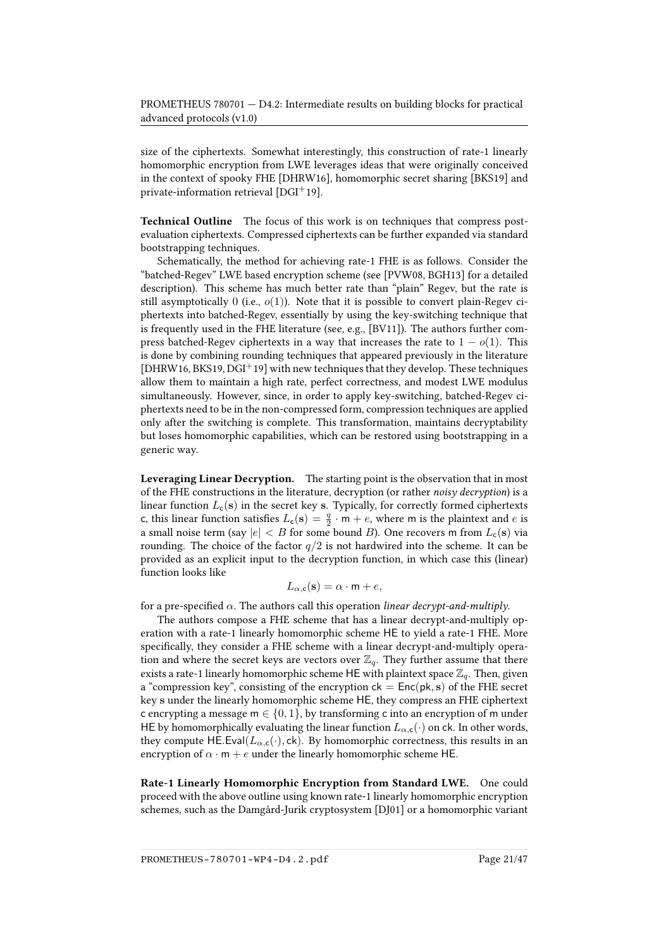size of the ciphertexts. Somewhat interestingly, this construction of rate-1 linearly homomorphic encryption from LWE leverages ideas that were originally conceived in the context of spooky FHE [\[DHRW16\]](#page-40-5), homomorphic secret sharing [\[BKS19\]](#page-37-6) and private-information retrieval [\[DGI](#page-40-6)+19].

Technical Outline The focus of this work is on techniques that compress postevaluation ciphertexts. Compressed ciphertexts can be further expanded via standard bootstrapping techniques.

Schematically, the method for achieving rate-1 FHE is as follows. Consider the "batched-Regev" LWE based encryption scheme (see [\[PVW08,](#page-45-4) [BGH13\]](#page-37-7) for a detailed description). This scheme has much better rate than "plain" Regev, but the rate is still asymptotically 0 (i.e.,  $o(1)$ ). Note that it is possible to convert plain-Regev ciphertexts into batched-Regev, essentially by using the key-switching technique that is frequently used in the FHE literature (see, e.g., [\[BV11\]](#page-38-3)). The authors further compress batched-Regev ciphertexts in a way that increases the rate to  $1 - o(1)$ . This is done by combining rounding techniques that appeared previously in the literature [\[DHRW16,](#page-40-5) [BKS19,](#page-37-6) [DGI](#page-40-6)<sup>+</sup>19] with new techniques that they develop. These techniques allow them to maintain a high rate, perfect correctness, and modest LWE modulus simultaneously. However, since, in order to apply key-switching, batched-Regev ciphertexts need to be in the non-compressed form, compression techniques are applied only after the switching is complete. This transformation, maintains decryptability but loses homomorphic capabilities, which can be restored using bootstrapping in a generic way.

Leveraging Linear Decryption. The starting point is the observation that in most of the FHE constructions in the literature, decryption (or rather noisy decryption) is a linear function  $L_c(s)$  in the secret key s. Typically, for correctly formed ciphertexts c, this linear function satisfies  $L_c(s) = \frac{q}{2} \cdot m + e$ , where m is the plaintext and e is a small noise term (say  $|e| < B$  for some bound B). One recovers m from  $L_c(s)$  via rounding. The choice of the factor  $q/2$  is not hardwired into the scheme. It can be provided as an explicit input to the decryption function, in which case this (linear) function looks like

$$
L_{\alpha, \mathbf{c}}(\mathbf{s}) = \alpha \cdot \mathbf{m} + e,
$$

for a pre-specified  $\alpha$ . The authors call this operation linear decrypt-and-multiply.

The authors compose a FHE scheme that has a linear decrypt-and-multiply operation with a rate-1 linearly homomorphic scheme HE to yield a rate-1 FHE. More specifically, they consider a FHE scheme with a linear decrypt-and-multiply operation and where the secret keys are vectors over  $\mathbb{Z}_q$ . They further assume that there exists a rate-1 linearly homomorphic scheme HE with plaintext space  $\mathbb{Z}_q$ . Then, given a "compression key", consisting of the encryption  $ck = Enc(pk, s)$  of the FHE secret key s under the linearly homomorphic scheme HE, they compress an FHE ciphertext c encrypting a message  $m \in \{0, 1\}$ , by transforming c into an encryption of m under HE by homomorphically evaluating the linear function  $L_{\alpha,c}(\cdot)$  on ck. In other words, they compute HE.Eval( $L_{\alpha,\text{c}}(\cdot)$ , ck). By homomorphic correctness, this results in an encryption of  $\alpha \cdot m + e$  under the linearly homomorphic scheme HE.

Rate-1 Linearly Homomorphic Encryption from Standard LWE. One could proceed with the above outline using known rate-1 linearly homomorphic encryption schemes, such as the Damgård-Jurik cryptosystem [\[DJ01\]](#page-40-4) or a homomorphic variant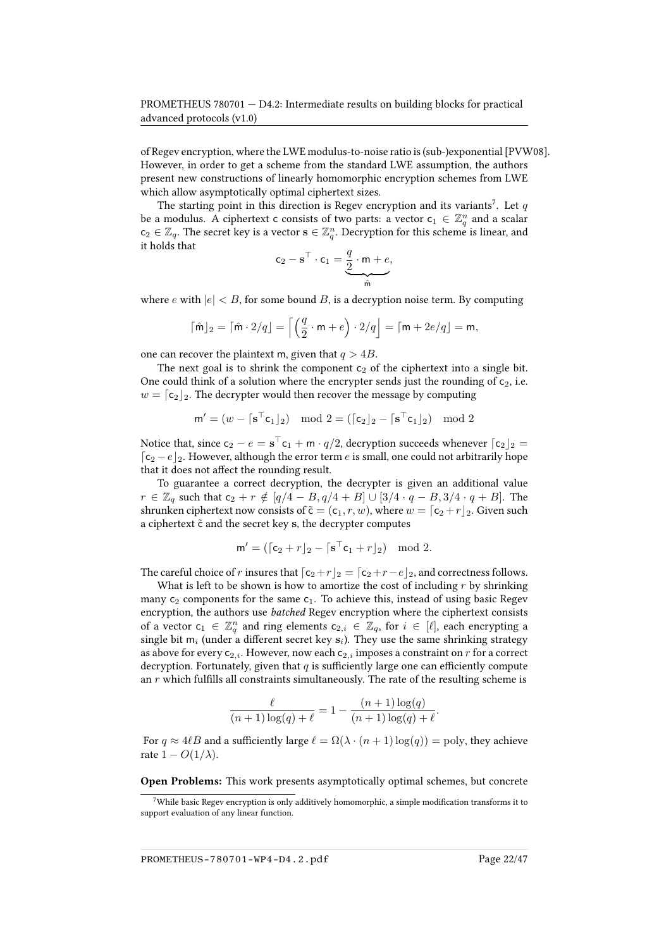of Regev encryption, where the LWE modulus-to-noise ratio is (sub-)exponential [\[PVW08\]](#page-45-4). However, in order to get a scheme from the standard LWE assumption, the authors present new constructions of linearly homomorphic encryption schemes from LWE which allow asymptotically optimal ciphertext sizes.

The starting point in this direction is Regev encryption and its variants<sup>[7](#page-21-0)</sup>. Let  $q$ be a modulus. A ciphertext c consists of two parts: a vector  $c_1 \in \mathbb{Z}_q^n$  and a scalar  $c_2 \in \mathbb{Z}_q$ . The secret key is a vector  $\mathbf{s} \in \mathbb{Z}_q^n$ . Decryption for this scheme is linear, and it holds that

$$
\mathbf{c}_2 - \mathbf{s}^\top \cdot \mathbf{c}_1 = \underbrace{\frac{q}{2} \cdot \mathbf{m} + e}_{\hat{\mathsf{m}}},
$$

where e with  $|e| < B$ , for some bound B, is a decryption noise term. By computing

$$
\lceil \hat{\mathsf{m}} \rceil_2 = \lceil \hat{\mathsf{m}} \cdot 2/q \rfloor = \left\lceil \left( \frac{q}{2} \cdot \mathsf{m} + e \right) \cdot 2/q \right\rfloor = \lceil \mathsf{m} + 2e/q \rfloor = \mathsf{m},
$$

one can recover the plaintext m, given that  $q > 4B$ .

The next goal is to shrink the component  $c_2$  of the ciphertext into a single bit. One could think of a solution where the encrypter sends just the rounding of  $c_2$ , i.e.  $w = \lceil c_2 \rceil_2$ . The decrypter would then recover the message by computing

$$
\mathbf{m}' = (w - \lceil \mathbf{s}^{\top} \mathbf{c}_1 \rfloor_2) \mod 2 = (\lceil \mathbf{c}_2 \rfloor_2 - \lceil \mathbf{s}^{\top} \mathbf{c}_1 \rfloor_2) \mod 2
$$

Notice that, since  ${\mathsf c}_2 - e = {\mathbf s}^\top{\mathsf c}_1 + {\mathsf m}\cdot q/2$ , decryption succeeds whenever  $\lceil {\mathsf c}_2 \rfloor_2 =$  $\lceil \mathsf{c}_2 - e \rfloor_2.$  However, although the error term  $e$  is small, one could not arbitrarily hope that it does not affect the rounding result.

To guarantee a correct decryption, the decrypter is given an additional value  $r \in \mathbb{Z}_q$  such that  $c_2 + r \notin [q/4 - B, q/4 + B] \cup [3/4 \cdot q - B, 3/4 \cdot q + B]$ . The shrunken ciphertext now consists of  $\tilde{\mathsf{c}} = (\mathsf{c}_1, r, w)$ , where  $w = [\mathsf{c}_2 + r]_2$ . Given such a ciphertext  $\tilde{c}$  and the secret key s, the decrypter computes

$$
\mathsf{m}' = (\lceil \mathsf{c}_2 + r \rfloor_2 - \lceil \mathbf{s}^\top \mathsf{c}_1 + r \rfloor_2) \mod 2.
$$

The careful choice of r insures that  $\lceil c_2+r \rceil_2 = \lceil c_2+r-e \rceil_2$ , and correctness follows.

What is left to be shown is how to amortize the cost of including  $r$  by shrinking many  $c_2$  components for the same  $c_1$ . To achieve this, instead of using basic Regev encryption, the authors use batched Regev encryption where the ciphertext consists of a vector  $c_1 \in \mathbb{Z}_q^n$  and ring elements  $c_{2,i} \in \mathbb{Z}_q$ , for  $i \in [\ell]$ , each encrypting a single bit m<sub>i</sub> (under a different secret key  $s_i$ ). They use the same shrinking strategy as above for every  $c_{2,i}$ . However, now each  $c_{2,i}$  imposes a constraint on r for a correct decryption. Fortunately, given that  $q$  is sufficiently large one can efficiently compute an  $r$  which fulfills all constraints simultaneously. The rate of the resulting scheme is

$$
\frac{\ell}{(n+1)\log(q)+\ell} = 1 - \frac{(n+1)\log(q)}{(n+1)\log(q)+\ell}.
$$

For  $q \approx 4\ell B$  and a sufficiently large  $\ell = \Omega(\lambda \cdot (n+1) \log(q)) = \text{poly}$ , they achieve rate  $1 - O(1/\lambda)$ .

Open Problems: This work presents asymptotically optimal schemes, but concrete

PROMETHEUS-780701-WP4-D4.2.pdf Page 22/47

<span id="page-21-0"></span> $7$ While basic Regev encryption is only additively homomorphic, a simple modification transforms it to support evaluation of any linear function.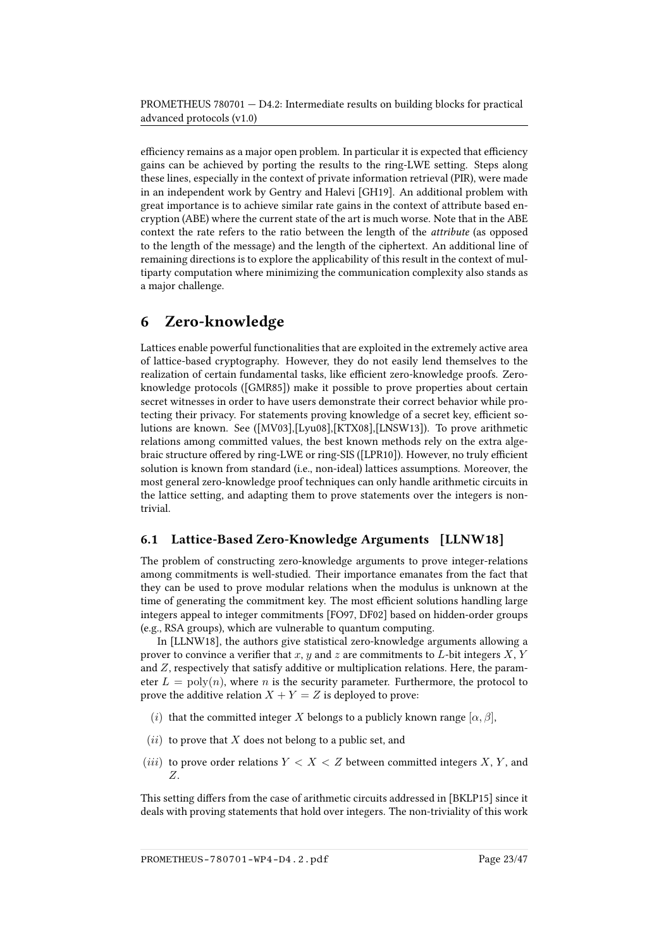efficiency remains as a major open problem. In particular it is expected that efficiency gains can be achieved by porting the results to the ring-LWE setting. Steps along these lines, especially in the context of private information retrieval (PIR), were made in an independent work by Gentry and Halevi [\[GH19\]](#page-41-9). An additional problem with great importance is to achieve similar rate gains in the context of attribute based encryption (ABE) where the current state of the art is much worse. Note that in the ABE context the rate refers to the ratio between the length of the attribute (as opposed to the length of the message) and the length of the ciphertext. An additional line of remaining directions is to explore the applicability of this result in the context of multiparty computation where minimizing the communication complexity also stands as a major challenge.

## <span id="page-22-0"></span>6 Zero-knowledge

Lattices enable powerful functionalities that are exploited in the extremely active area of lattice-based cryptography. However, they do not easily lend themselves to the realization of certain fundamental tasks, like efficient zero-knowledge proofs. Zeroknowledge protocols ([\[GMR85\]](#page-42-3)) make it possible to prove properties about certain secret witnesses in order to have users demonstrate their correct behavior while protecting their privacy. For statements proving knowledge of a secret key, efficient solutions are known. See ([\[MV03\]](#page-45-5),[\[Lyu08\]](#page-44-4),[\[KTX08\]](#page-43-3),[\[LNSW13\]](#page-43-4)). To prove arithmetic relations among committed values, the best known methods rely on the extra alge-braic structure offered by ring-LWE or ring-SIS ([\[LPR10\]](#page-44-5)). However, no truly efficient solution is known from standard (i.e., non-ideal) lattices assumptions. Moreover, the most general zero-knowledge proof techniques can only handle arithmetic circuits in the lattice setting, and adapting them to prove statements over the integers is nontrivial.

## <span id="page-22-1"></span>6.1 Lattice-Based Zero-Knowledge Arguments [\[LLNW18\]](#page-43-0)

The problem of constructing zero-knowledge arguments to prove integer-relations among commitments is well-studied. Their importance emanates from the fact that they can be used to prove modular relations when the modulus is unknown at the time of generating the commitment key. The most efficient solutions handling large integers appeal to integer commitments [\[FO97,](#page-41-10) [DF02\]](#page-40-7) based on hidden-order groups (e.g., RSA groups), which are vulnerable to quantum computing.

In [\[LLNW18\]](#page-43-0), the authors give statistical zero-knowledge arguments allowing a prover to convince a verifier that x, y and z are commitments to L-bit integers  $X, Y$ and Z, respectively that satisfy additive or multiplication relations. Here, the parameter  $L = \text{poly}(n)$ , where n is the security parameter. Furthermore, the protocol to prove the additive relation  $X + Y = Z$  is deployed to prove:

- (i) that the committed integer X belongs to a publicly known range  $[\alpha, \beta]$ ,
- $(ii)$  to prove that X does not belong to a public set, and
- (*iii*) to prove order relations  $Y < X < Z$  between committed integers X, Y, and Z.

This setting differs from the case of arithmetic circuits addressed in [\[BKLP15\]](#page-37-8) since it deals with proving statements that hold over integers. The non-triviality of this work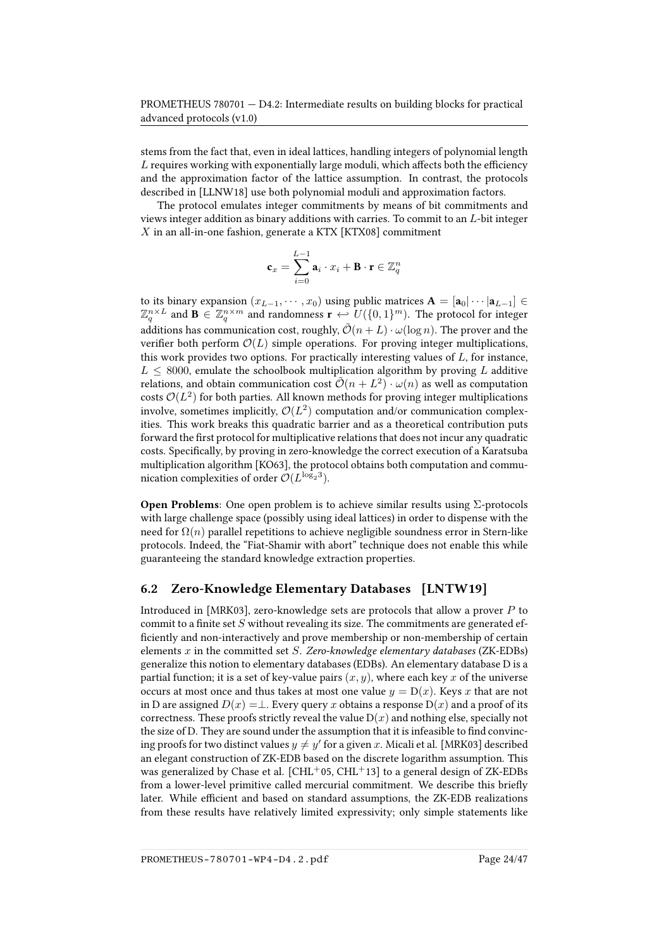stems from the fact that, even in ideal lattices, handling integers of polynomial length  $L$  requires working with exponentially large moduli, which affects both the efficiency and the approximation factor of the lattice assumption. In contrast, the protocols described in [\[LLNW18\]](#page-43-0) use both polynomial moduli and approximation factors.

The protocol emulates integer commitments by means of bit commitments and views integer addition as binary additions with carries. To commit to an  $L$ -bit integer  $X$  in an all-in-one fashion, generate a KTX [\[KTX08\]](#page-43-3) commitment

$$
\mathbf{c}_x = \sum_{i=0}^{L-1} \mathbf{a}_i \cdot x_i + \mathbf{B} \cdot \mathbf{r} \in \mathbb{Z}_q^n
$$

to its binary expansion  $(x_{L-1}, \dots, x_0)$  using public matrices  $A = [a_0 | \dots | a_{L-1}] \in$  $\mathbb{Z}_q^{n\times L}$  and  $\mathbf{B}\in \mathbb{Z}_q^{n\times m}$  and randomness  $\mathbf{r}\leftarrow U(\{0,1\}^m)$ . The protocol for integer additions has communication cost, roughly,  $\tilde{\mathcal{O}}(n+L) \cdot \omega(\log n)$ . The prover and the verifier both perform  $\mathcal{O}(L)$  simple operations. For proving integer multiplications, this work provides two options. For practically interesting values of  $L$ , for instance,  $L \leq 8000$ , emulate the schoolbook multiplication algorithm by proving L additive relations, and obtain communication cost  $\tilde{\mathcal{O}}(n + L^2) \cdot \omega(n)$  as well as computation costs  $\mathcal{O}(L^2)$  for both parties. All known methods for proving integer multiplications involve, sometimes implicitly,  $\mathcal{O}(L^2)$  computation and/or communication complexities. This work breaks this quadratic barrier and as a theoretical contribution puts forward the first protocol for multiplicative relations that does not incur any quadratic costs. Specifically, by proving in zero-knowledge the correct execution of a Karatsuba multiplication algorithm [\[KO63\]](#page-43-5), the protocol obtains both computation and communication complexities of order  $\mathcal{O}(L^{\log_2 3}).$ 

Open Problems: One open problem is to achieve similar results using Σ-protocols with large challenge space (possibly using ideal lattices) in order to dispense with the need for  $\Omega(n)$  parallel repetitions to achieve negligible soundness error in Stern-like protocols. Indeed, the "Fiat-Shamir with abort" technique does not enable this while guaranteeing the standard knowledge extraction properties.

#### <span id="page-23-0"></span>6.2 Zero-Knowledge Elementary Databases [\[LNTW19\]](#page-43-1)

Introduced in [\[MRK03\]](#page-45-6), zero-knowledge sets are protocols that allow a prover P to commit to a finite set  $S$  without revealing its size. The commitments are generated efficiently and non-interactively and prove membership or non-membership of certain elements  $x$  in the committed set  $S$ . Zero-knowledge elementary databases (ZK-EDBs) generalize this notion to elementary databases (EDBs). An elementary database D is a partial function; it is a set of key-value pairs  $(x, y)$ , where each key x of the universe occurs at most once and thus takes at most one value  $y = D(x)$ . Keys x that are not in D are assigned  $D(x) = \perp$ . Every query x obtains a response  $D(x)$  and a proof of its correctness. These proofs strictly reveal the value  $D(x)$  and nothing else, specially not the size of D. They are sound under the assumption that it is infeasible to find convincing proofs for two distinct values  $y\neq y'$  for a given  $x.$  Micali et al. [\[MRK03\]](#page-45-6) described an elegant construction of ZK-EDB based on the discrete logarithm assumption. This was generalized by Chase et al.  $[CHL<sup>+</sup>05, CHL<sup>+</sup>13]$  $[CHL<sup>+</sup>05, CHL<sup>+</sup>13]$  $[CHL<sup>+</sup>05, CHL<sup>+</sup>13]$  $[CHL<sup>+</sup>05, CHL<sup>+</sup>13]$  to a general design of ZK-EDBs from a lower-level primitive called mercurial commitment. We describe this briefly later. While efficient and based on standard assumptions, the ZK-EDB realizations from these results have relatively limited expressivity; only simple statements like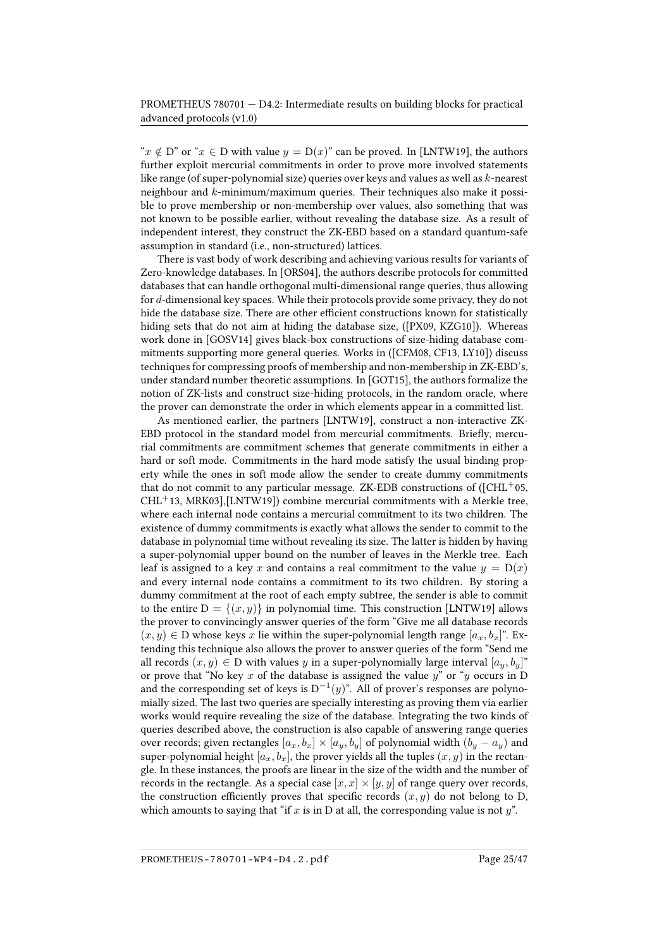" $x \notin D$ " or " $x \in D$  with value  $y = D(x)$ " can be proved. In [\[LNTW19\]](#page-43-1), the authors further exploit mercurial commitments in order to prove more involved statements like range (of super-polynomial size) queries over keys and values as well as k-nearest neighbour and k-minimum/maximum queries. Their techniques also make it possible to prove membership or non-membership over values, also something that was not known to be possible earlier, without revealing the database size. As a result of independent interest, they construct the ZK-EBD based on a standard quantum-safe assumption in standard (i.e., non-structured) lattices.

There is vast body of work describing and achieving various results for variants of Zero-knowledge databases. In [\[ORS04\]](#page-45-7), the authors describe protocols for committed databases that can handle orthogonal multi-dimensional range queries, thus allowing for  $d$ -dimensional key spaces. While their protocols provide some privacy, they do not hide the database size. There are other efficient constructions known for statistically hiding sets that do not aim at hiding the database size, ([\[PX09,](#page-46-7) [KZG10\]](#page-43-6)). Whereas work done in [\[GOSV14\]](#page-42-4) gives black-box constructions of size-hiding database commitments supporting more general queries. Works in ([\[CFM08,](#page-39-6) [CF13,](#page-38-5) [LY10\]](#page-44-6)) discuss techniques for compressing proofs of membership and non-membership in ZK-EBD's, under standard number theoretic assumptions. In [\[GOT15\]](#page-42-5), the authors formalize the notion of ZK-lists and construct size-hiding protocols, in the random oracle, where the prover can demonstrate the order in which elements appear in a committed list.

As mentioned earlier, the partners [\[LNTW19\]](#page-43-1), construct a non-interactive ZK-EBD protocol in the standard model from mercurial commitments. Briefly, mercurial commitments are commitment schemes that generate commitments in either a hard or soft mode. Commitments in the hard mode satisfy the usual binding property while the ones in soft mode allow the sender to create dummy commitments that do not commit to any particular message. ZK-EDB constructions of  $(CHL<sup>+</sup>05,$  $CHL+13$  $CHL+13$ , [MRK03\]](#page-45-6),[\[LNTW19\]](#page-43-1)) combine mercurial commitments with a Merkle tree, where each internal node contains a mercurial commitment to its two children. The existence of dummy commitments is exactly what allows the sender to commit to the database in polynomial time without revealing its size. The latter is hidden by having a super-polynomial upper bound on the number of leaves in the Merkle tree. Each leaf is assigned to a key x and contains a real commitment to the value  $y = D(x)$ and every internal node contains a commitment to its two children. By storing a dummy commitment at the root of each empty subtree, the sender is able to commit to the entire  $D = \{(x, y)\}\$ in polynomial time. This construction [\[LNTW19\]](#page-43-1) allows the prover to convincingly answer queries of the form "Give me all database records  $(x, y) \in D$  whose keys x lie within the super-polynomial length range  $[a_x, b_x]$ ". Extending this technique also allows the prover to answer queries of the form "Send me all records  $(x, y) \in D$  with values y in a super-polynomially large interval  $[a_u, b_u]^*$ or prove that "No key x of the database is assigned the value  $y^*$  or "y occurs in D and the corresponding set of keys is  $D^{-1}(y)$ ". All of prover's responses are polynomially sized. The last two queries are specially interesting as proving them via earlier works would require revealing the size of the database. Integrating the two kinds of queries described above, the construction is also capable of answering range queries over records; given rectangles  $[a_x, b_x] \times [a_y, b_y]$  of polynomial width  $(b_y - a_y)$  and super-polynomial height  $[a_x, b_x]$ , the prover yields all the tuples  $(x, y)$  in the rectangle. In these instances, the proofs are linear in the size of the width and the number of records in the rectangle. As a special case  $[x, x] \times [y, y]$  of range query over records, the construction efficiently proves that specific records  $(x, y)$  do not belong to D, which amounts to saying that "if x is in D at all, the corresponding value is not  $y$ ".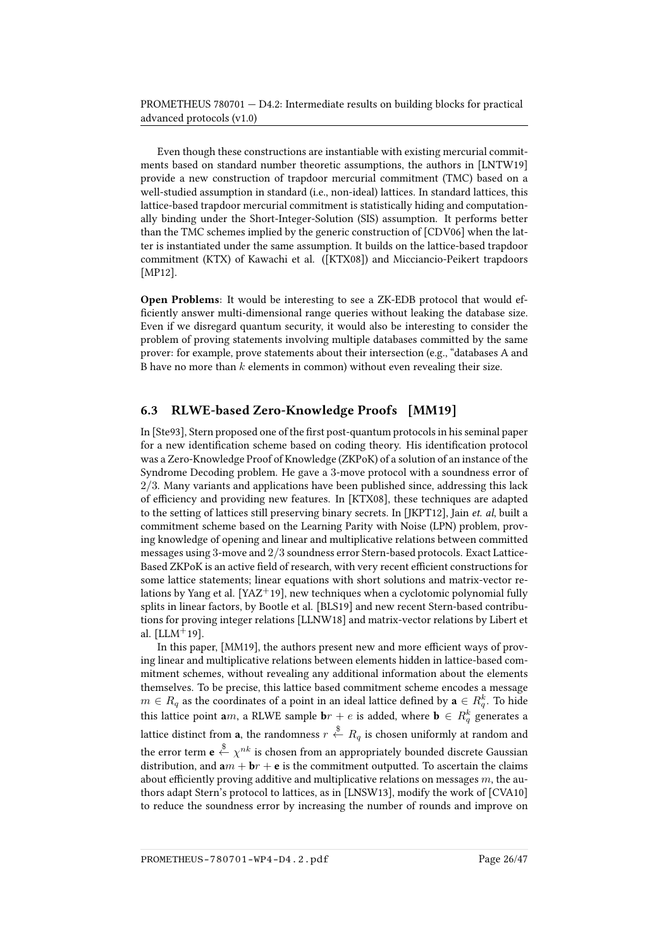Even though these constructions are instantiable with existing mercurial commitments based on standard number theoretic assumptions, the authors in [\[LNTW19\]](#page-43-1) provide a new construction of trapdoor mercurial commitment (TMC) based on a well-studied assumption in standard (i.e., non-ideal) lattices. In standard lattices, this lattice-based trapdoor mercurial commitment is statistically hiding and computationally binding under the Short-Integer-Solution (SIS) assumption. It performs better than the TMC schemes implied by the generic construction of [\[CDV06\]](#page-38-6) when the latter is instantiated under the same assumption. It builds on the lattice-based trapdoor commitment (KTX) of Kawachi et al. ([\[KTX08\]](#page-43-3)) and Micciancio-Peikert trapdoors [\[MP12\]](#page-45-8).

Open Problems: It would be interesting to see a ZK-EDB protocol that would ef ficiently answer multi-dimensional range queries without leaking the database size. Even if we disregard quantum security, it would also be interesting to consider the problem of proving statements involving multiple databases committed by the same prover: for example, prove statements about their intersection (e.g., "databases A and B have no more than  $k$  elements in common) without even revealing their size.

#### <span id="page-25-0"></span>6.3 RLWE-based Zero-Knowledge Proofs [\[MM19\]](#page-45-0)

In [\[Ste93\]](#page-46-8), Stern proposed one of the first post-quantum protocols in his seminal paper for a new identification scheme based on coding theory. His identification protocol was a Zero-Knowledge Proof of Knowledge (ZKPoK) of a solution of an instance of the Syndrome Decoding problem. He gave a 3-move protocol with a soundness error of  $2/3$ . Many variants and applications have been published since, addressing this lack of efficiency and providing new features. In [\[KTX08\]](#page-43-3), these techniques are adapted to the setting of lattices still preserving binary secrets. In [\[JKPT12\]](#page-43-7), Jain et. al, built a commitment scheme based on the Learning Parity with Noise (LPN) problem, proving knowledge of opening and linear and multiplicative relations between committed messages using 3-move and 2/3 soundness error Stern-based protocols. Exact Lattice-Based ZKPoK is an active field of research, with very recent efficient constructions for some lattice statements; linear equations with short solutions and matrix-vector re-lations by Yang et al. [\[YAZ](#page-46-9)<sup>+</sup>19], new techniques when a cyclotomic polynomial fully splits in linear factors, by Bootle et al. [\[BLS19\]](#page-38-7) and new recent Stern-based contributions for proving integer relations [\[LLNW18\]](#page-43-0) and matrix-vector relations by Libert et al.  $[LLM+19]$  $[LLM+19]$ .

In this paper, [\[MM19\]](#page-45-0), the authors present new and more efficient ways of proving linear and multiplicative relations between elements hidden in lattice-based commitment schemes, without revealing any additional information about the elements themselves. To be precise, this lattice based commitment scheme encodes a message  $m \in R_q$  as the coordinates of a point in an ideal lattice defined by  $\mathbf{a} \in R_q^k.$  To hide this lattice point  $\textbf{a} m$ , a RLWE sample  $\textbf{b} r + e$  is added, where  $\textbf{b} \, \in \, R_q^k$  generates a lattice distinct from **a**, the randomness  $r \stackrel{\$}{\leftarrow} R_q$  is chosen uniformly at random and the error term  $\mathbf{e}\stackrel{\$}{\leftarrow}\chi^{nk}$  is chosen from an appropriately bounded discrete Gaussian distribution, and  $am + br + e$  is the commitment outputted. To ascertain the claims about efficiently proving additive and multiplicative relations on messages  $m$ , the authors adapt Stern's protocol to lattices, as in [\[LNSW13\]](#page-43-4), modify the work of [\[CVA10\]](#page-40-8) to reduce the soundness error by increasing the number of rounds and improve on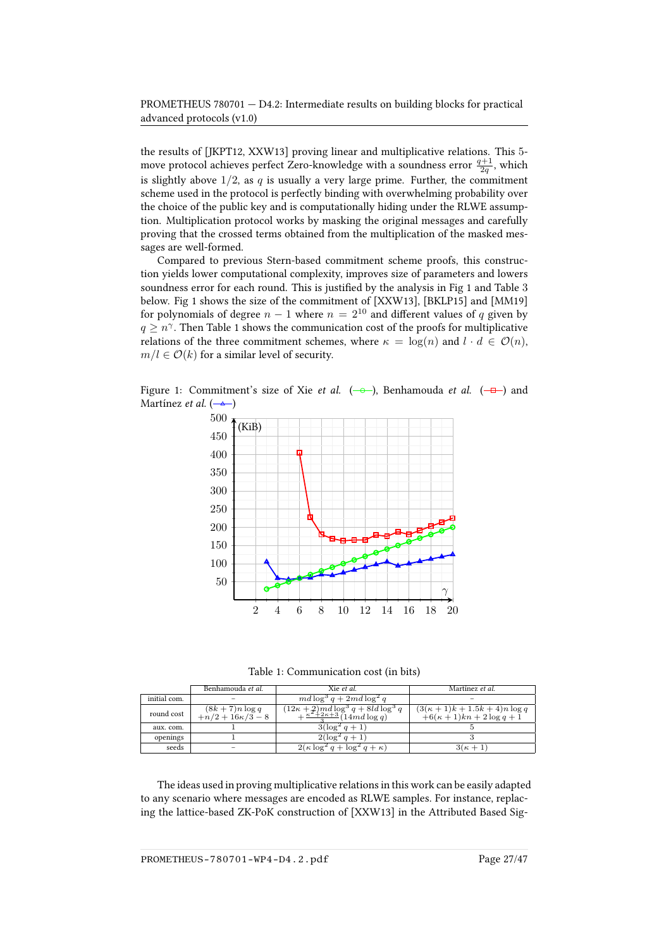the results of [\[JKPT12,](#page-43-7) [XXW13\]](#page-46-10) proving linear and multiplicative relations. This 5 move protocol achieves perfect Zero-knowledge with a soundness error  $\frac{q+1}{2q}$ , which is slightly above  $1/2$ , as q is usually a very large prime. Further, the commitment scheme used in the protocol is perfectly binding with overwhelming probability over the choice of the public key and is computationally hiding under the RLWE assumption. Multiplication protocol works by masking the original messages and carefully proving that the crossed terms obtained from the multiplication of the masked messages are well-formed.

Compared to previous Stern-based commitment scheme proofs, this construction yields lower computational complexity, improves size of parameters and lowers soundness error for each round. This is justified by the analysis in Fig [1](#page-26-1) and Table 3 below. Fig [1](#page-26-1) shows the size of the commitment of [\[XXW13\]](#page-46-10), [\[BKLP15\]](#page-37-8) and [\[MM19\]](#page-45-0) for polynomials of degree  $n - 1$  where  $n = 2^{10}$  and different values of q given by  $q \geq n^{\gamma}$ . Then Table [1](#page-26-0) shows the communication cost of the proofs for multiplicative relations of the three commitment schemes, where  $\kappa = \log(n)$  and  $l \cdot d \in \mathcal{O}(n)$ ,  $m/l \in \mathcal{O}(k)$  for a similar level of security.

Figure 1: Commitment's size of Xie et al.  $(-\rightarrow)$  $(-\rightarrow)$ , Benhamouda et al.  $(-\rightarrow)$  $(-\rightarrow)$  and Martínez et al.  $( - \triangle )$  $( - \triangle )$ 

<span id="page-26-1"></span>

<span id="page-26-2"></span><span id="page-26-0"></span>Table 1: Communication cost (in bits)

|              | Benhamouda et al.                         | Xie et al.                                                                                        | Martínez et al.                                                     |
|--------------|-------------------------------------------|---------------------------------------------------------------------------------------------------|---------------------------------------------------------------------|
| initial com. |                                           | $md \log^3 q + 2md \log^2 q$                                                                      |                                                                     |
| round cost   | $(8k + 7)n \log q$<br>$+n/2+16\kappa/3-8$ | $\frac{\overline{(12\kappa+2)md\log^3 q+8ld\log^3 q}}{+\frac{\kappa^2+2\kappa+3}{3}(14md\log q)}$ | $(3(\kappa+1)k+1.5k+4)n \log q$<br>$+6(\kappa+1)kn+2\log q+\bar{1}$ |
| aux. com.    |                                           | $3(\log^2 q + 1)$                                                                                 |                                                                     |
| openings     |                                           | $2(\log^2 q + 1)$                                                                                 |                                                                     |
| seeds        |                                           | $2(\kappa \log^2 q + \log^2 q + \kappa)$                                                          | $3(\kappa+1)$                                                       |

The ideas used in proving multiplicative relations in this work can be easily adapted to any scenario where messages are encoded as RLWE samples. For instance, replacing the lattice-based ZK-PoK construction of [\[XXW13\]](#page-46-10) in the Attributed Based Sig-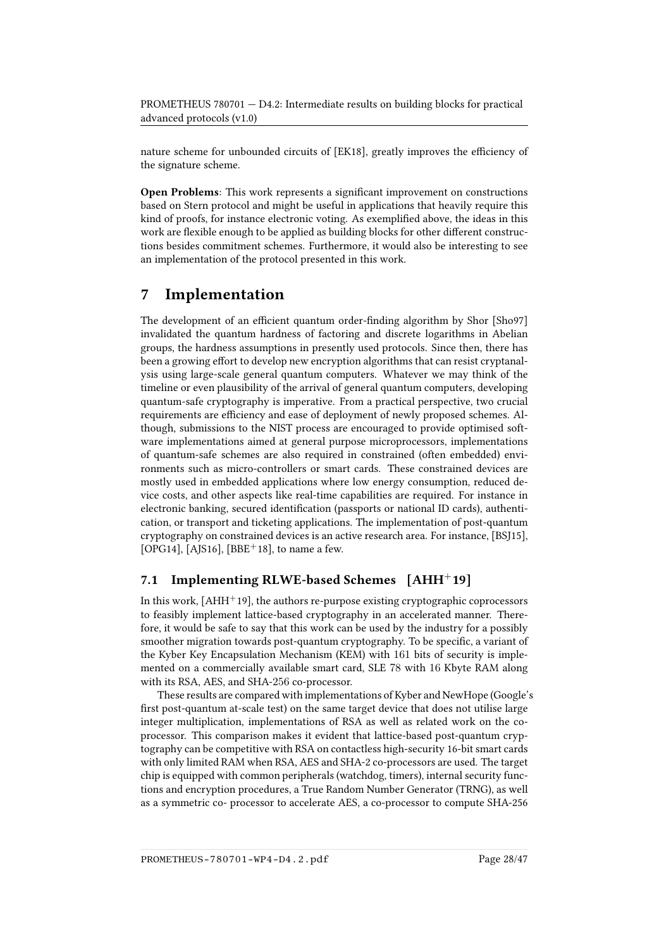nature scheme for unbounded circuits of [\[EK18\]](#page-40-9), greatly improves the efficiency of the signature scheme.

Open Problems: This work represents a significant improvement on constructions based on Stern protocol and might be useful in applications that heavily require this kind of proofs, for instance electronic voting. As exemplied above, the ideas in this work are flexible enough to be applied as building blocks for other different constructions besides commitment schemes. Furthermore, it would also be interesting to see an implementation of the protocol presented in this work.

## <span id="page-27-0"></span>7 Implementation

The development of an efficient quantum order-finding algorithm by Shor [\[Sho97\]](#page-46-11) invalidated the quantum hardness of factoring and discrete logarithms in Abelian groups, the hardness assumptions in presently used protocols. Since then, there has been a growing effort to develop new encryption algorithms that can resist cryptanalysis using large-scale general quantum computers. Whatever we may think of the timeline or even plausibility of the arrival of general quantum computers, developing quantum-safe cryptography is imperative. From a practical perspective, two crucial requirements are efficiency and ease of deployment of newly proposed schemes. Although, submissions to the NIST process are encouraged to provide optimised software implementations aimed at general purpose microprocessors, implementations of quantum-safe schemes are also required in constrained (often embedded) environments such as micro-controllers or smart cards. These constrained devices are mostly used in embedded applications where low energy consumption, reduced device costs, and other aspects like real-time capabilities are required. For instance in electronic banking, secured identification (passports or national ID cards), authentication, or transport and ticketing applications. The implementation of post-quantum cryptography on constrained devices is an active research area. For instance, [\[BSJ15\]](#page-38-8), [\[OPG14\]](#page-45-9), [\[AJS16\]](#page-36-8), [\[BBE](#page-36-0)<sup>+</sup>18], to name a few.

## <span id="page-27-1"></span>7.1 Implementing RLWE-based Schemes [\[AHH](#page-36-1)<sup>+</sup>19]

In this work,  $[AHH^+19]$  $[AHH^+19]$ , the authors re-purpose existing cryptographic coprocessors to feasibly implement lattice-based cryptography in an accelerated manner. Therefore, it would be safe to say that this work can be used by the industry for a possibly smoother migration towards post-quantum cryptography. To be specific, a variant of the Kyber Key Encapsulation Mechanism (KEM) with 161 bits of security is implemented on a commercially available smart card, SLE 78 with 16 Kbyte RAM along with its RSA, AES, and SHA-256 co-processor.

These results are compared with implementations of Kyber and NewHope (Google's first post-quantum at-scale test) on the same target device that does not utilise large integer multiplication, implementations of RSA as well as related work on the coprocessor. This comparison makes it evident that lattice-based post-quantum cryptography can be competitive with RSA on contactless high-security 16-bit smart cards with only limited RAM when RSA, AES and SHA-2 co-processors are used. The target chip is equipped with common peripherals (watchdog, timers), internal security functions and encryption procedures, a True Random Number Generator (TRNG), as well as a symmetric co- processor to accelerate AES, a co-processor to compute SHA-256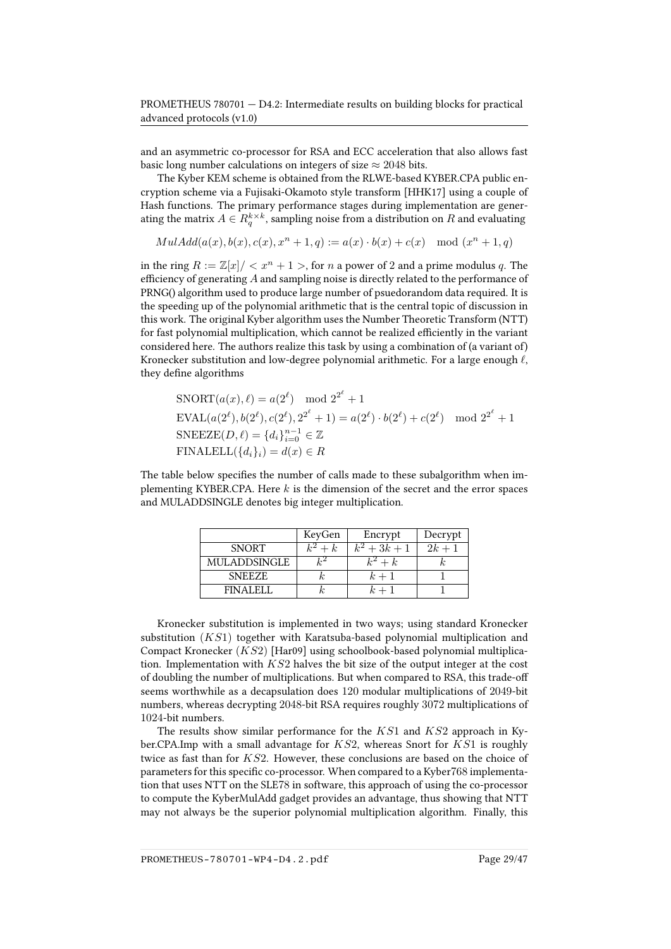and an asymmetric co-processor for RSA and ECC acceleration that also allows fast basic long number calculations on integers of size  $\approx 2048$  bits.

The Kyber KEM scheme is obtained from the RLWE-based KYBER.CPA public encryption scheme via a Fujisaki-Okamoto style transform [\[HHK17\]](#page-42-6) using a couple of Hash functions. The primary performance stages during implementation are generating the matrix  $A \in R^{k\times k}_q$ , sampling noise from a distribution on  $R$  and evaluating

 $MulAdd(a(x), b(x), c(x), x<sup>n</sup> + 1, q) := a(x) \cdot b(x) + c(x) \mod (x<sup>n</sup> + 1, q)$ 

in the ring  $R := \mathbb{Z}[x]/\langle x^n + 1 \rangle$ , for n a power of 2 and a prime modulus q. The efficiency of generating  $A$  and sampling noise is directly related to the performance of PRNG() algorithm used to produce large number of psuedorandom data required. It is the speeding up of the polynomial arithmetic that is the central topic of discussion in this work. The original Kyber algorithm uses the Number Theoretic Transform (NTT) for fast polynomial multiplication, which cannot be realized efficiently in the variant considered here. The authors realize this task by using a combination of (a variant of) Kronecker substitution and low-degree polynomial arithmetic. For a large enough  $\ell$ , they define algorithms

$$
\text{SNORT}(a(x), \ell) = a(2^{\ell}) \mod 2^{2^{\ell}} + 1
$$
\n
$$
\text{EVAL}(a(2^{\ell}), b(2^{\ell}), c(2^{\ell}), 2^{2^{\ell}} + 1) = a(2^{\ell}) \cdot b(2^{\ell}) + c(2^{\ell}) \mod 2^{2^{\ell}} + 1
$$
\n
$$
\text{SNEEZE}(D, \ell) = \{d_i\}_{i=0}^{n-1} \in \mathbb{Z}
$$
\n
$$
\text{FINALELL}(\{d_i\}_i) = d(x) \in R
$$

The table below specifies the number of calls made to these subalgorithm when implementing KYBER.CPA. Here  $k$  is the dimension of the secret and the error spaces and MULADDSINGLE denotes big integer multiplication.

|               | KeyGen  | Encrypt        | Decrypt  |
|---------------|---------|----------------|----------|
| <b>SNORT</b>  | $k^2+k$ | $k^2 + 3k + 1$ | $2k + 1$ |
| MULADDSINGLE  | $k^2$   | $k^2+k$        |          |
| <b>SNEEZE</b> |         | $k+1$          |          |
| FIN AI FI-    |         | $k+1$          |          |

Kronecker substitution is implemented in two ways; using standard Kronecker substitution  $(KS1)$  together with Karatsuba-based polynomial multiplication and Compact Kronecker (KS2) [\[Har09\]](#page-42-7) using schoolbook-based polynomial multiplication. Implementation with  $KS2$  halves the bit size of the output integer at the cost of doubling the number of multiplications. But when compared to RSA, this trade-o seems worthwhile as a decapsulation does 120 modular multiplications of 2049-bit numbers, whereas decrypting 2048-bit RSA requires roughly 3072 multiplications of 1024-bit numbers.

The results show similar performance for the  $KS1$  and  $KS2$  approach in Kyber.CPA.Imp with a small advantage for  $KS2$ , whereas Snort for  $KS1$  is roughly twice as fast than for KS2. However, these conclusions are based on the choice of parameters for this specific co-processor. When compared to a Kyber768 implementation that uses NTT on the SLE78 in software, this approach of using the co-processor to compute the KyberMulAdd gadget provides an advantage, thus showing that NTT may not always be the superior polynomial multiplication algorithm. Finally, this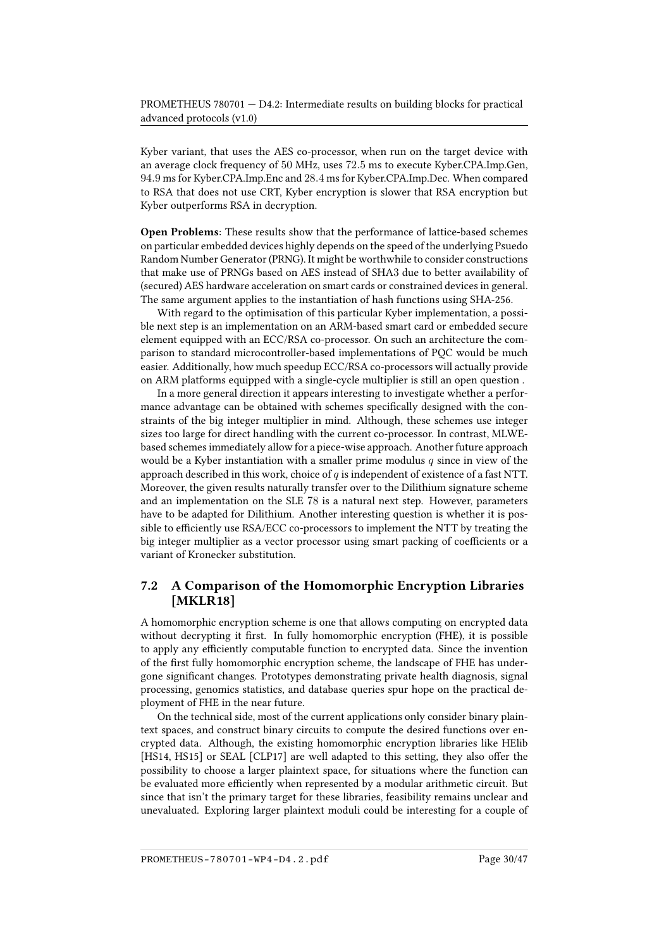Kyber variant, that uses the AES co-processor, when run on the target device with an average clock frequency of 50 MHz, uses 72.5 ms to execute Kyber.CPA.Imp.Gen, 94.9 ms for Kyber.CPA.Imp.Enc and 28.4 ms for Kyber.CPA.Imp.Dec. When compared to RSA that does not use CRT, Kyber encryption is slower that RSA encryption but Kyber outperforms RSA in decryption.

Open Problems: These results show that the performance of lattice-based schemes on particular embedded devices highly depends on the speed of the underlying Psuedo Random Number Generator (PRNG). It might be worthwhile to consider constructions that make use of PRNGs based on AES instead of SHA3 due to better availability of (secured) AES hardware acceleration on smart cards or constrained devices in general. The same argument applies to the instantiation of hash functions using SHA-256.

With regard to the optimisation of this particular Kyber implementation, a possible next step is an implementation on an ARM-based smart card or embedded secure element equipped with an ECC/RSA co-processor. On such an architecture the comparison to standard microcontroller-based implementations of PQC would be much easier. Additionally, how much speedup ECC/RSA co-processors will actually provide on ARM platforms equipped with a single-cycle multiplier is still an open question .

In a more general direction it appears interesting to investigate whether a performance advantage can be obtained with schemes specifically designed with the constraints of the big integer multiplier in mind. Although, these schemes use integer sizes too large for direct handling with the current co-processor. In contrast, MLWEbased schemes immediately allow for a piece-wise approach. Another future approach would be a Kyber instantiation with a smaller prime modulus  $q$  since in view of the approach described in this work, choice of  $q$  is independent of existence of a fast NTT. Moreover, the given results naturally transfer over to the Dilithium signature scheme and an implementation on the SLE 78 is a natural next step. However, parameters have to be adapted for Dilithium. Another interesting question is whether it is possible to efficiently use RSA/ECC co-processors to implement the NTT by treating the big integer multiplier as a vector processor using smart packing of coefficients or a variant of Kronecker substitution.

## <span id="page-29-0"></span>7.2 A Comparison of the Homomorphic Encryption Libraries [\[MKLR18\]](#page-44-2)

A homomorphic encryption scheme is one that allows computing on encrypted data without decrypting it first. In fully homomorphic encryption (FHE), it is possible to apply any efficiently computable function to encrypted data. Since the invention of the first fully homomorphic encryption scheme, the landscape of FHE has undergone significant changes. Prototypes demonstrating private health diagnosis, signal processing, genomics statistics, and database queries spur hope on the practical deployment of FHE in the near future.

On the technical side, most of the current applications only consider binary plaintext spaces, and construct binary circuits to compute the desired functions over encrypted data. Although, the existing homomorphic encryption libraries like HElib [\[HS14,](#page-42-8) [HS15\]](#page-42-9) or SEAL [\[CLP17\]](#page-39-7) are well adapted to this setting, they also offer the possibility to choose a larger plaintext space, for situations where the function can be evaluated more efficiently when represented by a modular arithmetic circuit. But since that isn't the primary target for these libraries, feasibility remains unclear and unevaluated. Exploring larger plaintext moduli could be interesting for a couple of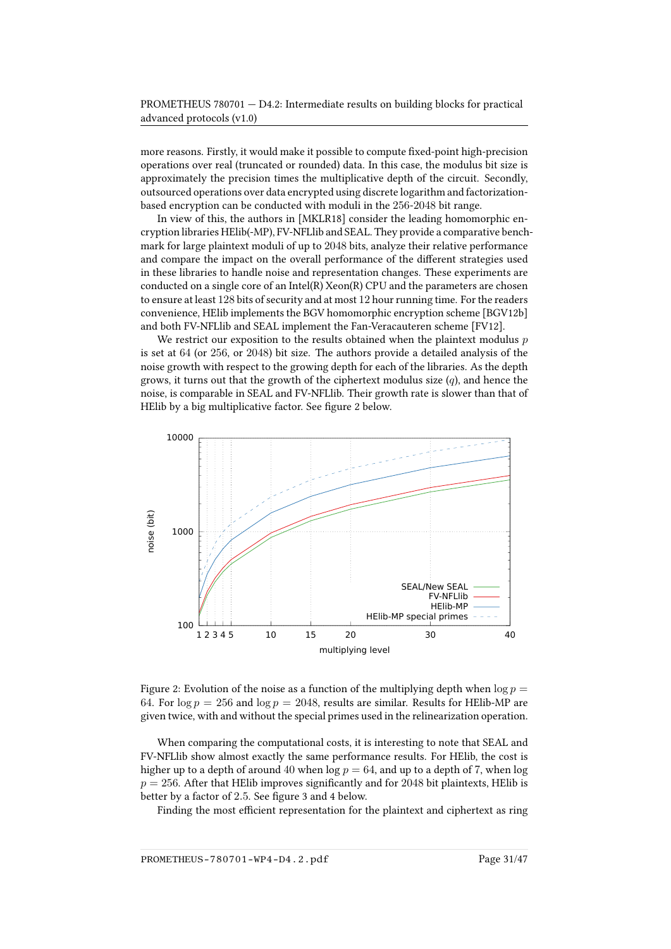more reasons. Firstly, it would make it possible to compute fixed-point high-precision operations over real (truncated or rounded) data. In this case, the modulus bit size is approximately the precision times the multiplicative depth of the circuit. Secondly, outsourced operations over data encrypted using discrete logarithm and factorizationbased encryption can be conducted with moduli in the 256-2048 bit range.

In view of this, the authors in [\[MKLR18\]](#page-44-2) consider the leading homomorphic encryption libraries HElib(-MP), FV-NFLlib and SEAL. They provide a comparative benchmark for large plaintext moduli of up to 2048 bits, analyze their relative performance and compare the impact on the overall performance of the different strategies used in these libraries to handle noise and representation changes. These experiments are conducted on a single core of an Intel(R) Xeon(R) CPU and the parameters are chosen to ensure at least 128 bits of security and at most 12 hour running time. For the readers convenience, HElib implements the BGV homomorphic encryption scheme [\[BGV12b\]](#page-37-9) and both FV-NFLlib and SEAL implement the Fan-Veracauteren scheme [\[FV12\]](#page-41-11).

We restrict our exposition to the results obtained when the plaintext modulus  $p$ is set at 64 (or 256, or 2048) bit size. The authors provide a detailed analysis of the noise growth with respect to the growing depth for each of the libraries. As the depth grows, it turns out that the growth of the ciphertext modulus size  $(q)$ , and hence the noise, is comparable in SEAL and FV-NFLlib. Their growth rate is slower than that of HElib by a big multiplicative factor. See figure [2](#page-30-0) below.



<span id="page-30-0"></span>Figure 2: Evolution of the noise as a function of the multiplying depth when  $\log p =$ 64. For  $\log p = 256$  and  $\log p = 2048$ , results are similar. Results for HElib-MP are given twice, with and without the special primes used in the relinearization operation.

When comparing the computational costs, it is interesting to note that SEAL and FV-NFLlib show almost exactly the same performance results. For HElib, the cost is higher up to a depth of around 40 when  $\log p = 64$ , and up to a depth of 7, when  $\log$  $p = 256$ . After that HElib improves significantly and for 2048 bit plaintexts, HElib is better by a factor of 2.5. See figure [3](#page-31-0) and [4](#page-31-1) below.

Finding the most efficient representation for the plaintext and ciphertext as ring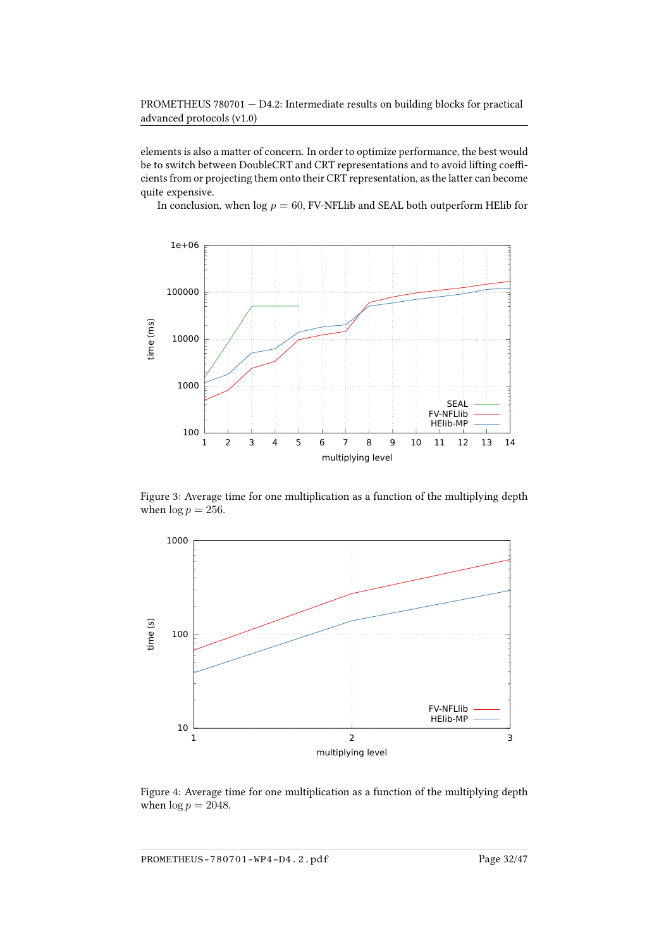elements is also a matter of concern. In order to optimize performance, the best would be to switch between DoubleCRT and CRT representations and to avoid lifting coefficients from or projecting them onto their CRT representation, as the latter can become quite expensive.

In conclusion, when  $log p = 60$ , FV-NFLIib and SEAL both outperform HEIIb for



<span id="page-31-0"></span>Figure 3: Average time for one multiplication as a function of the multiplying depth when  $\log p = 256$ .



<span id="page-31-1"></span>Figure 4: Average time for one multiplication as a function of the multiplying depth when  $\log p = 2048$ .

PROMETHEUS-780701-WP4-D4.2.pdf Page 32/47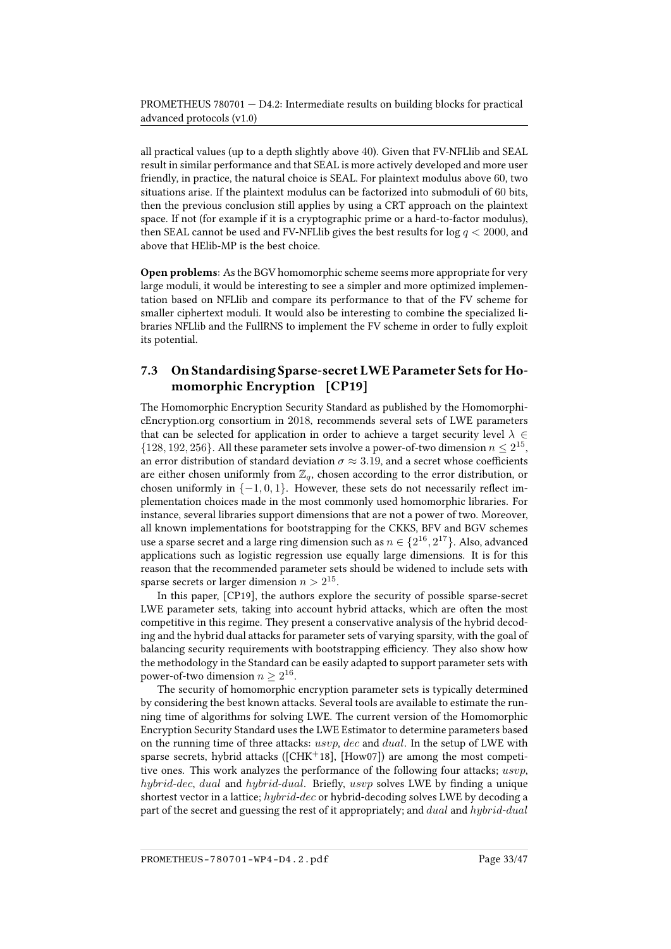all practical values (up to a depth slightly above 40). Given that FV-NFLlib and SEAL result in similar performance and that SEAL is more actively developed and more user friendly, in practice, the natural choice is SEAL. For plaintext modulus above 60, two situations arise. If the plaintext modulus can be factorized into submoduli of 60 bits, then the previous conclusion still applies by using a CRT approach on the plaintext space. If not (for example if it is a cryptographic prime or a hard-to-factor modulus), then SEAL cannot be used and FV-NFLI b gives the best results for  $log q < 2000$ , and above that HElib-MP is the best choice.

Open problems: As the BGV homomorphic scheme seems more appropriate for very large moduli, it would be interesting to see a simpler and more optimized implementation based on NFLlib and compare its performance to that of the FV scheme for smaller ciphertext moduli. It would also be interesting to combine the specialized libraries NFLlib and the FullRNS to implement the FV scheme in order to fully exploit its potential.

## <span id="page-32-0"></span>7.3 On Standardising Sparse-secret LWE Parameter Sets for Homomorphic Encryption [\[CP19\]](#page-39-0)

The Homomorphic Encryption Security Standard as published by the HomomorphicEncryption.org consortium in 2018, recommends several sets of LWE parameters that can be selected for application in order to achieve a target security level  $\lambda \in$  $\{128, 192, 256\}$ . All these parameter sets involve a power-of-two dimension  $n \leq 2^{15}$ , an error distribution of standard deviation  $\sigma \approx 3.19$ , and a secret whose coefficients are either chosen uniformly from  $\mathbb{Z}_q$ , chosen according to the error distribution, or chosen uniformly in  $\{-1, 0, 1\}$ . However, these sets do not necessarily reflect implementation choices made in the most commonly used homomorphic libraries. For instance, several libraries support dimensions that are not a power of two. Moreover, all known implementations for bootstrapping for the CKKS, BFV and BGV schemes use a sparse secret and a large ring dimension such as  $n \in \{2^{16},2^{17}\}$ . Also, advanced applications such as logistic regression use equally large dimensions. It is for this reason that the recommended parameter sets should be widened to include sets with sparse secrets or larger dimension  $n > 2^{15}$ .

In this paper, [\[CP19\]](#page-39-0), the authors explore the security of possible sparse-secret LWE parameter sets, taking into account hybrid attacks, which are often the most competitive in this regime. They present a conservative analysis of the hybrid decoding and the hybrid dual attacks for parameter sets of varying sparsity, with the goal of balancing security requirements with bootstrapping efficiency. They also show how the methodology in the Standard can be easily adapted to support parameter sets with power-of-two dimension  $n\geq 2^{16}.$ 

The security of homomorphic encryption parameter sets is typically determined by considering the best known attacks. Several tools are available to estimate the running time of algorithms for solving LWE. The current version of the Homomorphic Encryption Security Standard uses the LWE Estimator to determine parameters based on the running time of three attacks: usvp, dec and dual. In the setup of LWE with sparse secrets, hybrid attacks ( $[CHK^+18]$  $[CHK^+18]$ ,  $[How07]$ ) are among the most competitive ones. This work analyzes the performance of the following four attacks; usvp, hybrid-dec, dual and hybrid-dual. Briefly, usvp solves LWE by finding a unique shortest vector in a lattice; hybrid-dec or hybrid-decoding solves LWE by decoding a part of the secret and guessing the rest of it appropriately; and dual and hybrid-dual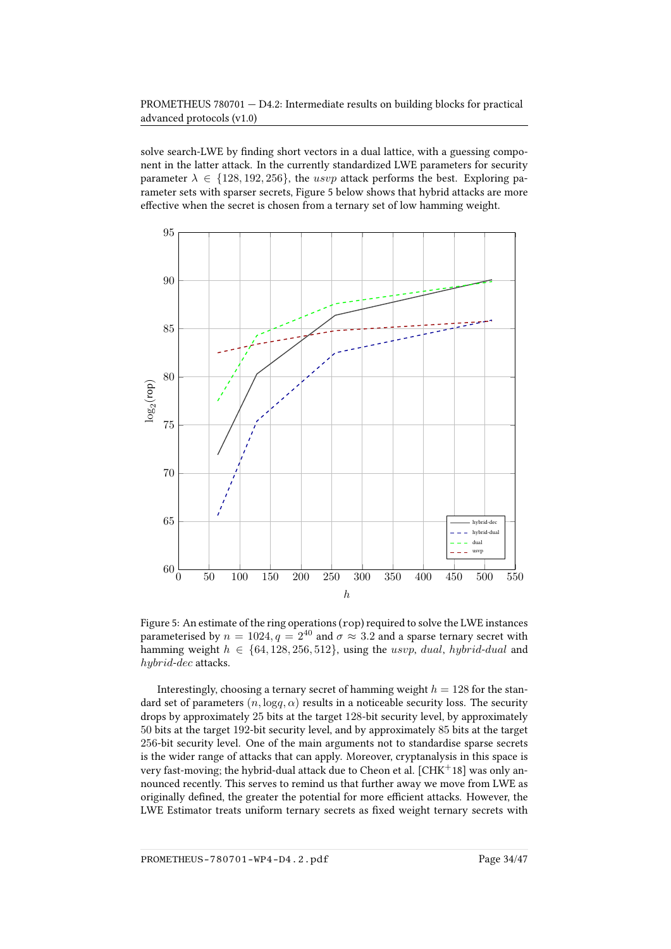solve search-LWE by finding short vectors in a dual lattice, with a guessing component in the latter attack. In the currently standardized LWE parameters for security parameter  $\lambda \in \{128, 192, 256\}$ , the usvp attack performs the best. Exploring parameter sets with sparser secrets, Figure [5](#page-33-0) below shows that hybrid attacks are more effective when the secret is chosen from a ternary set of low hamming weight.



<span id="page-33-0"></span>Figure 5: An estimate of the ring operations (rop) required to solve the LWE instances parameterised by  $n = 1024, q = 2^{40}$  and  $\sigma \approx 3.2$  and a sparse ternary secret with hamming weight  $h \in \{64, 128, 256, 512\}$ , using the usvp, dual, hybrid-dual and hybrid-dec attacks.

Interestingly, choosing a ternary secret of hamming weight  $h = 128$  for the standard set of parameters  $(n, \log q, \alpha)$  results in a noticeable security loss. The security drops by approximately 25 bits at the target 128-bit security level, by approximately 50 bits at the target 192-bit security level, and by approximately 85 bits at the target 256-bit security level. One of the main arguments not to standardise sparse secrets is the wider range of attacks that can apply. Moreover, cryptanalysis in this space is very fast-moving; the hybrid-dual attack due to Cheon et al. [\[CHK](#page-39-8)<sup>+</sup>18] was only announced recently. This serves to remind us that further away we move from LWE as originally defined, the greater the potential for more efficient attacks. However, the LWE Estimator treats uniform ternary secrets as fixed weight ternary secrets with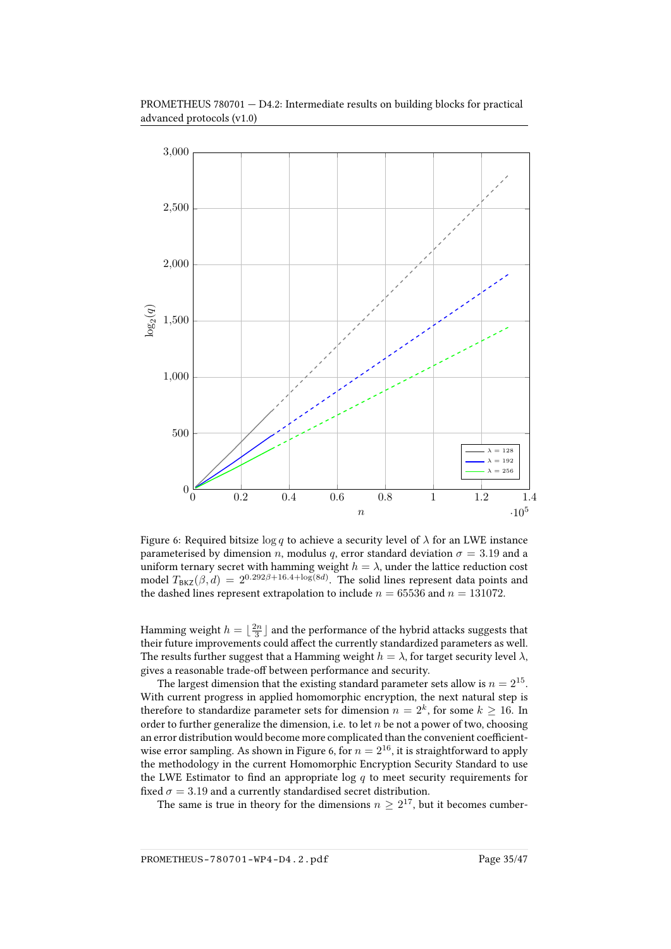

PROMETHEUS 780701 — D4.2: Intermediate results on building blocks for practical advanced protocols (v1.0)

<span id="page-34-0"></span>Figure 6: Required bitsize  $\log q$  to achieve a security level of  $\lambda$  for an LWE instance parameterised by dimension *n*, modulus *q*, error standard deviation  $\sigma = 3.19$  and a uniform ternary secret with hamming weight  $h = \lambda$ , under the lattice reduction cost model  $T_{\text{BKZ}}(\beta,d) = 2^{0.292\beta + 16.4 + \log(8d)}$ . The solid lines represent data points and the dashed lines represent extrapolation to include  $n = 65536$  and  $n = 131072$ .

Hamming weight  $h = \lfloor \frac{2n}{3} \rfloor$  and the performance of the hybrid attacks suggests that their future improvements could affect the currently standardized parameters as well. The results further suggest that a Hamming weight  $h = \lambda$ , for target security level  $\lambda$ , gives a reasonable trade-off between performance and security.

The largest dimension that the existing standard parameter sets allow is  $n=2^{15}$ . With current progress in applied homomorphic encryption, the next natural step is therefore to standardize parameter sets for dimension  $n=2^k,$  for some  $k\geq 16.$  In order to further generalize the dimension, i.e. to let  $n$  be not a power of two, choosing an error distribution would become more complicated than the convenient coefficient-wise error sampling. As shown in Figure [6,](#page-34-0) for  $n = 2^{16}$ , it is straightforward to apply the methodology in the current Homomorphic Encryption Security Standard to use the LWE Estimator to find an appropriate log  $q$  to meet security requirements for fixed  $\sigma = 3.19$  and a currently standardised secret distribution.

The same is true in theory for the dimensions  $n \geq 2^{17}$ , but it becomes cumber-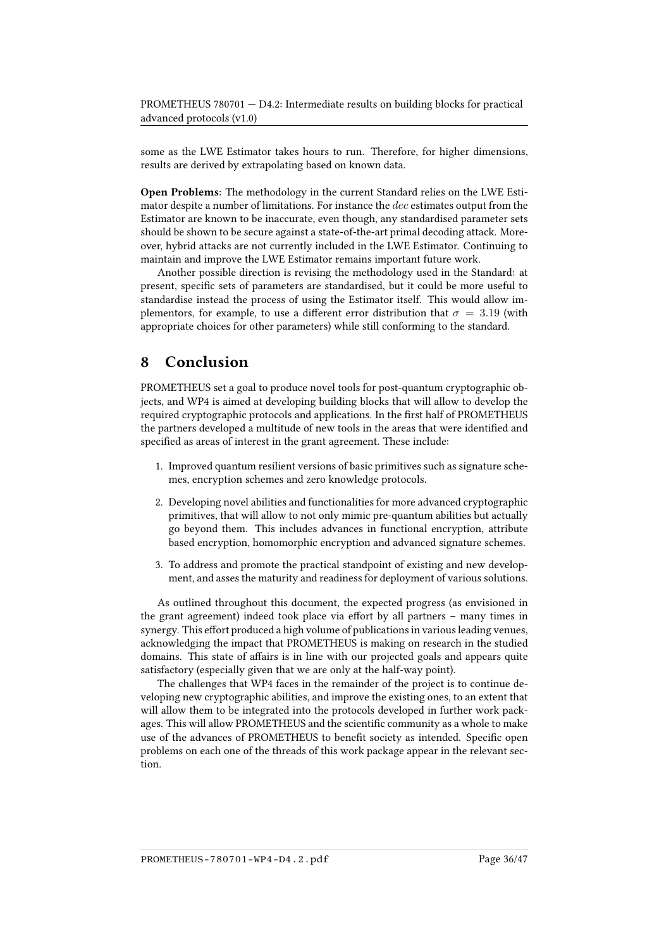some as the LWE Estimator takes hours to run. Therefore, for higher dimensions, results are derived by extrapolating based on known data.

Open Problems: The methodology in the current Standard relies on the LWE Estimator despite a number of limitations. For instance the  $dec$  estimates output from the Estimator are known to be inaccurate, even though, any standardised parameter sets should be shown to be secure against a state-of-the-art primal decoding attack. Moreover, hybrid attacks are not currently included in the LWE Estimator. Continuing to maintain and improve the LWE Estimator remains important future work.

Another possible direction is revising the methodology used in the Standard: at present, specific sets of parameters are standardised, but it could be more useful to standardise instead the process of using the Estimator itself. This would allow implementors, for example, to use a different error distribution that  $\sigma = 3.19$  (with appropriate choices for other parameters) while still conforming to the standard.

## <span id="page-35-0"></span>8 Conclusion

PROMETHEUS set a goal to produce novel tools for post-quantum cryptographic objects, and WP4 is aimed at developing building blocks that will allow to develop the required cryptographic protocols and applications. In the first half of PROMETHEUS the partners developed a multitude of new tools in the areas that were identified and specified as areas of interest in the grant agreement. These include:

- 1. Improved quantum resilient versions of basic primitives such as signature schemes, encryption schemes and zero knowledge protocols.
- 2. Developing novel abilities and functionalities for more advanced cryptographic primitives, that will allow to not only mimic pre-quantum abilities but actually go beyond them. This includes advances in functional encryption, attribute based encryption, homomorphic encryption and advanced signature schemes.
- 3. To address and promote the practical standpoint of existing and new development, and asses the maturity and readiness for deployment of various solutions.

As outlined throughout this document, the expected progress (as envisioned in the grant agreement) indeed took place via effort by all partners – many times in synergy. This effort produced a high volume of publications in various leading venues, acknowledging the impact that PROMETHEUS is making on research in the studied domains. This state of affairs is in line with our projected goals and appears quite satisfactory (especially given that we are only at the half-way point).

The challenges that WP4 faces in the remainder of the project is to continue developing new cryptographic abilities, and improve the existing ones, to an extent that will allow them to be integrated into the protocols developed in further work packages. This will allow PROMETHEUS and the scientific community as a whole to make use of the advances of PROMETHEUS to benefit society as intended. Specific open problems on each one of the threads of this work package appear in the relevant section.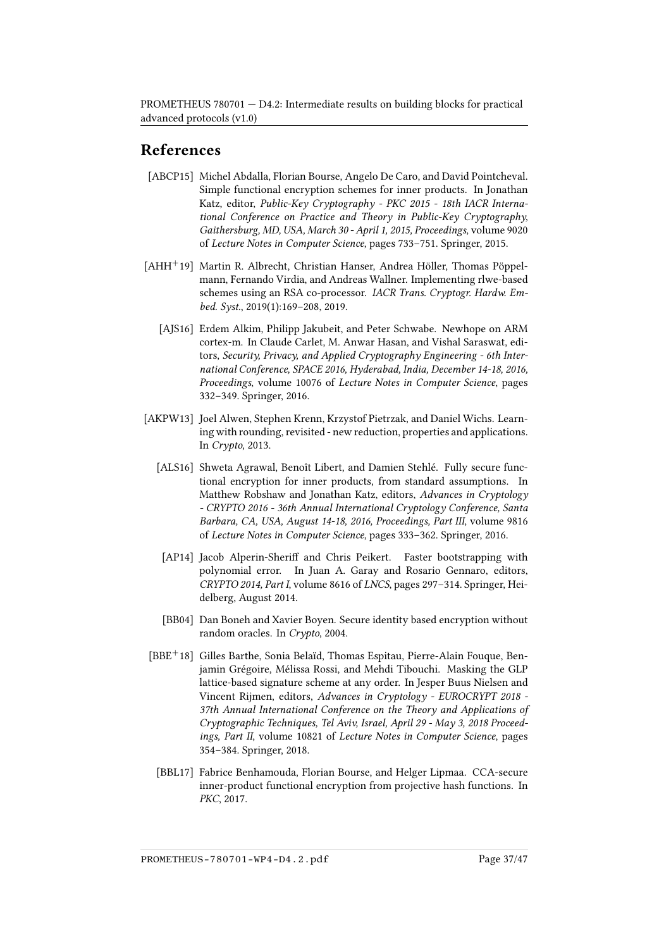# References

- <span id="page-36-4"></span>[ABCP15] Michel Abdalla, Florian Bourse, Angelo De Caro, and David Pointcheval. Simple functional encryption schemes for inner products. In Jonathan Katz, editor, Public-Key Cryptography - PKC 2015 - 18th IACR International Conference on Practice and Theory in Public-Key Cryptography, Gaithersburg, MD, USA, March 30 - April 1, 2015, Proceedings, volume 9020 of Lecture Notes in Computer Science, pages 733–751. Springer, 2015.
- <span id="page-36-8"></span><span id="page-36-1"></span>[AHH+19] Martin R. Albrecht, Christian Hanser, Andrea Höller, Thomas Pöppelmann, Fernando Virdia, and Andreas Wallner. Implementing rlwe-based schemes using an RSA co-processor. IACR Trans. Cryptogr. Hardw. Embed. Syst., 2019(1):169–208, 2019.
	- [AJS16] Erdem Alkim, Philipp Jakubeit, and Peter Schwabe. Newhope on ARM cortex-m. In Claude Carlet, M. Anwar Hasan, and Vishal Saraswat, editors, Security, Privacy, and Applied Cryptography Engineering - 6th International Conference, SPACE 2016, Hyderabad, India, December 14-18, 2016, Proceedings, volume 10076 of Lecture Notes in Computer Science, pages 332–349. Springer, 2016.
- <span id="page-36-5"></span><span id="page-36-2"></span>[AKPW13] Joel Alwen, Stephen Krenn, Krzystof Pietrzak, and Daniel Wichs. Learning with rounding, revisited - new reduction, properties and applications. In Crypto, 2013.
	- [ALS16] Shweta Agrawal, Benoît Libert, and Damien Stehlé. Fully secure functional encryption for inner products, from standard assumptions. In Matthew Robshaw and Jonathan Katz, editors, Advances in Cryptology - CRYPTO 2016 - 36th Annual International Cryptology Conference, Santa Barbara, CA, USA, August 14-18, 2016, Proceedings, Part III, volume 9816 of Lecture Notes in Computer Science, pages 333–362. Springer, 2016.
	- [AP14] Jacob Alperin-Sheriff and Chris Peikert. Faster bootstrapping with polynomial error. In Juan A. Garay and Rosario Gennaro, editors, CRYPTO 2014, Part I, volume 8616 of LNCS, pages 297–314. Springer, Heidelberg, August 2014.
	- [BB04] Dan Boneh and Xavier Boyen. Secure identity based encryption without random oracles. In Crypto, 2004.
- <span id="page-36-7"></span><span id="page-36-6"></span><span id="page-36-3"></span><span id="page-36-0"></span>[BBE<sup>+</sup>18] Gilles Barthe, Sonia Belaïd, Thomas Espitau, Pierre-Alain Fouque, Benjamin Grégoire, Mélissa Rossi, and Mehdi Tibouchi. Masking the GLP lattice-based signature scheme at any order. In Jesper Buus Nielsen and Vincent Rijmen, editors, Advances in Cryptology - EUROCRYPT 2018 - 37th Annual International Conference on the Theory and Applications of Cryptographic Techniques, Tel Aviv, Israel, April 29 - May 3, 2018 Proceedings, Part II, volume 10821 of Lecture Notes in Computer Science, pages 354–384. Springer, 2018.
	- [BBL17] Fabrice Benhamouda, Florian Bourse, and Helger Lipmaa. CCA-secure inner-product functional encryption from projective hash functions. In PKC, 2017.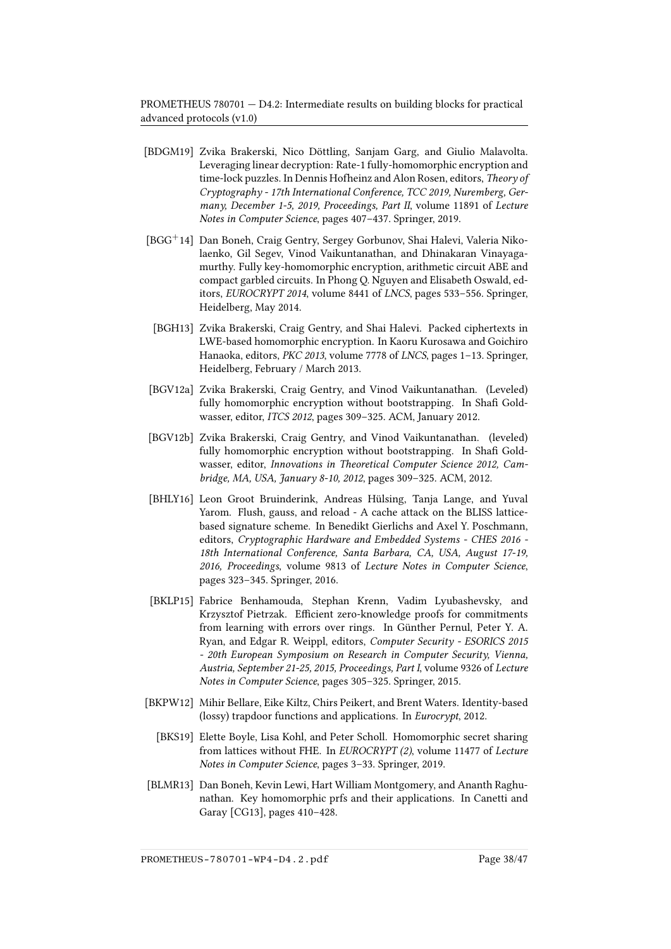- <span id="page-37-0"></span>[BDGM19] Zvika Brakerski, Nico Döttling, Sanjam Garg, and Giulio Malavolta. Leveraging linear decryption: Rate-1 fully-homomorphic encryption and time-lock puzzles. In Dennis Hofheinz and Alon Rosen, editors, Theory of Cryptography - 17th International Conference, TCC 2019, Nuremberg, Germany, December 1-5, 2019, Proceedings, Part II, volume 11891 of Lecture Notes in Computer Science, pages 407–437. Springer, 2019.
- <span id="page-37-4"></span>[BGG+14] Dan Boneh, Craig Gentry, Sergey Gorbunov, Shai Halevi, Valeria Nikolaenko, Gil Segev, Vinod Vaikuntanathan, and Dhinakaran Vinayagamurthy. Fully key-homomorphic encryption, arithmetic circuit ABE and compact garbled circuits. In Phong Q. Nguyen and Elisabeth Oswald, editors, EUROCRYPT 2014, volume 8441 of LNCS, pages 533–556. Springer, Heidelberg, May 2014.
- <span id="page-37-7"></span>[BGH13] Zvika Brakerski, Craig Gentry, and Shai Halevi. Packed ciphertexts in LWE-based homomorphic encryption. In Kaoru Kurosawa and Goichiro Hanaoka, editors, PKC 2013, volume 7778 of LNCS, pages 1–13. Springer, Heidelberg, February / March 2013.
- <span id="page-37-5"></span>[BGV12a] Zvika Brakerski, Craig Gentry, and Vinod Vaikuntanathan. (Leveled) fully homomorphic encryption without bootstrapping. In Shafi Goldwasser, editor, ITCS 2012, pages 309–325. ACM, January 2012.
- <span id="page-37-9"></span>[BGV12b] Zvika Brakerski, Craig Gentry, and Vinod Vaikuntanathan. (leveled) fully homomorphic encryption without bootstrapping. In Shafi Goldwasser, editor, Innovations in Theoretical Computer Science 2012, Cambridge, MA, USA, January 8-10, 2012, pages 309–325. ACM, 2012.
- <span id="page-37-1"></span>[BHLY16] Leon Groot Bruinderink, Andreas Hülsing, Tanja Lange, and Yuval Yarom. Flush, gauss, and reload - A cache attack on the BLISS latticebased signature scheme. In Benedikt Gierlichs and Axel Y. Poschmann, editors, Cryptographic Hardware and Embedded Systems - CHES 2016 - 18th International Conference, Santa Barbara, CA, USA, August 17-19, 2016, Proceedings, volume 9813 of Lecture Notes in Computer Science, pages 323–345. Springer, 2016.
- <span id="page-37-8"></span>[BKLP15] Fabrice Benhamouda, Stephan Krenn, Vadim Lyubashevsky, and Krzysztof Pietrzak. Efficient zero-knowledge proofs for commitments from learning with errors over rings. In Günther Pernul, Peter Y. A. Ryan, and Edgar R. Weippl, editors, Computer Security - ESORICS 2015 - 20th European Symposium on Research in Computer Security, Vienna, Austria, September 21-25, 2015, Proceedings, Part I, volume 9326 of Lecture Notes in Computer Science, pages 305–325. Springer, 2015.
- <span id="page-37-6"></span><span id="page-37-2"></span>[BKPW12] Mihir Bellare, Eike Kiltz, Chirs Peikert, and Brent Waters. Identity-based (lossy) trapdoor functions and applications. In Eurocrypt, 2012.
	- [BKS19] Elette Boyle, Lisa Kohl, and Peter Scholl. Homomorphic secret sharing from lattices without FHE. In EUROCRYPT (2), volume 11477 of Lecture Notes in Computer Science, pages 3–33. Springer, 2019.
- <span id="page-37-3"></span>[BLMR13] Dan Boneh, Kevin Lewi, Hart William Montgomery, and Ananth Raghunathan. Key homomorphic prfs and their applications. In Canetti and Garay [\[CG13\]](#page-39-9), pages 410–428.

PROMETHEUS-780701-WP4-D4.2.pdf Page 38/47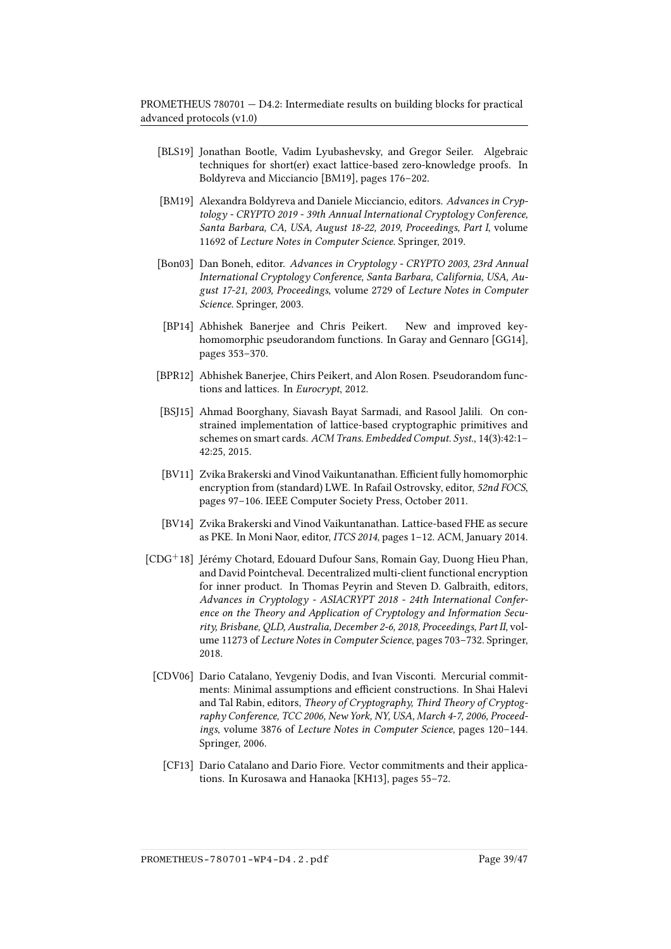- <span id="page-38-7"></span>[BLS19] Jonathan Bootle, Vadim Lyubashevsky, and Gregor Seiler. Algebraic techniques for short(er) exact lattice-based zero-knowledge proofs. In Boldyreva and Micciancio [\[BM19\]](#page-38-9), pages 176–202.
- <span id="page-38-9"></span>[BM19] Alexandra Boldyreva and Daniele Micciancio, editors. Advances in Cryptology - CRYPTO 2019 - 39th Annual International Cryptology Conference, Santa Barbara, CA, USA, August 18-22, 2019, Proceedings, Part I, volume 11692 of Lecture Notes in Computer Science. Springer, 2019.
- <span id="page-38-10"></span>[Bon03] Dan Boneh, editor. Advances in Cryptology - CRYPTO 2003, 23rd Annual International Cryptology Conference, Santa Barbara, California, USA, August 17-21, 2003, Proceedings, volume 2729 of Lecture Notes in Computer Science. Springer, 2003.
- <span id="page-38-1"></span>[BP14] Abhishek Banerjee and Chris Peikert. New and improved keyhomomorphic pseudorandom functions. In Garay and Gennaro [\[GG14\]](#page-41-12), pages 353–370.
- <span id="page-38-0"></span>[BPR12] Abhishek Banerjee, Chirs Peikert, and Alon Rosen. Pseudorandom functions and lattices. In Eurocrypt, 2012.
- <span id="page-38-8"></span>[BSJ15] Ahmad Boorghany, Siavash Bayat Sarmadi, and Rasool Jalili. On constrained implementation of lattice-based cryptographic primitives and schemes on smart cards. ACM Trans. Embedded Comput. Syst., 14(3):42:1– 42:25, 2015.
- <span id="page-38-3"></span>[BV11] Zvika Brakerski and Vinod Vaikuntanathan. Efficient fully homomorphic encryption from (standard) LWE. In Rafail Ostrovsky, editor, 52nd FOCS, pages 97–106. IEEE Computer Society Press, October 2011.
- <span id="page-38-4"></span>[BV14] Zvika Brakerski and Vinod Vaikuntanathan. Lattice-based FHE as secure as PKE. In Moni Naor, editor, ITCS 2014, pages 1–12. ACM, January 2014.
- <span id="page-38-6"></span><span id="page-38-5"></span><span id="page-38-2"></span>[CDG<sup>+</sup>18] Jérémy Chotard, Edouard Dufour Sans, Romain Gay, Duong Hieu Phan, and David Pointcheval. Decentralized multi-client functional encryption for inner product. In Thomas Peyrin and Steven D. Galbraith, editors, Advances in Cryptology - ASIACRYPT 2018 - 24th International Conference on the Theory and Application of Cryptology and Information Security, Brisbane, QLD, Australia, December 2-6, 2018, Proceedings, Part II, volume 11273 of Lecture Notes in Computer Science, pages 703–732. Springer, 2018.
	- [CDV06] Dario Catalano, Yevgeniy Dodis, and Ivan Visconti. Mercurial commitments: Minimal assumptions and efficient constructions. In Shai Halevi and Tal Rabin, editors, Theory of Cryptography, Third Theory of Cryptography Conference, TCC 2006, New York, NY, USA, March 4-7, 2006, Proceedings, volume 3876 of Lecture Notes in Computer Science, pages 120–144. Springer, 2006.
		- [CF13] Dario Catalano and Dario Fiore. Vector commitments and their applications. In Kurosawa and Hanaoka [\[KH13\]](#page-43-9), pages 55–72.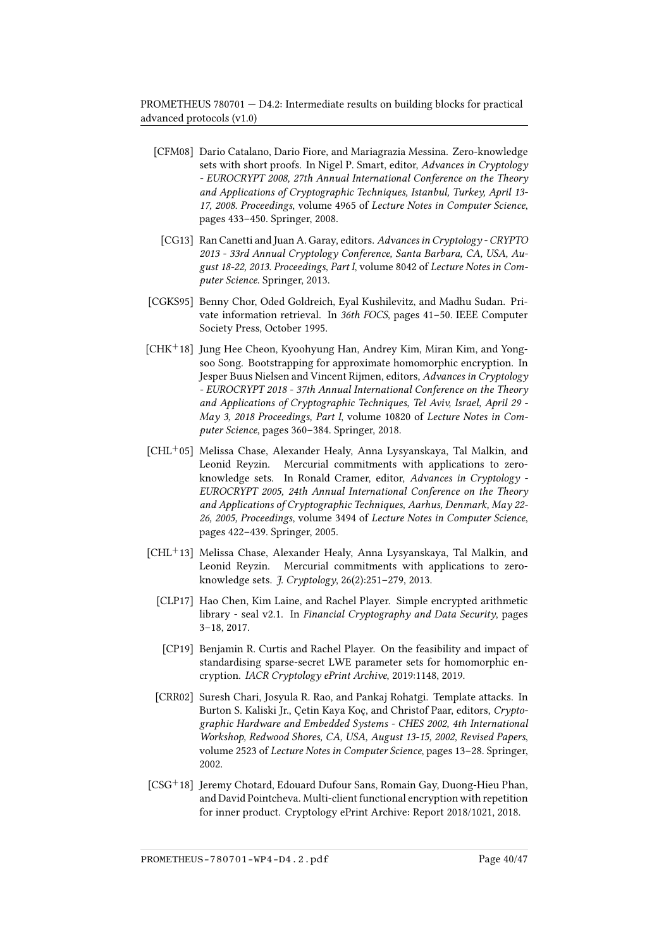- <span id="page-39-6"></span>[CFM08] Dario Catalano, Dario Fiore, and Mariagrazia Messina. Zero-knowledge sets with short proofs. In Nigel P. Smart, editor, Advances in Cryptology - EUROCRYPT 2008, 27th Annual International Conference on the Theory and Applications of Cryptographic Techniques, Istanbul, Turkey, April 13- 17, 2008. Proceedings, volume 4965 of Lecture Notes in Computer Science, pages 433–450. Springer, 2008.
- <span id="page-39-9"></span>[CG13] Ran Canetti and Juan A. Garay, editors. Advances in Cryptology - CRYPTO 2013 - 33rd Annual Cryptology Conference, Santa Barbara, CA, USA, August 18-22, 2013. Proceedings, Part I, volume 8042 of Lecture Notes in Computer Science. Springer, 2013.
- <span id="page-39-3"></span>[CGKS95] Benny Chor, Oded Goldreich, Eyal Kushilevitz, and Madhu Sudan. Private information retrieval. In 36th FOCS, pages 41–50. IEEE Computer Society Press, October 1995.
- <span id="page-39-8"></span>[CHK+18] Jung Hee Cheon, Kyoohyung Han, Andrey Kim, Miran Kim, and Yongsoo Song. Bootstrapping for approximate homomorphic encryption. In Jesper Buus Nielsen and Vincent Rijmen, editors, Advances in Cryptology - EUROCRYPT 2018 - 37th Annual International Conference on the Theory and Applications of Cryptographic Techniques, Tel Aviv, Israel, April 29 - May 3, 2018 Proceedings, Part I, volume 10820 of Lecture Notes in Computer Science, pages 360–384. Springer, 2018.
- <span id="page-39-4"></span>[CHL<sup>+</sup>05] Melissa Chase, Alexander Healy, Anna Lysyanskaya, Tal Malkin, and Leonid Reyzin. Mercurial commitments with applications to zeroknowledge sets. In Ronald Cramer, editor, Advances in Cryptology - EUROCRYPT 2005, 24th Annual International Conference on the Theory and Applications of Cryptographic Techniques, Aarhus, Denmark, May 22- 26, 2005, Proceedings, volume 3494 of Lecture Notes in Computer Science, pages 422–439. Springer, 2005.
- <span id="page-39-7"></span><span id="page-39-5"></span><span id="page-39-0"></span>[CHL<sup>+</sup>13] Melissa Chase, Alexander Healy, Anna Lysyanskaya, Tal Malkin, and Leonid Reyzin. Mercurial commitments with applications to zeroknowledge sets. J. Cryptology, 26(2):251–279, 2013.
	- [CLP17] Hao Chen, Kim Laine, and Rachel Player. Simple encrypted arithmetic library - seal v2.1. In Financial Cryptography and Data Security, pages 3–18, 2017.
	- [CP19] Benjamin R. Curtis and Rachel Player. On the feasibility and impact of standardising sparse-secret LWE parameter sets for homomorphic encryption. IACR Cryptology ePrint Archive, 2019:1148, 2019.
	- [CRR02] Suresh Chari, Josyula R. Rao, and Pankaj Rohatgi. Template attacks. In Burton S. Kaliski Jr., Çetin Kaya Koç, and Christof Paar, editors, Cryptographic Hardware and Embedded Systems - CHES 2002, 4th International Workshop, Redwood Shores, CA, USA, August 13-15, 2002, Revised Papers, volume 2523 of Lecture Notes in Computer Science, pages 13–28. Springer, 2002.
- <span id="page-39-2"></span><span id="page-39-1"></span>[CSG<sup>+</sup>18] Jeremy Chotard, Edouard Dufour Sans, Romain Gay, Duong-Hieu Phan, and David Pointcheva. Multi-client functional encryption with repetition for inner product. Cryptology ePrint Archive: Report 2018/1021, 2018.

PROMETHEUS-780701-WP4-D4.2.pdf Page 40/47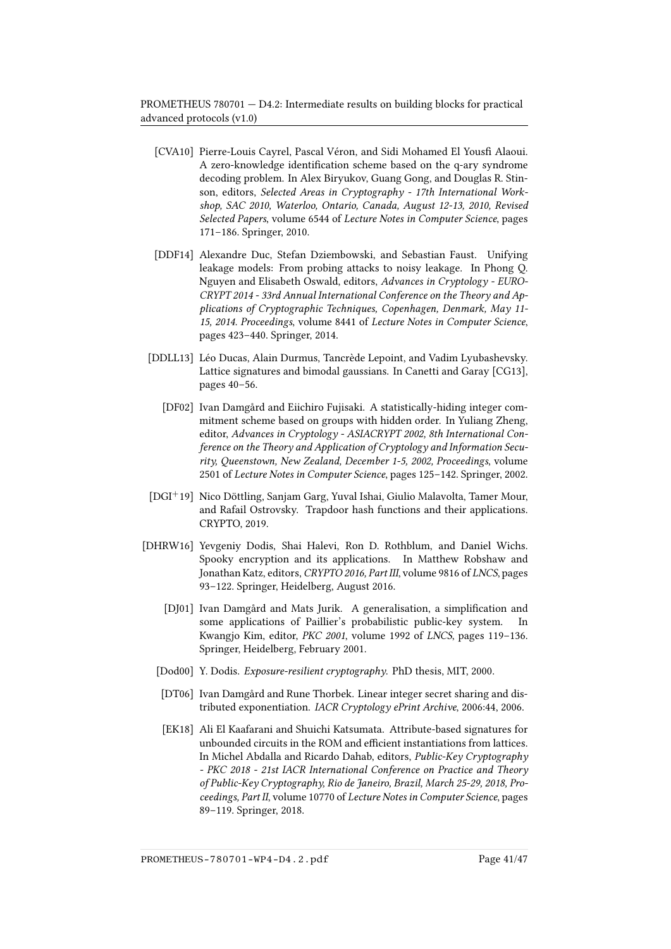- <span id="page-40-8"></span>[CVA10] Pierre-Louis Cayrel, Pascal Véron, and Sidi Mohamed El Yousfi Alaoui. A zero-knowledge identification scheme based on the q-ary syndrome decoding problem. In Alex Biryukov, Guang Gong, and Douglas R. Stinson, editors, Selected Areas in Cryptography - 17th International Workshop, SAC 2010, Waterloo, Ontario, Canada, August 12-13, 2010, Revised Selected Papers, volume 6544 of Lecture Notes in Computer Science, pages 171–186. Springer, 2010.
- <span id="page-40-0"></span>[DDF14] Alexandre Duc, Stefan Dziembowski, and Sebastian Faust. Unifying leakage models: From probing attacks to noisy leakage. In Phong Q. Nguyen and Elisabeth Oswald, editors, Advances in Cryptology - EURO-CRYPT 2014 - 33rd Annual International Conference on the Theory and Applications of Cryptographic Techniques, Copenhagen, Denmark, May 11- 15, 2014. Proceedings, volume 8441 of Lecture Notes in Computer Science, pages 423–440. Springer, 2014.
- <span id="page-40-7"></span><span id="page-40-1"></span>[DDLL13] Léo Ducas, Alain Durmus, Tancrède Lepoint, and Vadim Lyubashevsky. Lattice signatures and bimodal gaussians. In Canetti and Garay [\[CG13\]](#page-39-9), pages 40–56.
	- [DF02] Ivan Damgård and Eiichiro Fujisaki. A statistically-hiding integer commitment scheme based on groups with hidden order. In Yuliang Zheng, editor, Advances in Cryptology - ASIACRYPT 2002, 8th International Conference on the Theory and Application of Cryptology and Information Security, Queenstown, New Zealand, December 1-5, 2002, Proceedings, volume 2501 of Lecture Notes in Computer Science, pages 125–142. Springer, 2002.
- <span id="page-40-6"></span>[DGI<sup>+</sup>19] Nico Döttling, Sanjam Garg, Yuval Ishai, Giulio Malavolta, Tamer Mour, and Rafail Ostrovsky. Trapdoor hash functions and their applications. CRYPTO, 2019.
- <span id="page-40-9"></span><span id="page-40-5"></span><span id="page-40-4"></span><span id="page-40-3"></span><span id="page-40-2"></span>[DHRW16] Yevgeniy Dodis, Shai Halevi, Ron D. Rothblum, and Daniel Wichs. Spooky encryption and its applications. In Matthew Robshaw and Jonathan Katz, editors, CRYPTO 2016, Part III, volume 9816 of LNCS, pages 93–122. Springer, Heidelberg, August 2016.
	- [DJ01] Ivan Damgård and Mats Jurik. A generalisation, a simplification and some applications of Paillier's probabilistic public-key system. In Kwangjo Kim, editor, PKC 2001, volume 1992 of LNCS, pages 119–136. Springer, Heidelberg, February 2001.
	- [Dod00] Y. Dodis. Exposure-resilient cryptography. PhD thesis, MIT, 2000.
	- [DT06] Ivan Damgård and Rune Thorbek. Linear integer secret sharing and distributed exponentiation. IACR Cryptology ePrint Archive, 2006:44, 2006.
	- [EK18] Ali El Kaafarani and Shuichi Katsumata. Attribute-based signatures for unbounded circuits in the ROM and efficient instantiations from lattices. In Michel Abdalla and Ricardo Dahab, editors, Public-Key Cryptography - PKC 2018 - 21st IACR International Conference on Practice and Theory of Public-Key Cryptography, Rio de Janeiro, Brazil, March 25-29, 2018, Proceedings, Part II, volume 10770 of Lecture Notes in Computer Science, pages 89–119. Springer, 2018.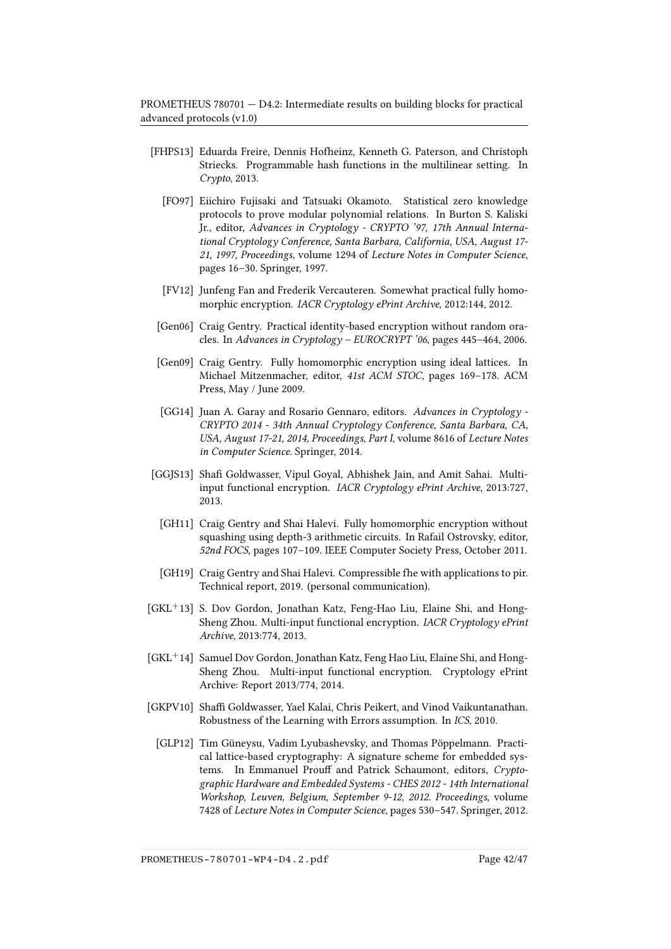- <span id="page-41-10"></span><span id="page-41-5"></span>[FHPS13] Eduarda Freire, Dennis Hofheinz, Kenneth G. Paterson, and Christoph Striecks. Programmable hash functions in the multilinear setting. In Crypto, 2013.
	- [FO97] Eiichiro Fujisaki and Tatsuaki Okamoto. Statistical zero knowledge protocols to prove modular polynomial relations. In Burton S. Kaliski Jr., editor, Advances in Cryptology - CRYPTO '97, 17th Annual International Cryptology Conference, Santa Barbara, California, USA, August 17- 21, 1997, Proceedings, volume 1294 of Lecture Notes in Computer Science, pages 16–30. Springer, 1997.
	- [FV12] Junfeng Fan and Frederik Vercauteren. Somewhat practical fully homomorphic encryption. IACR Cryptology ePrint Archive, 2012:144, 2012.
- <span id="page-41-11"></span><span id="page-41-6"></span>[Gen06] Craig Gentry. Practical identity-based encryption without random oracles. In Advances in Cryptology – EUROCRYPT '06, pages  $445-464$ , 2006.
- <span id="page-41-7"></span>[Gen09] Craig Gentry. Fully homomorphic encryption using ideal lattices. In Michael Mitzenmacher, editor, 41st ACM STOC, pages 169–178. ACM Press, May / June 2009.
- <span id="page-41-12"></span>[GG14] Juan A. Garay and Rosario Gennaro, editors. Advances in Cryptology - CRYPTO 2014 - 34th Annual Cryptology Conference, Santa Barbara, CA, USA, August 17-21, 2014, Proceedings, Part I, volume 8616 of Lecture Notes in Computer Science. Springer, 2014.
- <span id="page-41-8"></span><span id="page-41-2"></span>[GGJS13] Shafi Goldwasser, Vipul Goyal, Abhishek Jain, and Amit Sahai. Multiinput functional encryption. IACR Cryptology ePrint Archive, 2013:727, 2013.
	- [GH11] Craig Gentry and Shai Halevi. Fully homomorphic encryption without squashing using depth-3 arithmetic circuits. In Rafail Ostrovsky, editor, 52nd FOCS, pages 107–109. IEEE Computer Society Press, October 2011.
- <span id="page-41-9"></span>[GH19] Craig Gentry and Shai Halevi. Compressible fhe with applications to pir. Technical report, 2019. (personal communication).
- <span id="page-41-3"></span>[GKL<sup>+</sup>13] S. Dov Gordon, Jonathan Katz, Feng-Hao Liu, Elaine Shi, and Hong-Sheng Zhou. Multi-input functional encryption. IACR Cryptology ePrint Archive, 2013:774, 2013.
- <span id="page-41-4"></span>[GKL<sup>+</sup>14] Samuel Dov Gordon, Jonathan Katz, Feng Hao Liu, Elaine Shi, and Hong-Sheng Zhou. Multi-input functional encryption. Cryptology ePrint Archive: Report 2013/774, 2014.
- <span id="page-41-1"></span><span id="page-41-0"></span>[GKPV10] Shaffi Goldwasser, Yael Kalai, Chris Peikert, and Vinod Vaikuntanathan. Robustness of the Learning with Errors assumption. In ICS, 2010.
	- [GLP12] Tim Güneysu, Vadim Lyubashevsky, and Thomas Pöppelmann. Practical lattice-based cryptography: A signature scheme for embedded systems. In Emmanuel Prouff and Patrick Schaumont, editors, Cryptographic Hardware and Embedded Systems - CHES 2012 - 14th International Workshop, Leuven, Belgium, September 9-12, 2012. Proceedings, volume 7428 of Lecture Notes in Computer Science, pages 530–547. Springer, 2012.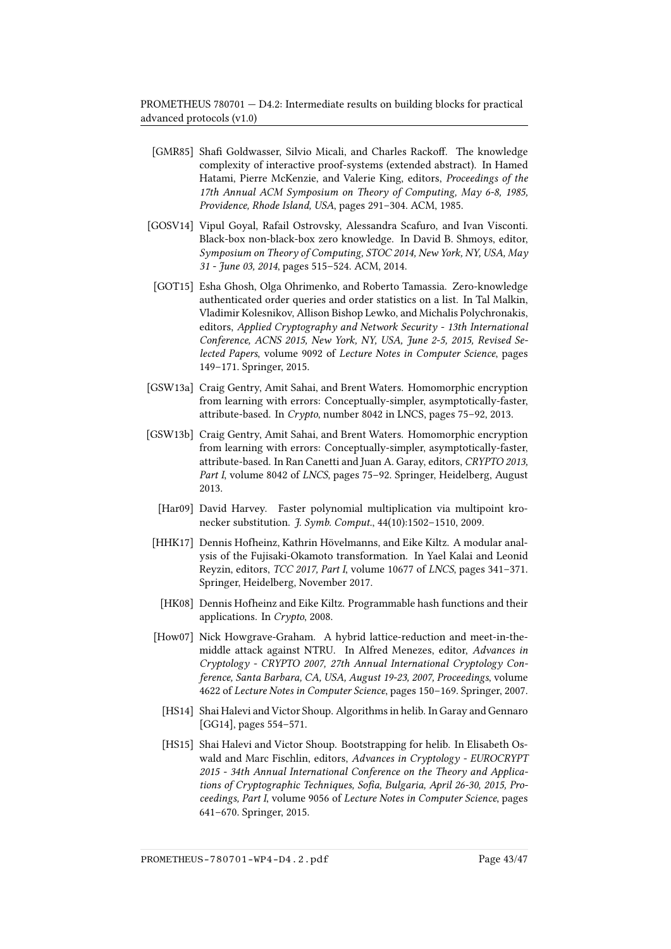- <span id="page-42-3"></span>[GMR85] Shafi Goldwasser, Silvio Micali, and Charles Rackoff. The knowledge complexity of interactive proof-systems (extended abstract). In Hamed Hatami, Pierre McKenzie, and Valerie King, editors, Proceedings of the 17th Annual ACM Symposium on Theory of Computing, May 6-8, 1985, Providence, Rhode Island, USA, pages 291–304. ACM, 1985.
- <span id="page-42-4"></span>[GOSV14] Vipul Goyal, Rafail Ostrovsky, Alessandra Scafuro, and Ivan Visconti. Black-box non-black-box zero knowledge. In David B. Shmoys, editor, Symposium on Theory of Computing, STOC 2014, New York, NY, USA, May 31 - June 03, 2014, pages 515–524. ACM, 2014.
- <span id="page-42-5"></span>[GOT15] Esha Ghosh, Olga Ohrimenko, and Roberto Tamassia. Zero-knowledge authenticated order queries and order statistics on a list. In Tal Malkin, Vladimir Kolesnikov, Allison Bishop Lewko, and Michalis Polychronakis, editors, Applied Cryptography and Network Security - 13th International Conference, ACNS 2015, New York, NY, USA, June 2-5, 2015, Revised Selected Papers, volume 9092 of Lecture Notes in Computer Science, pages 149–171. Springer, 2015.
- <span id="page-42-0"></span>[GSW13a] Craig Gentry, Amit Sahai, and Brent Waters. Homomorphic encryption from learning with errors: Conceptually-simpler, asymptotically-faster, attribute-based. In Crypto, number 8042 in LNCS, pages 75–92, 2013.
- <span id="page-42-2"></span>[GSW13b] Craig Gentry, Amit Sahai, and Brent Waters. Homomorphic encryption from learning with errors: Conceptually-simpler, asymptotically-faster, attribute-based. In Ran Canetti and Juan A. Garay, editors, CRYPTO 2013, Part I, volume 8042 of LNCS, pages 75–92. Springer, Heidelberg, August 2013.
	- [Har09] David Harvey. Faster polynomial multiplication via multipoint kronecker substitution. J. Symb. Comput., 44(10):1502–1510, 2009.
- <span id="page-42-7"></span><span id="page-42-6"></span>[HHK17] Dennis Hofheinz, Kathrin Hövelmanns, and Eike Kiltz. A modular analysis of the Fujisaki-Okamoto transformation. In Yael Kalai and Leonid Reyzin, editors, TCC 2017, Part I, volume 10677 of LNCS, pages 341–371. Springer, Heidelberg, November 2017.
- <span id="page-42-1"></span>[HK08] Dennis Hofheinz and Eike Kiltz. Programmable hash functions and their applications. In Crypto, 2008.
- <span id="page-42-10"></span>[How07] Nick Howgrave-Graham. A hybrid lattice-reduction and meet-in-themiddle attack against NTRU. In Alfred Menezes, editor, Advances in Cryptology - CRYPTO 2007, 27th Annual International Cryptology Conference, Santa Barbara, CA, USA, August 19-23, 2007, Proceedings, volume 4622 of Lecture Notes in Computer Science, pages 150–169. Springer, 2007.
- <span id="page-42-8"></span>[HS14] Shai Halevi and Victor Shoup. Algorithms in helib. In Garay and Gennaro [\[GG14\]](#page-41-12), pages 554–571.
- <span id="page-42-9"></span>[HS15] Shai Halevi and Victor Shoup. Bootstrapping for helib. In Elisabeth Oswald and Marc Fischlin, editors, Advances in Cryptology - EUROCRYPT 2015 - 34th Annual International Conference on the Theory and Applications of Cryptographic Techniques, Sofia, Bulgaria, April 26-30, 2015, Proceedings, Part I, volume 9056 of Lecture Notes in Computer Science, pages 641–670. Springer, 2015.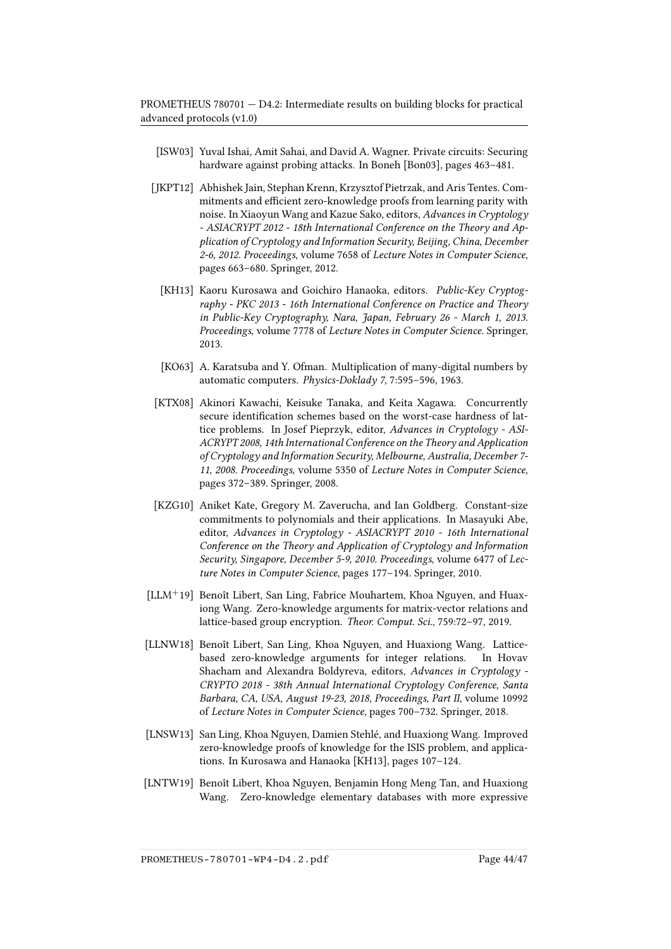- <span id="page-43-2"></span>[ISW03] Yuval Ishai, Amit Sahai, and David A. Wagner. Private circuits: Securing hardware against probing attacks. In Boneh [\[Bon03\]](#page-38-10), pages 463–481.
- <span id="page-43-9"></span><span id="page-43-7"></span>[JKPT12] Abhishek Jain, Stephan Krenn, Krzysztof Pietrzak, and Aris Tentes. Commitments and efficient zero-knowledge proofs from learning parity with noise. In Xiaoyun Wang and Kazue Sako, editors, Advances in Cryptology - ASIACRYPT 2012 - 18th International Conference on the Theory and Application of Cryptology and Information Security, Beijing, China, December 2-6, 2012. Proceedings, volume 7658 of Lecture Notes in Computer Science, pages 663–680. Springer, 2012.
	- [KH13] Kaoru Kurosawa and Goichiro Hanaoka, editors. Public-Key Cryptography - PKC 2013 - 16th International Conference on Practice and Theory in Public-Key Cryptography, Nara, Japan, February 26 - March 1, 2013. Proceedings, volume 7778 of Lecture Notes in Computer Science. Springer, 2013.
	- [KO63] A. Karatsuba and Y. Ofman. Multiplication of many-digital numbers by automatic computers. Physics-Doklady 7, 7:595–596, 1963.
- <span id="page-43-5"></span><span id="page-43-3"></span>[KTX08] Akinori Kawachi, Keisuke Tanaka, and Keita Xagawa. Concurrently secure identification schemes based on the worst-case hardness of lattice problems. In Josef Pieprzyk, editor, Advances in Cryptology - ASI-ACRYPT 2008, 14th International Conference on the Theory and Application of Cryptology and Information Security, Melbourne, Australia, December 7- 11, 2008. Proceedings, volume 5350 of Lecture Notes in Computer Science, pages 372–389. Springer, 2008.
- <span id="page-43-6"></span>[KZG10] Aniket Kate, Gregory M. Zaverucha, and Ian Goldberg. Constant-size commitments to polynomials and their applications. In Masayuki Abe, editor, Advances in Cryptology - ASIACRYPT 2010 - 16th International Conference on the Theory and Application of Cryptology and Information Security, Singapore, December 5-9, 2010. Proceedings, volume 6477 of Lecture Notes in Computer Science, pages 177–194. Springer, 2010.
- <span id="page-43-8"></span>[LLM<sup>+</sup>19] Benoît Libert, San Ling, Fabrice Mouhartem, Khoa Nguyen, and Huaxiong Wang. Zero-knowledge arguments for matrix-vector relations and lattice-based group encryption. Theor. Comput. Sci., 759:72–97, 2019.
- <span id="page-43-0"></span>[LLNW18] Benoît Libert, San Ling, Khoa Nguyen, and Huaxiong Wang. Latticebased zero-knowledge arguments for integer relations. In Hovav Shacham and Alexandra Boldyreva, editors, Advances in Cryptology - CRYPTO 2018 - 38th Annual International Cryptology Conference, Santa Barbara, CA, USA, August 19-23, 2018, Proceedings, Part II, volume 10992 of Lecture Notes in Computer Science, pages 700–732. Springer, 2018.
- <span id="page-43-4"></span>[LNSW13] San Ling, Khoa Nguyen, Damien Stehlé, and Huaxiong Wang. Improved zero-knowledge proofs of knowledge for the ISIS problem, and applications. In Kurosawa and Hanaoka [\[KH13\]](#page-43-9), pages 107–124.
- <span id="page-43-1"></span>[LNTW19] Benoît Libert, Khoa Nguyen, Benjamin Hong Meng Tan, and Huaxiong Wang. Zero-knowledge elementary databases with more expressive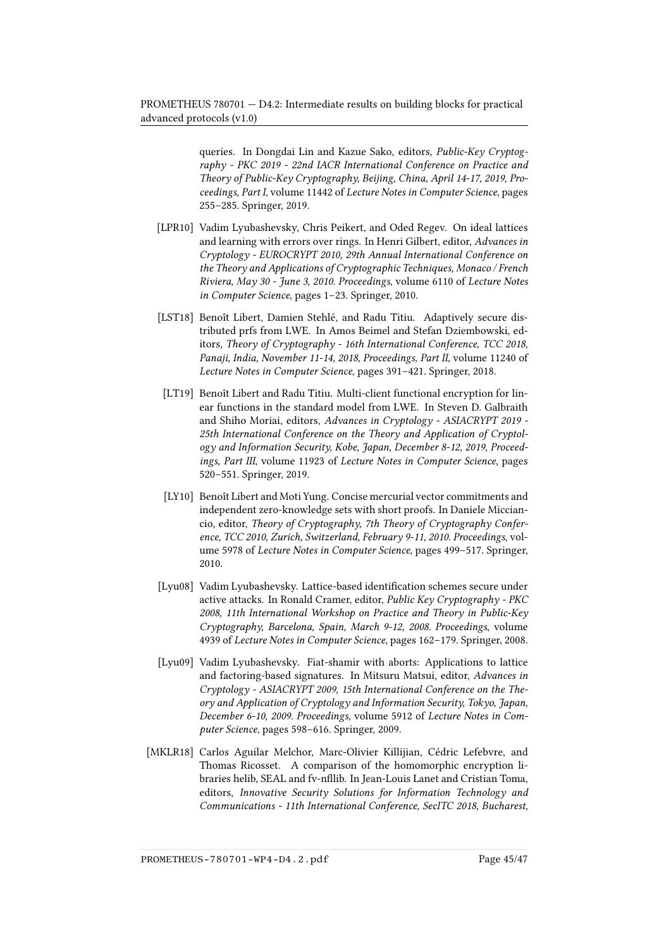queries. In Dongdai Lin and Kazue Sako, editors, Public-Key Cryptography - PKC 2019 - 22nd IACR International Conference on Practice and Theory of Public-Key Cryptography, Beijing, China, April 14-17, 2019, Proceedings, Part I, volume 11442 of Lecture Notes in Computer Science, pages 255–285. Springer, 2019.

- <span id="page-44-5"></span>[LPR10] Vadim Lyubashevsky, Chris Peikert, and Oded Regev. On ideal lattices and learning with errors over rings. In Henri Gilbert, editor, Advances in Cryptology - EUROCRYPT 2010, 29th Annual International Conference on the Theory and Applications of Cryptographic Techniques, Monaco / French Riviera, May 30 - June 3, 2010. Proceedings, volume 6110 of Lecture Notes in Computer Science, pages 1–23. Springer, 2010.
- <span id="page-44-0"></span>[LST18] Benoît Libert, Damien Stehlé, and Radu Titiu. Adaptively secure distributed prfs from LWE. In Amos Beimel and Stefan Dziembowski, editors, Theory of Cryptography - 16th International Conference, TCC 2018, Panaji, India, November 11-14, 2018, Proceedings, Part II, volume 11240 of Lecture Notes in Computer Science, pages 391–421. Springer, 2018.
- <span id="page-44-1"></span>[LT19] Benoît Libert and Radu Titiu. Multi-client functional encryption for linear functions in the standard model from LWE. In Steven D. Galbraith and Shiho Moriai, editors, Advances in Cryptology - ASIACRYPT 2019 - 25th International Conference on the Theory and Application of Cryptology and Information Security, Kobe, Japan, December 8-12, 2019, Proceedings, Part III, volume 11923 of Lecture Notes in Computer Science, pages 520–551. Springer, 2019.
- <span id="page-44-6"></span>[LY10] Benoît Libert and Moti Yung. Concise mercurial vector commitments and independent zero-knowledge sets with short proofs. In Daniele Micciancio, editor, Theory of Cryptography, 7th Theory of Cryptography Conference, TCC 2010, Zurich, Switzerland, February 9-11, 2010. Proceedings, volume 5978 of Lecture Notes in Computer Science, pages 499–517. Springer, 2010.
- <span id="page-44-4"></span>[Lyu08] Vadim Lyubashevsky. Lattice-based identification schemes secure under active attacks. In Ronald Cramer, editor, Public Key Cryptography - PKC 2008, 11th International Workshop on Practice and Theory in Public-Key Cryptography, Barcelona, Spain, March 9-12, 2008. Proceedings, volume 4939 of Lecture Notes in Computer Science, pages 162–179. Springer, 2008.
- <span id="page-44-3"></span>[Lyu09] Vadim Lyubashevsky. Fiat-shamir with aborts: Applications to lattice and factoring-based signatures. In Mitsuru Matsui, editor, Advances in Cryptology - ASIACRYPT 2009, 15th International Conference on the Theory and Application of Cryptology and Information Security, Tokyo, Japan, December 6-10, 2009. Proceedings, volume 5912 of Lecture Notes in Computer Science, pages 598–616. Springer, 2009.
- <span id="page-44-2"></span>[MKLR18] Carlos Aguilar Melchor, Marc-Olivier Killijian, Cédric Lefebvre, and Thomas Ricosset. A comparison of the homomorphic encryption libraries helib, SEAL and fv-nlib. In Jean-Louis Lanet and Cristian Toma, editors, Innovative Security Solutions for Information Technology and Communications - 11th International Conference, SecITC 2018, Bucharest,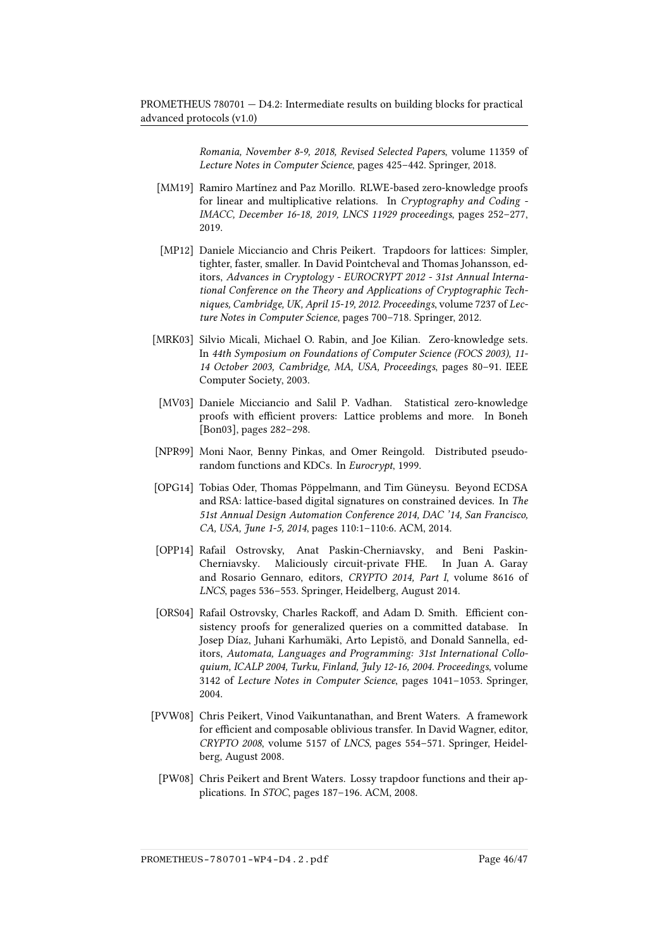Romania, November 8-9, 2018, Revised Selected Papers, volume 11359 of Lecture Notes in Computer Science, pages 425–442. Springer, 2018.

- <span id="page-45-0"></span>[MM19] Ramiro Martínez and Paz Morillo. RLWE-based zero-knowledge proofs for linear and multiplicative relations. In Cryptography and Coding - IMACC, December 16-18, 2019, LNCS 11929 proceedings, pages 252–277, 2019.
- <span id="page-45-8"></span>[MP12] Daniele Micciancio and Chris Peikert. Trapdoors for lattices: Simpler, tighter, faster, smaller. In David Pointcheval and Thomas Johansson, editors, Advances in Cryptology - EUROCRYPT 2012 - 31st Annual International Conference on the Theory and Applications of Cryptographic Techniques, Cambridge, UK, April 15-19, 2012. Proceedings, volume 7237 of Lecture Notes in Computer Science, pages 700–718. Springer, 2012.
- <span id="page-45-6"></span>[MRK03] Silvio Micali, Michael O. Rabin, and Joe Kilian. Zero-knowledge sets. In 44th Symposium on Foundations of Computer Science (FOCS 2003), 11- 14 October 2003, Cambridge, MA, USA, Proceedings, pages 80–91. IEEE Computer Society, 2003.
- <span id="page-45-5"></span>[MV03] Daniele Micciancio and Salil P. Vadhan. Statistical zero-knowledge proofs with efficient provers: Lattice problems and more. In Boneh [\[Bon03\]](#page-38-10), pages 282–298.
- <span id="page-45-2"></span>[NPR99] Moni Naor, Benny Pinkas, and Omer Reingold. Distributed pseudorandom functions and KDCs. In Eurocrypt, 1999.
- <span id="page-45-9"></span>[OPG14] Tobias Oder, Thomas Pöppelmann, and Tim Güneysu. Beyond ECDSA and RSA: lattice-based digital signatures on constrained devices. In The 51st Annual Design Automation Conference 2014, DAC '14, San Francisco, CA, USA, June 1-5, 2014, pages 110:1–110:6. ACM, 2014.
- <span id="page-45-3"></span>[OPP14] Rafail Ostrovsky, Anat Paskin-Cherniavsky, and Beni Paskin-Cherniavsky. Maliciously circuit-private FHE. In Juan A. Garay and Rosario Gennaro, editors, CRYPTO 2014, Part I, volume 8616 of LNCS, pages 536–553. Springer, Heidelberg, August 2014.
- <span id="page-45-7"></span>[ORS04] Rafail Ostrovsky, Charles Rackoff, and Adam D. Smith. Efficient consistency proofs for generalized queries on a committed database. In Josep Díaz, Juhani Karhumäki, Arto Lepistö, and Donald Sannella, editors, Automata, Languages and Programming: 31st International Colloquium, ICALP 2004, Turku, Finland, July 12-16, 2004. Proceedings, volume 3142 of Lecture Notes in Computer Science, pages 1041–1053. Springer, 2004.
- <span id="page-45-4"></span><span id="page-45-1"></span>[PVW08] Chris Peikert, Vinod Vaikuntanathan, and Brent Waters. A framework for efficient and composable oblivious transfer. In David Wagner, editor, CRYPTO 2008, volume 5157 of LNCS, pages 554–571. Springer, Heidelberg, August 2008.
	- [PW08] Chris Peikert and Brent Waters. Lossy trapdoor functions and their applications. In STOC, pages 187–196. ACM, 2008.